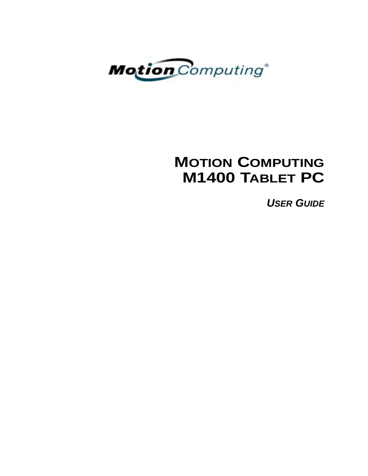

# **MOTION COMPUTING M1400 TABLET PC**

*USER GUIDE*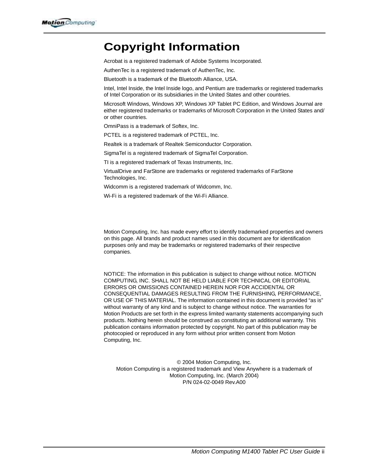## **Copyright Information**

Acrobat is a registered trademark of Adobe Systems Incorporated.

AuthenTec is a registered trademark of AuthenTec, Inc.

Bluetooth is a trademark of the Bluetooth Alliance, USA.

Intel, Intel Inside, the Intel Inside logo, and Pentium are trademarks or registered trademarks of Intel Corporation or its subsidiaries in the United States and other countries.

Microsoft Windows, Windows XP, Windows XP Tablet PC Edition, and Windows Journal are either registered trademarks or trademarks of Microsoft Corporation in the United States and/ or other countries.

OmniPass is a trademark of Softex, Inc.

PCTEL is a registered trademark of PCTEL, Inc.

Realtek is a trademark of Realtek Semiconductor Corporation.

SigmaTel is a registered trademark of SigmaTel Corporation.

TI is a registered trademark of Texas Instruments, Inc.

VirtualDrive and FarStone are trademarks or registered trademarks of FarStone Technologies, Inc.

Widcomm is a registered trademark of Widcomm, Inc.

Wi-Fi is a registered trademark of the Wi-Fi Alliance.

Motion Computing, Inc. has made every effort to identify trademarked properties and owners on this page. All brands and product names used in this document are for identification purposes only and may be trademarks or registered trademarks of their respective companies.

NOTICE: The information in this publication is subject to change without notice. MOTION COMPUTING, INC. SHALL NOT BE HELD LIABLE FOR TECHNICAL OR EDITORIAL ERRORS OR OMISSIONS CONTAINED HEREIN NOR FOR ACCIDENTAL OR CONSEQUENTIAL DAMAGES RESULTING FROM THE FURNISHING, PERFORMANCE, OR USE OF THIS MATERIAL. The information contained in this document is provided "as is" without warranty of any kind and is subject to change without notice. The warranties for Motion Products are set forth in the express limited warranty statements accompanying such products. Nothing herein should be construed as constituting an additional warranty. This publication contains information protected by copyright. No part of this publication may be photocopied or reproduced in any form without prior written consent from Motion Computing, Inc.

© 2004 Motion Computing, Inc. Motion Computing is a registered trademark and View Anywhere is a trademark of Motion Computing, Inc. (March 2004) P/N 024-02-0049 Rev.A00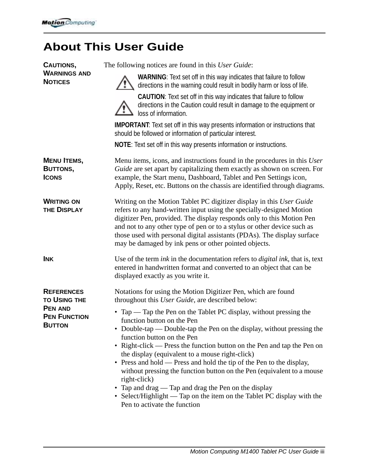# **About This User Guide**

| <b>CAUTIONS,</b>                                       | The following notices are found in this User Guide:                                                                                                                                                                                                                                                                                                                                                                                                                                                                                                                                                                                                                          |  |
|--------------------------------------------------------|------------------------------------------------------------------------------------------------------------------------------------------------------------------------------------------------------------------------------------------------------------------------------------------------------------------------------------------------------------------------------------------------------------------------------------------------------------------------------------------------------------------------------------------------------------------------------------------------------------------------------------------------------------------------------|--|
| <b>WARNINGS AND</b><br><b>NOTICES</b>                  | WARNING: Text set off in this way indicates that failure to follow<br>directions in the warning could result in bodily harm or loss of life.                                                                                                                                                                                                                                                                                                                                                                                                                                                                                                                                 |  |
|                                                        | CAUTION: Text set off in this way indicates that failure to follow<br>directions in the Caution could result in damage to the equipment or<br>loss of information.                                                                                                                                                                                                                                                                                                                                                                                                                                                                                                           |  |
|                                                        | <b>IMPORTANT:</b> Text set off in this way presents information or instructions that<br>should be followed or information of particular interest.                                                                                                                                                                                                                                                                                                                                                                                                                                                                                                                            |  |
|                                                        | NOTE: Text set off in this way presents information or instructions.                                                                                                                                                                                                                                                                                                                                                                                                                                                                                                                                                                                                         |  |
| <b>MENU ITEMS,</b><br><b>BUTTONS,</b><br><b>ICONS</b>  | Menu items, icons, and instructions found in the procedures in this User<br>Guide are set apart by capitalizing them exactly as shown on screen. For<br>example, the Start menu, Dashboard, Tablet and Pen Settings icon,<br>Apply, Reset, etc. Buttons on the chassis are identified through diagrams.                                                                                                                                                                                                                                                                                                                                                                      |  |
| <b>WRITING ON</b><br><b>THE DISPLAY</b>                | Writing on the Motion Tablet PC digitizer display in this User Guide<br>refers to any hand-written input using the specially-designed Motion<br>digitizer Pen, provided. The display responds only to this Motion Pen<br>and not to any other type of pen or to a stylus or other device such as<br>those used with personal digital assistants (PDAs). The display surface<br>may be damaged by ink pens or other pointed objects.                                                                                                                                                                                                                                          |  |
| <b>INK</b>                                             | Use of the term <i>ink</i> in the documentation refers to <i>digital ink</i> , that is, text<br>entered in handwritten format and converted to an object that can be<br>displayed exactly as you write it.                                                                                                                                                                                                                                                                                                                                                                                                                                                                   |  |
| <b>REFERENCES</b><br><b>TO USING THE</b>               | Notations for using the Motion Digitizer Pen, which are found<br>throughout this User Guide, are described below:                                                                                                                                                                                                                                                                                                                                                                                                                                                                                                                                                            |  |
| <b>PEN AND</b><br><b>PEN FUNCTION</b><br><b>BUTTON</b> | • Tap $-$ Tap the Pen on the Tablet PC display, without pressing the<br>function button on the Pen<br>• Double-tap — Double-tap the Pen on the display, without pressing the<br>function button on the Pen<br>• Right-click — Press the function button on the Pen and tap the Pen on<br>the display (equivalent to a mouse right-click)<br>• Press and hold — Press and hold the tip of the Pen to the display,<br>without pressing the function button on the Pen (equivalent to a mouse<br>right-click)<br>• Tap and drag — Tap and drag the Pen on the display<br>• Select/Highlight — Tap on the item on the Tablet PC display with the<br>Pen to activate the function |  |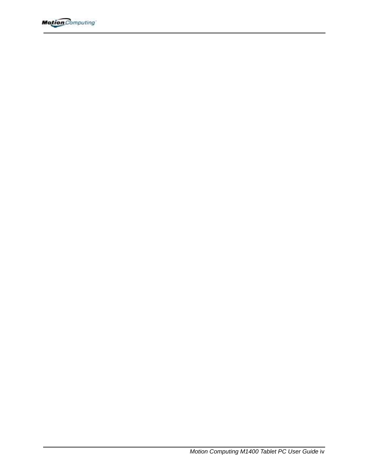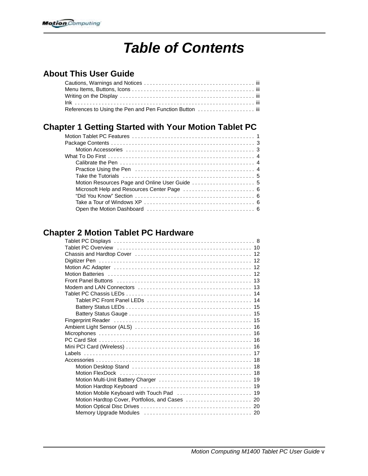# *Table of Contents*

### **About This User Guide**

### **[Chapter 1 Getting Started with Your Motion Tablet PC](#page-7-0)**

| Microsoft Help and Resources Center Page  6                                                        |  |
|----------------------------------------------------------------------------------------------------|--|
|                                                                                                    |  |
| Take a Tour of Windows $XP_1, \ldots, I_1, \ldots, I_1, \ldots, I_1, \ldots, I_{n+1}, \ldots, I_n$ |  |
|                                                                                                    |  |

### **Chapter 2 Motion Tablet PC Hardware**

| Motion Hardtop Cover, Portfolios, and Cases  20 |
|-------------------------------------------------|
|                                                 |
|                                                 |
|                                                 |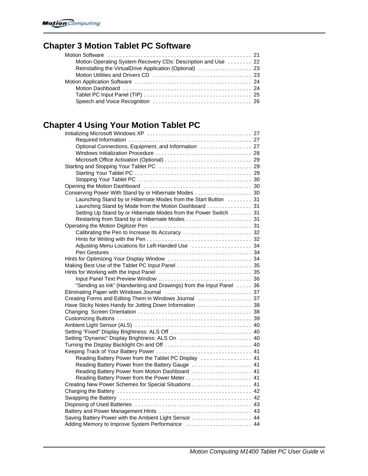### **Chapter 3 Motion Tablet PC Software**

| Motion Operating System Recovery CDs: Description and Use  22 |  |
|---------------------------------------------------------------|--|
|                                                               |  |
|                                                               |  |
|                                                               |  |
|                                                               |  |
|                                                               |  |
|                                                               |  |

## **Chapter 4 Using Your Motion Tablet PC**

| Optional Connections, Equipment, and Information  27                 |  |
|----------------------------------------------------------------------|--|
|                                                                      |  |
|                                                                      |  |
|                                                                      |  |
|                                                                      |  |
|                                                                      |  |
|                                                                      |  |
|                                                                      |  |
| Launching Stand by or Hibernate Modes from the Start Button  31      |  |
| Launching Stand by Mode from the Motion Dashboard 31                 |  |
| Setting Up Stand by or Hibernate Modes from the Power Switch  31     |  |
|                                                                      |  |
|                                                                      |  |
|                                                                      |  |
|                                                                      |  |
| Adjusting Menu Locations for Left-Handed Use  34                     |  |
|                                                                      |  |
|                                                                      |  |
|                                                                      |  |
|                                                                      |  |
|                                                                      |  |
| "Sending as Ink" (Handwriting and Drawings) from the Input Panel  36 |  |
|                                                                      |  |
|                                                                      |  |
|                                                                      |  |
|                                                                      |  |
|                                                                      |  |
|                                                                      |  |
| Setting "Fixed" Display Brightness: ALS Off  40                      |  |
| Setting "Dynamic" Display Brightness: ALS On  40                     |  |
|                                                                      |  |
|                                                                      |  |
| Reading Battery Power from the Tablet PC Display  41                 |  |
| Reading Battery Power from the Battery Gauge  41                     |  |
| Reading Battery Power from Motion Dashboard  41                      |  |
|                                                                      |  |
| Creating New Power Schemes for Special Situations 41                 |  |
|                                                                      |  |
|                                                                      |  |
|                                                                      |  |
|                                                                      |  |
| Saving Battery Power with the Ambient Light Sensor  44               |  |
| Adding Memory to Improve System Performance  44                      |  |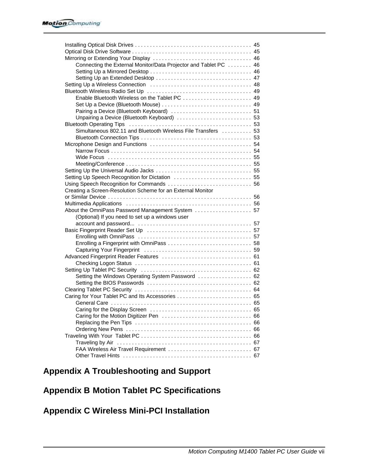| Connecting the External Monitor/Data Projector and Tablet PC  46 |  |
|------------------------------------------------------------------|--|
|                                                                  |  |
|                                                                  |  |
|                                                                  |  |
|                                                                  |  |
| Enable Bluetooth Wireless on the Tablet PC  49                   |  |
|                                                                  |  |
|                                                                  |  |
| Unpairing a Device (Bluetooth Keyboard)  53                      |  |
|                                                                  |  |
| Simultaneous 802.11 and Bluetooth Wireless File Transfers  53    |  |
|                                                                  |  |
|                                                                  |  |
|                                                                  |  |
|                                                                  |  |
|                                                                  |  |
|                                                                  |  |
|                                                                  |  |
|                                                                  |  |
| Creating a Screen-Resolution Scheme for an External Monitor      |  |
|                                                                  |  |
|                                                                  |  |
| About the OmniPass Password Management System  57                |  |
| (Optional) If you need to set up a windows user                  |  |
|                                                                  |  |
|                                                                  |  |
|                                                                  |  |
|                                                                  |  |
|                                                                  |  |
|                                                                  |  |
|                                                                  |  |
|                                                                  |  |
|                                                                  |  |
| Setting the Windows Operating System Password  62                |  |
|                                                                  |  |
|                                                                  |  |
|                                                                  |  |
|                                                                  |  |
|                                                                  |  |
|                                                                  |  |
|                                                                  |  |
|                                                                  |  |
|                                                                  |  |
|                                                                  |  |
|                                                                  |  |
| FAA Wireless Air Travel Requirement  67                          |  |

### **Appendix A Troubleshooting and Support**

### **Appendix B Motion Tablet PC Specifications**

### **[Appendix C Wireless Mini-PCI Installation](#page-83-0)**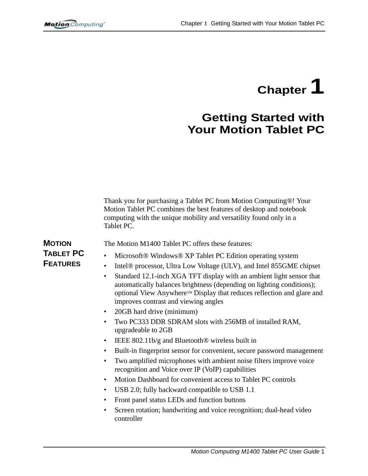# **Chapter 1**

# **Getting Started with Your Motion Tablet PC**

<span id="page-7-0"></span>

|                  | Thank you for purchasing a Tablet PC from Motion Computing®! Your<br>Motion Tablet PC combines the best features of desktop and notebook<br>computing with the unique mobility and versatility found only in a<br>Tablet PC.                                                |
|------------------|-----------------------------------------------------------------------------------------------------------------------------------------------------------------------------------------------------------------------------------------------------------------------------|
| <b>MOTION</b>    | The Motion M1400 Tablet PC offers these features:                                                                                                                                                                                                                           |
| <b>TABLET PC</b> | Microsoft® Windows® XP Tablet PC Edition operating system<br>$\bullet$                                                                                                                                                                                                      |
| <b>FEATURES</b>  | Intel <sup>®</sup> processor, Ultra Low Voltage (ULV), and Intel 855GME chipset<br>$\bullet$                                                                                                                                                                                |
|                  | Standard 12.1-inch XGA TFT display with an ambient light sensor that<br>$\bullet$<br>automatically balances brightness (depending on lighting conditions);<br>optional View Anywhere™ Display that reduces reflection and glare and<br>improves contrast and viewing angles |
|                  | 20GB hard drive (minimum)<br>$\bullet$                                                                                                                                                                                                                                      |
|                  | Two PC333 DDR SDRAM slots with 256MB of installed RAM,<br>$\bullet$<br>upgradeable to 2GB                                                                                                                                                                                   |
|                  | IEEE 802.11b/g and Bluetooth <sup>®</sup> wireless built in<br>$\bullet$                                                                                                                                                                                                    |
|                  | Built-in fingerprint sensor for convenient, secure password management<br>$\bullet$                                                                                                                                                                                         |
|                  | Two amplified microphones with ambient noise filters improve voice<br>٠<br>recognition and Voice over IP (VoIP) capabilities                                                                                                                                                |
|                  | Motion Dashboard for convenient access to Tablet PC controls<br>$\bullet$                                                                                                                                                                                                   |
|                  | USB 2.0; fully backward compatible to USB 1.1<br>٠                                                                                                                                                                                                                          |
|                  | Front panel status LEDs and function buttons<br>٠                                                                                                                                                                                                                           |
|                  | Screen rotation; handwriting and voice recognition; dual-head video<br>$\bullet$<br>controller                                                                                                                                                                              |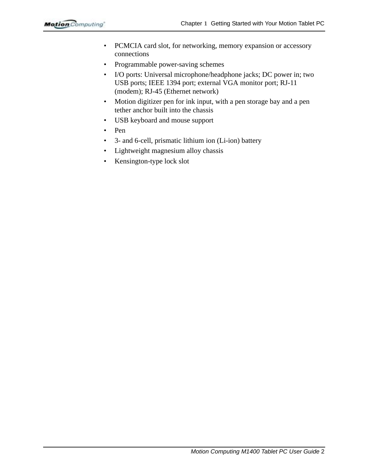- PCMCIA card slot, for networking, memory expansion or accessory connections
- Programmable power-saving schemes
- I/O ports: Universal microphone/headphone jacks; DC power in; two USB ports; IEEE 1394 port; external VGA monitor port; RJ-11 (modem); RJ-45 (Ethernet network)
- Motion digitizer pen for ink input, with a pen storage bay and a pen tether anchor built into the chassis
- USB keyboard and mouse support
- Pen
- 3- and 6-cell, prismatic lithium ion (Li-ion) battery
- Lightweight magnesium alloy chassis
- <span id="page-8-0"></span>• Kensington-type lock slot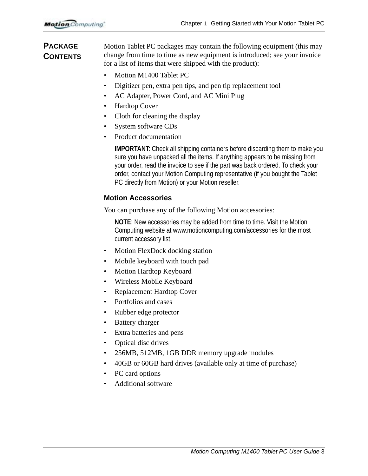<span id="page-9-0"></span>**PACKAGE CONTENTS** Motion Tablet PC packages may contain the following equipment (this may change from time to time as new equipment is introduced; see your invoice for a list of items that were shipped with the product):

- Motion M1400 Tablet PC
- Digitizer pen, extra pen tips, and pen tip replacement tool
- AC Adapter, Power Cord, and AC Mini Plug
- Hardtop Cover
- Cloth for cleaning the display
- System software CDs
- Product documentation

**IMPORTANT:** Check all shipping containers before discarding them to make you sure you have unpacked all the items. If anything appears to be missing from your order, read the invoice to see if the part was back ordered. To check your order, contact your Motion Computing representative (if you bought the Tablet PC directly from Motion) or your Motion reseller.

#### <span id="page-9-1"></span>**Motion Accessories**

You can purchase any of the following Motion accessories:

**NOTE**: New accessories may be added from time to time. Visit the Motion Computing website at www.motioncomputing.com/accessories for the most current accessory list.

- Motion FlexDock docking station
- Mobile keyboard with touch pad
- Motion Hardtop Keyboard
- Wireless Mobile Keyboard
- Replacement Hardtop Cover
- Portfolios and cases
- Rubber edge protector
- Battery charger
- Extra batteries and pens
- Optical disc drives
- 256MB, 512MB, 1GB DDR memory upgrade modules
- 40GB or 60GB hard drives (available only at time of purchase)
- PC card options
- Additional software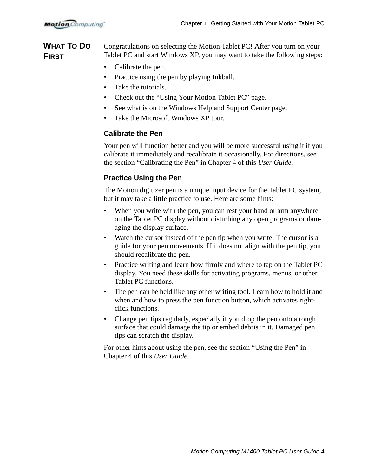<span id="page-10-0"></span>**WHAT TO DO FIRST** Congratulations on selecting the Motion Tablet PC! After you turn on your Tablet PC and start Windows XP, you may want to take the following steps:

- Calibrate the pen.
- Practice using the pen by playing Inkball.
- Take the tutorials.
- Check out the "Using Your Motion Tablet PC" page.
- See what is on the Windows Help and Support Center page.
- Take the Microsoft Windows XP tour.

#### <span id="page-10-1"></span>**Calibrate the Pen**

Your pen will function better and you will be more successful using it if you calibrate it immediately and recalibrate it occasionally. For directions, see the section "Calibrating the Pen" in Chapter 4 of this *User Guide*.

#### <span id="page-10-2"></span>**Practice Using the Pen**

The Motion digitizer pen is a unique input device for the Tablet PC system, but it may take a little practice to use. Here are some hints:

- When you write with the pen, you can rest your hand or arm anywhere on the Tablet PC display without disturbing any open programs or damaging the display surface.
- Watch the cursor instead of the pen tip when you write. The cursor is a guide for your pen movements. If it does not align with the pen tip, you should recalibrate the pen.
- Practice writing and learn how firmly and where to tap on the Tablet PC display. You need these skills for activating programs, menus, or other Tablet PC functions.
- The pen can be held like any other writing tool. Learn how to hold it and when and how to press the pen function button, which activates rightclick functions.
- Change pen tips regularly, especially if you drop the pen onto a rough surface that could damage the tip or embed debris in it. Damaged pen tips can scratch the display.

For other hints about using the pen, see the section "Using the Pen" in Chapter 4 of this *User Guide.*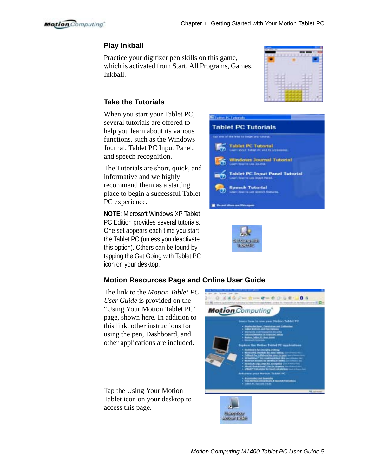#### **Play Inkball**

Practice your digitizer pen skills on this game, which is activated from Start, All Programs, Games, Inkball.



#### <span id="page-11-0"></span>**Take the Tutorials**

When you start your Tablet PC, several tutorials are offered to help you learn about its various functions, such as the Windows Journal, Tablet PC Input Panel, and speech recognition.

The Tutorials are short, quick, and informative and we highly recommend them as a starting place to begin a successful Tablet PC experience.

**NOTE**: Microsoft Windows XP Tablet PC Edition provides several tutorials. One set appears each time you start the Tablet PC (unless you deactivate this option). Others can be found by tapping the Get Going with Tablet PC icon on your desktop.





#### <span id="page-11-1"></span>**Motion Resources Page and Online User Guide**

The link to the *Motion Tablet PC User Guide* is provided on the "Using Your Motion Tablet PC" page, shown here. In addition to this link, other instructions for using the pen, Dashboard, and other applications are included.

Tap the Using Your Motion Tablet icon on your desktop to access this page.



**AUSTRITION**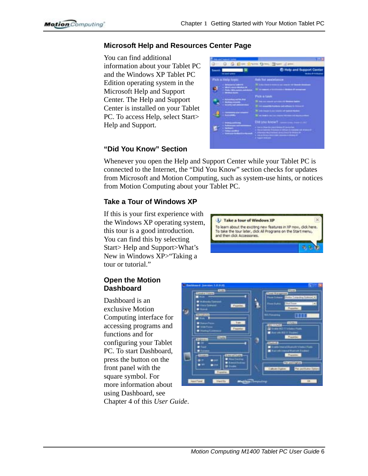#### <span id="page-12-0"></span>**Microsoft Help and Resources Center Page**

You can find additional information about your Tablet PC and the Windows XP Tablet PC Edition operating system in the Microsoft Help and Support Center. The Help and Support Center is installed on your Tablet PC. To access Help, select Start> Help and Support.

|                                | O G Die tree Get Die dass                                                       |
|--------------------------------|---------------------------------------------------------------------------------|
| Saureis<br><b>INCARD ARMS</b>  | <b>ED Help and Sapport Corrier</b><br><b>Market de la change</b>                |
| Pick a Hidp topic              | Anh for anxistance                                                              |
| <b>International Control</b>   | Witness many more and commer-<br>With the company's primarinan construction     |
| <b>Professional Profession</b> | Proficial taxes<br>a mandalah kada kalendar dan biasa                           |
|                                | the inquire is one common out-taxable?                                          |
|                                | <b>Cancel State Street Services of Jane</b><br>Charles Macrosoft Library States |
|                                | A Telephone Inc.                                                                |

#### <span id="page-12-1"></span>**"Did You Know" Section**

Whenever you open the Help and Support Center while your Tablet PC is connected to the Internet, the "Did You Know" section checks for updates from Microsoft and Motion Computing, such as system-use hints, or notices from Motion Computing about your Tablet PC.

#### **Take a Tour of Windows XP**

If this is your first experience with the Windows XP operating system, this tour is a good introduction. You can find this by selecting Start> Help and Support>What's New in Windows XP>"Taking a tour or tutorial."



#### <span id="page-12-2"></span>**Open the Motion Dashboard**

Dashboard is an exclusive Motion Computing interface for accessing programs and functions and for configuring your Tablet PC. To start Dashboard, press the button on the front panel with the square symbol. For more information about using Dashboard, see Chapter 4 of this *User Guide*.

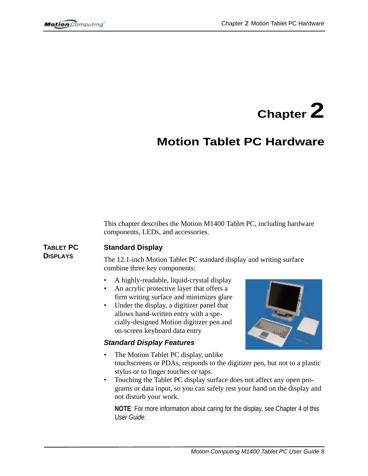

# **Motion Tablet PC Hardware**

This chapter describes the Motion M1400 Tablet PC, including hardware components, LEDs, and accessories.

#### <span id="page-14-0"></span>**TABLET PC DISPLAYS Standard Display**

The 12.1-inch Motion Tablet PC standard display and writing surface combine three key components:

- A highly-readable, liquid-crystal display
- An acrylic protective layer that offers a firm writing surface and minimizes glare
- Under the display, a digitizer panel that allows hand-written entry with a specially-designed Motion digitizer pen and on-screen keyboard data entry

#### *Standard Display Features*



- The Motion Tablet PC display, unlike touchscreens or PDAs, responds to the digitizer pen, but not to a plastic stylus or to finger touches or taps.
- Touching the Tablet PC display surface does not affect any open programs or data input, so you can safely rest your hand on the display and not disturb your work.

**NOTE**: For more information about caring for the display, see Chapter 4 of this *User Guide*.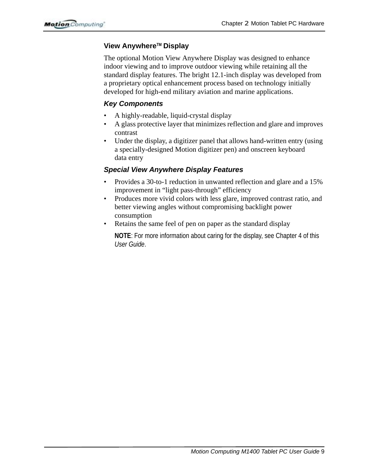#### **View AnywhereTM Display**

The optional Motion View Anywhere Display was designed to enhance indoor viewing and to improve outdoor viewing while retaining all the standard display features. The bright 12.1-inch display was developed from a proprietary optical enhancement process based on technology initially developed for high-end military aviation and marine applications.

#### *Key Components*

- A highly-readable, liquid-crystal display
- A glass protective layer that minimizes reflection and glare and improves contrast
- Under the display, a digitizer panel that allows hand-written entry (using a specially-designed Motion digitizer pen) and onscreen keyboard data entry

#### *Special View Anywhere Display Features*

- Provides a 30-to-1 reduction in unwanted reflection and glare and a 15% improvement in "light pass-through" efficiency
- Produces more vivid colors with less glare, improved contrast ratio, and better viewing angles without compromising backlight power consumption
- Retains the same feel of pen on paper as the standard display

**NOTE**: For more information about caring for the display, see Chapter 4 of this *User Guide*.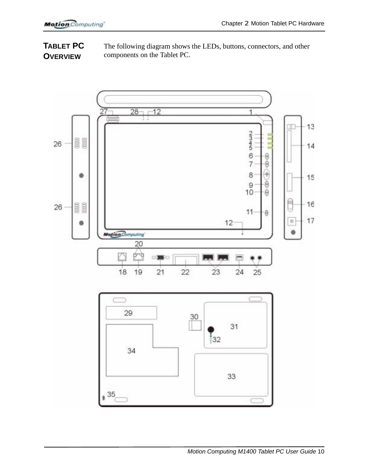### <span id="page-16-0"></span>**TABLET PC OVERVIEW**

The following diagram shows the LEDs, buttons, connectors, and other components on the Tablet PC.

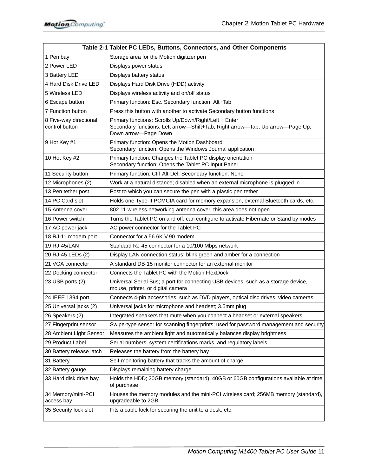| Table 2-1 Tablet PC LEDs, Buttons, Connectors, and Other Components                                                                                                                                        |                                                                                                                         |  |
|------------------------------------------------------------------------------------------------------------------------------------------------------------------------------------------------------------|-------------------------------------------------------------------------------------------------------------------------|--|
| 1 Pen bay                                                                                                                                                                                                  | Storage area for the Motion digitizer pen                                                                               |  |
| 2 Power LED                                                                                                                                                                                                | Displays power status                                                                                                   |  |
| 3 Battery LED                                                                                                                                                                                              | Displays battery status                                                                                                 |  |
| 4 Hard Disk Drive LED                                                                                                                                                                                      | Displays Hard Disk Drive (HDD) activity                                                                                 |  |
| 5 Wireless LED                                                                                                                                                                                             | Displays wireless activity and on/off status                                                                            |  |
| 6 Escape button                                                                                                                                                                                            | Primary function: Esc. Secondary function: Alt+Tab                                                                      |  |
| 7 Function button                                                                                                                                                                                          | Press this button with another to activate Secondary button functions                                                   |  |
| 8 Five-way directional<br>Primary functions: Scrolls Up/Down/Right/Left + Enter<br>Secondary functions: Left arrow-Shift+Tab; Right arrow-Tab; Up arrow-Page Up;<br>control button<br>Down arrow-Page Down |                                                                                                                         |  |
| 9 Hot Key #1                                                                                                                                                                                               | Primary function: Opens the Motion Dashboard<br>Secondary function: Opens the Windows Journal application               |  |
| 10 Hot Key #2                                                                                                                                                                                              | Primary function: Changes the Tablet PC display orientation<br>Secondary function: Opens the Tablet PC Input Panel.     |  |
| 11 Security button                                                                                                                                                                                         | Primary function: Ctrl-Alt-Del; Secondary function: None                                                                |  |
| 12 Microphones (2)                                                                                                                                                                                         | Work at a natural distance; disabled when an external microphone is plugged in                                          |  |
| 13 Pen tether post                                                                                                                                                                                         | Post to which you can secure the pen with a plastic pen tether                                                          |  |
| 14 PC Card slot                                                                                                                                                                                            | Holds one Type-II PCMCIA card for memory expansion, external Bluetooth cards, etc.                                      |  |
| 15 Antenna cover                                                                                                                                                                                           | 802.11 wireless networking antenna cover; this area does not open                                                       |  |
| 16 Power switch                                                                                                                                                                                            | Turns the Tablet PC on and off; can configure to activate Hibernate or Stand by modes                                   |  |
| 17 AC power jack                                                                                                                                                                                           | AC power connector for the Tablet PC                                                                                    |  |
| 18 RJ-11 modem port                                                                                                                                                                                        | Connector for a 56.6K V.90 modem                                                                                        |  |
| 19 RJ-45/LAN                                                                                                                                                                                               | Standard RJ-45 connector for a 10/100 Mbps network                                                                      |  |
| 20 RJ-45 LEDs (2)                                                                                                                                                                                          | Display LAN connection status; blink green and amber for a connection                                                   |  |
| 21 VGA connector                                                                                                                                                                                           | A standard DB-15 monitor connector for an external monitor                                                              |  |
| 22 Docking connector                                                                                                                                                                                       | Connects the Tablet PC with the Motion FlexDock                                                                         |  |
| 23 USB ports (2)                                                                                                                                                                                           | Universal Serial Bus; a port for connecting USB devices, such as a storage device,<br>mouse, printer, or digital camera |  |
| 24 IEEE 1394 port                                                                                                                                                                                          | Connects 4-pin accessories, such as DVD players, optical disc drives, video cameras                                     |  |
| 25 Universal jacks (2)                                                                                                                                                                                     | Universal jacks for microphone and headset; 3.5mm plug                                                                  |  |
| 26 Speakers (2)                                                                                                                                                                                            | Integrated speakers that mute when you connect a headset or external speakers                                           |  |
| 27 Fingerprint sensor                                                                                                                                                                                      | Swipe-type sensor for scanning fingerprints; used for password management and security                                  |  |
| 28 Ambient Light Sensor                                                                                                                                                                                    | Measures the ambient light and automatically balances display brightness                                                |  |
| 29 Product Label                                                                                                                                                                                           | Serial numbers, system certifications marks, and regulatory labels                                                      |  |
| 30 Battery release latch<br>Releases the battery from the battery bay                                                                                                                                      |                                                                                                                         |  |
| 31 Battery                                                                                                                                                                                                 | Self-monitoring battery that tracks the amount of charge                                                                |  |
| 32 Battery gauge                                                                                                                                                                                           | Displays remaining battery charge                                                                                       |  |
| 33 Hard disk drive bay                                                                                                                                                                                     | Holds the HDD; 20GB memory (standard); 40GB or 60GB configurations available at time<br>of purchase                     |  |
| 34 Memory/mini-PCI<br>access bay                                                                                                                                                                           | Houses the memory modules and the mini-PCI wireless card; 256MB memory (standard),<br>upgradeable to 2GB                |  |
| 35 Security lock slot                                                                                                                                                                                      | Fits a cable lock for securing the unit to a desk, etc.                                                                 |  |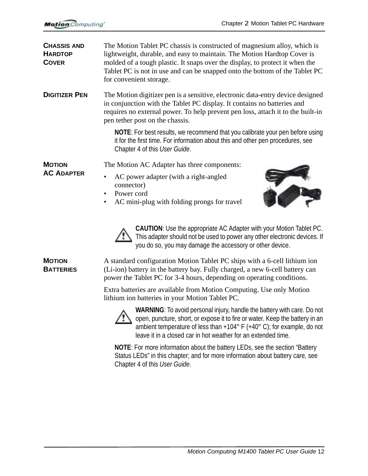<span id="page-18-1"></span><span id="page-18-0"></span>

| <b>CHASSIS AND</b><br><b>HARDTOP</b><br><b>COVER</b> | The Motion Tablet PC chassis is constructed of magnesium alloy, which is<br>lightweight, durable, and easy to maintain. The Motion Hardtop Cover is<br>molded of a tough plastic. It snaps over the display, to protect it when the<br>Tablet PC is not in use and can be snapped onto the bottom of the Tablet PC<br>for convenient storage. |  |
|------------------------------------------------------|-----------------------------------------------------------------------------------------------------------------------------------------------------------------------------------------------------------------------------------------------------------------------------------------------------------------------------------------------|--|
| <b>DIGITIZER PEN</b>                                 | The Motion digitizer pen is a sensitive, electronic data-entry device designed<br>in conjunction with the Tablet PC display. It contains no batteries and<br>requires no external power. To help prevent pen loss, attach it to the built-in<br>pen tether post on the chassis.                                                               |  |
|                                                      | NOTE: For best results, we recommend that you calibrate your pen before using<br>it for the first time. For information about this and other pen procedures, see<br>Chapter 4 of this User Guide.                                                                                                                                             |  |
| <b>MOTION</b><br><b>AC ADAPTER</b>                   | The Motion AC Adapter has three components:<br>AC power adapter (with a right-angled<br>connector)<br>Power cord<br>AC mini-plug with folding prongs for travel                                                                                                                                                                               |  |
|                                                      | <b>CAUTION:</b> Use the appropriate AC Adapter with your Motion Tablet PC.<br>This adapter should not be used to power any other electronic devices. If<br>you do so, you may damage the accessory or other device.                                                                                                                           |  |
| <b>MOTION</b>                                        | A standard configuration Motion Tablet PC ships with a 6-cell lithium ion                                                                                                                                                                                                                                                                     |  |

# <span id="page-18-3"></span><span id="page-18-2"></span>**BATTERIES**

(Li-ion) battery in the battery bay. Fully charged, a new 6-cell battery can power the Tablet PC for 3-4 hours, depending on operating conditions.

Extra batteries are available from Motion Computing. Use only Motion lithium ion batteries in your Motion Tablet PC.



**WARNING**: To avoid personal injury, handle the battery with care. Do not open, puncture, short, or expose it to fire or water. Keep the battery in an ambient temperature of less than +104° F (+40° C); for example, do not leave it in a closed car in hot weather for an extended time.

**NOTE**: For more information about the battery LEDs, see the section "Battery Status LEDs" in this chapter; and for more information about battery care, see Chapter 4 of this *User Guide*.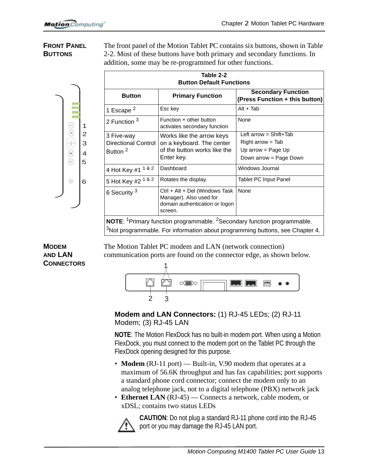#### <span id="page-19-0"></span>**FRONT PANEL BUTTONS**

The front panel of the Motion Tablet PC contains six buttons, shown in Table 2-2. Most of these buttons have both primary and secondary functions. In addition, some may be re-programmed for other functions.

**Table 2-2**

| $\circledcirc$<br>$\begin{pmatrix} 1 \\ 0 \\ 0 \\ 0 \end{pmatrix}$ | $\mathbf{1}$<br>$\frac{2}{3}$<br>4<br>5 |
|--------------------------------------------------------------------|-----------------------------------------|
| ◉                                                                  |                                         |
|                                                                    |                                         |

|                                                                 | <b>Button Default Functions</b>                                                                        |                                                                                                   |
|-----------------------------------------------------------------|--------------------------------------------------------------------------------------------------------|---------------------------------------------------------------------------------------------------|
| <b>Button</b>                                                   | <b>Primary Function</b>                                                                                | <b>Secondary Function</b><br>(Press Function + this button)                                       |
| 1 Escape <sup>2</sup>                                           | Esc key                                                                                                | $Alt + Tab$                                                                                       |
| 2 Function 3                                                    | Function + other button<br>activates secondary function                                                | None                                                                                              |
| 3 Five-way<br><b>Directional Control</b><br>Button <sup>2</sup> | Works like the arrow keys<br>on a keyboard. The center<br>of the button works like the<br>Enter key.   | Left arrow = $Shift+Tab$<br>$Right arrow = Tab$<br>Up arrow $=$ Page Up<br>Down arrow = Page Down |
| 1 & 2<br>4 Hot Key #1                                           | Dashboard                                                                                              | Windows Journal                                                                                   |
| 5 Hot Key #2 1 & 2                                              | Rotates the display.                                                                                   | Tablet PC Input Panel                                                                             |
| 6 Security <sup>3</sup>                                         | Ctrl + Alt + Del (Windows Task<br>Manager). Also used for<br>domain authentication or logon<br>screen. | None                                                                                              |
|                                                                 | <b>NOTE:</b> <sup>1</sup> Primary function programmable $2$ Secondary function programmable            |                                                                                                   |

function programmable. <sup>2</sup>Secondary function programmable. <sup>3</sup>Not programmable. For information about programming buttons, see Chapter 4.

#### <span id="page-19-1"></span>**MODEM AND LAN CONNECTORS**

The Motion Tablet PC modem and LAN (network connection) communication ports are found on the connector edge, as shown below.



#### **Modem and LAN Connectors:** (1) RJ-45 LEDs; (2) RJ-11 Modem; (3) RJ-45 LAN

**NOTE**: The Motion FlexDock has no built-in modem port. When using a Motion FlexDock, you must connect to the modem port on the Tablet PC through the FlexDock opening designed for this purpose.

- **Modem** (RJ-11 port) Built-in, V.90 modem that operates at a maximum of 56.6K throughput and has fax capabilities; port supports a standard phone cord connector; connect the modem only to an analog telephone jack, not to a digital telephone (PBX) network jack
- **Ethernet LAN** (RJ-45) Connects a network, cable modem, or xDSL; contains two status LEDs

**CAUTION**: Do not plug a standard RJ-11 phone cord into the RJ-45 port or you may damage the RJ-45 LAN port.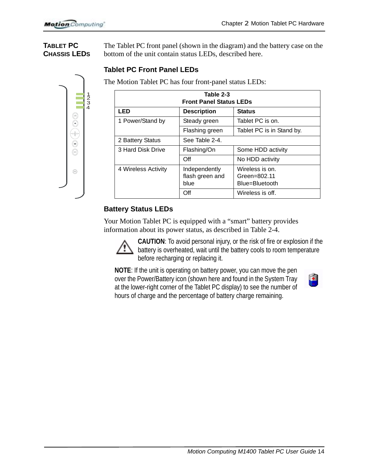#### <span id="page-20-0"></span>**TABLET PC CHASSIS LEDS**

The Tablet PC front panel (shown in the diagram) and the battery case on the bottom of the unit contain status LEDs, described here.

#### <span id="page-20-2"></span>**Tablet PC Front Panel LEDs**

The Motion Tablet PC has four front-panel status LEDs:

|                     | Table 2-3<br><b>Front Panel Status LEDs</b> |                                                   |
|---------------------|---------------------------------------------|---------------------------------------------------|
| <b>LED</b>          | <b>Description</b>                          | <b>Status</b>                                     |
| 1 Power/Stand by    | Steady green                                | Tablet PC is on.                                  |
|                     | Flashing green                              | Tablet PC is in Stand by.                         |
| 2 Battery Status    | See Table 2-4.                              |                                                   |
| 3 Hard Disk Drive   | Flashing/On                                 | Some HDD activity                                 |
|                     | Off                                         | No HDD activity                                   |
| 4 Wireless Activity | Independently<br>flash green and<br>blue    | Wireless is on.<br>Green=802.11<br>Blue=Bluetooth |
|                     | Off                                         | Wireless is off.                                  |

#### <span id="page-20-3"></span>**Battery Status LEDs**

Your Motion Tablet PC is equipped with a "smart" battery provides information about its power status, as described in Table 2-4.



**CAUTION**: To avoid personal injury, or the risk of fire or explosion if the battery is overheated, wait until the battery cools to room temperature before recharging or replacing it.

**NOTE**: If the unit is operating on battery power, you can move the pen over the Power/Battery icon (shown here and found in the System Tray at the lower-right corner of the Tablet PC display) to see the number of hours of charge and the percentage of battery charge remaining.



<span id="page-20-1"></span>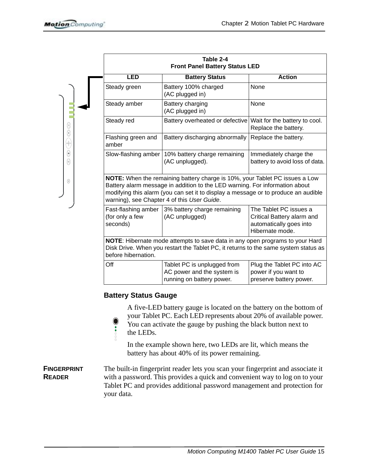<span id="page-21-0"></span>

|                                                                          |                                                    | Table 2-4<br><b>Front Panel Battery Status LED</b>                                                                                                                  |                                                                                                                                                                   |  |
|--------------------------------------------------------------------------|----------------------------------------------------|---------------------------------------------------------------------------------------------------------------------------------------------------------------------|-------------------------------------------------------------------------------------------------------------------------------------------------------------------|--|
|                                                                          | <b>LED</b>                                         | <b>Battery Status</b>                                                                                                                                               | <b>Action</b>                                                                                                                                                     |  |
|                                                                          | Steady green                                       | Battery 100% charged<br>(AC plugged in)                                                                                                                             | None                                                                                                                                                              |  |
|                                                                          | Steady amber                                       | Battery charging<br>(AC plugged in)                                                                                                                                 | None                                                                                                                                                              |  |
| $\begin{matrix} \circledcirc \ \circledcirc \ \circledcirc \end{matrix}$ | Steady red                                         | Battery overheated or defective Wait for the battery to cool.                                                                                                       | Replace the battery.                                                                                                                                              |  |
| $\begin{pmatrix} 1 \\ 0 \\ 0 \\ 0 \end{pmatrix}$                         | Flashing green and<br>amber                        | Battery discharging abnormally                                                                                                                                      | Replace the battery.                                                                                                                                              |  |
| $\circledcirc$<br>$\circledcirc$                                         | Slow-flashing amber                                | 10% battery charge remaining<br>(AC unplugged).                                                                                                                     | Immediately charge the<br>battery to avoid loss of data.                                                                                                          |  |
| 0                                                                        |                                                    | Battery alarm message in addition to the LED warning. For information about<br>warning), see Chapter 4 of this User Guide.                                          | NOTE: When the remaining battery charge is 10%, your Tablet PC issues a Low<br>modifying this alarm (you can set it to display a message or to produce an audible |  |
|                                                                          | Fast-flashing amber<br>(for only a few<br>seconds) | 3% battery charge remaining<br>(AC unplugged)                                                                                                                       | The Tablet PC issues a<br>Critical Battery alarm and<br>automatically goes into<br>Hibernate mode.                                                                |  |
|                                                                          | before hibernation.                                | NOTE: Hibernate mode attempts to save data in any open programs to your Hard<br>Disk Drive. When you restart the Tablet PC, it returns to the same system status as |                                                                                                                                                                   |  |
|                                                                          | Off                                                | Tablet PC is unplugged from<br>AC power and the system is<br>running on battery power.                                                                              | Plug the Tablet PC into AC<br>power if you want to<br>preserve battery power.                                                                                     |  |

#### <span id="page-21-1"></span>**Battery Status Gauge**

 $\bullet$ 

A five-LED battery gauge is located on the battery on the bottom of your Tablet PC. Each LED represents about 20% of available power.

You can activate the gauge by pushing the black button next to the LEDs.

In the example shown here, two LEDs are lit, which means the battery has about 40% of its power remaining.

#### <span id="page-21-2"></span>**FINGERPRINT READER** The built-in fingerprint reader lets you scan your fingerprint and associate it with a password. This provides a quick and convenient way to log on to your Tablet PC and provides additional password management and protection for your data.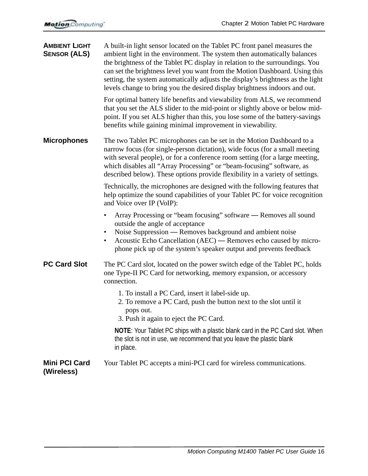<span id="page-22-3"></span><span id="page-22-2"></span><span id="page-22-1"></span><span id="page-22-0"></span>

| <b>AMBIENT LIGHT</b><br><b>SENSOR (ALS)</b> | A built-in light sensor located on the Tablet PC front panel measures the<br>ambient light in the environment. The system then automatically balances<br>the brightness of the Tablet PC display in relation to the surroundings. You<br>can set the brightness level you want from the Motion Dashboard. Using this<br>setting, the system automatically adjusts the display's brightness as the light<br>levels change to bring you the desired display brightness indoors and out. |
|---------------------------------------------|---------------------------------------------------------------------------------------------------------------------------------------------------------------------------------------------------------------------------------------------------------------------------------------------------------------------------------------------------------------------------------------------------------------------------------------------------------------------------------------|
|                                             | For optimal battery life benefits and viewability from ALS, we recommend<br>that you set the ALS slider to the mid-point or slightly above or below mid-<br>point. If you set ALS higher than this, you lose some of the battery-savings<br>benefits while gaining minimal improvement in viewability.                                                                                                                                                                                |
| <b>Microphones</b>                          | The two Tablet PC microphones can be set in the Motion Dashboard to a<br>narrow focus (for single-person dictation), wide focus (for a small meeting<br>with several people), or for a conference room setting (for a large meeting,<br>which disables all "Array Processing" or "beam-focusing" software, as<br>described below). These options provide flexibility in a variety of settings.                                                                                        |
|                                             | Technically, the microphones are designed with the following features that<br>help optimize the sound capabilities of your Tablet PC for voice recognition<br>and Voice over IP (VoIP):                                                                                                                                                                                                                                                                                               |
|                                             | Array Processing or "beam focusing" software — Removes all sound<br>٠<br>outside the angle of acceptance<br>Noise Suppression - Removes background and ambient noise<br>Acoustic Echo Cancellation (AEC) — Removes echo caused by micro-<br>٠<br>phone pick up of the system's speaker output and prevents feedback                                                                                                                                                                   |
| <b>PC Card Slot</b>                         | The PC Card slot, located on the power switch edge of the Tablet PC, holds<br>one Type-II PC Card for networking, memory expansion, or accessory<br>connection.                                                                                                                                                                                                                                                                                                                       |
|                                             | 1. To install a PC Card, insert it label-side up.<br>2. To remove a PC Card, push the button next to the slot until it<br>pops out.<br>3. Push it again to eject the PC Card.                                                                                                                                                                                                                                                                                                         |
|                                             | <b>NOTE:</b> Your Tablet PC ships with a plastic blank card in the PC Card slot. When<br>the slot is not in use, we recommend that you leave the plastic blank<br>in place.                                                                                                                                                                                                                                                                                                           |
| <b>Mini PCI Card</b><br>(Wireless)          | Your Tablet PC accepts a mini-PCI card for wireless communications.                                                                                                                                                                                                                                                                                                                                                                                                                   |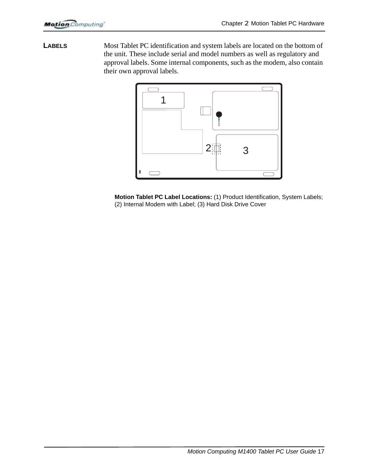<span id="page-23-0"></span>**LABELS** Most Tablet PC identification and system labels are located on the bottom of the unit. These include serial and model numbers as well as regulatory and approval labels. Some internal components, such as the modem, also contain their own approval labels.



**Motion Tablet PC Label Locations:** (1) Product Identification, System Labels; (2) Internal Modem with Label; (3) Hard Disk Drive Cover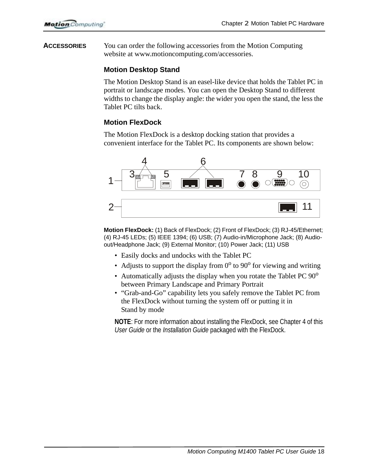<span id="page-24-0"></span>**ACCESSORIES** You can order the following accessories from the Motion Computing website at www.motioncomputing.com/accessories.

#### <span id="page-24-1"></span>**Motion Desktop Stand**

The Motion Desktop Stand is an easel-like device that holds the Tablet PC in portrait or landscape modes. You can open the Desktop Stand to different widths to change the display angle: the wider you open the stand, the less the Tablet PC tilts back.

#### <span id="page-24-2"></span>**Motion FlexDock**

The Motion FlexDock is a desktop docking station that provides a convenient interface for the Tablet PC. Its components are shown below:



**Motion FlexDock:** (1) Back of FlexDock; (2) Front of FlexDock; (3) RJ-45/Ethernet; (4) RJ-45 LEDs; (5) IEEE 1394; (6) USB; (7) Audio-in/Microphone Jack; (8) Audioout/Headphone Jack; (9) External Monitor; (10) Power Jack; (11) USB

- Easily docks and undocks with the Tablet PC
- Adjusts to support the display from  $0^{\circ}$  to  $90^{\circ}$  for viewing and writing
- Automatically adjusts the display when you rotate the Tablet PC  $90^{\circ}$ between Primary Landscape and Primary Portrait
- "Grab-and-Go" capability lets you safely remove the Tablet PC from the FlexDock without turning the system off or putting it in Stand by mode

**NOTE**: For more information about installing the FlexDock, see Chapter 4 of this *User Guide* or the *Installation Guide* packaged with the FlexDock.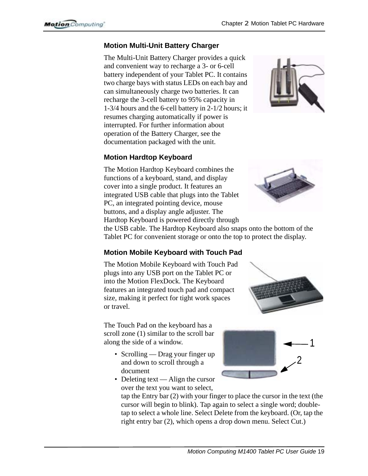#### <span id="page-25-0"></span>**Motion Multi-Unit Battery Charger**

The Multi-Unit Battery Charger provides a quick and convenient way to recharge a 3- or 6-cell battery independent of your Tablet PC. It contains two charge bays with status LEDs on each bay and can simultaneously charge two batteries. It can recharge the 3-cell battery to 95% capacity in 1-3/4 hours and the 6-cell battery in 2-1/2 hours; it resumes charging automatically if power is interrupted. For further information about operation of the Battery Charger, see the documentation packaged with the unit.

#### <span id="page-25-1"></span>**Motion Hardtop Keyboard**

The Motion Hardtop Keyboard combines the functions of a keyboard, stand, and display cover into a single product. It features an integrated USB cable that plugs into the Tablet PC, an integrated pointing device, mouse buttons, and a display angle adjuster. The Hardtop Keyboard is powered directly through



the USB cable. The Hardtop Keyboard also snaps onto the bottom of the Tablet PC for convenient storage or onto the top to protect the display.

#### <span id="page-25-2"></span>**Motion Mobile Keyboard with Touch Pad**

The Motion Mobile Keyboard with Touch Pad plugs into any USB port on the Tablet PC or into the Motion FlexDock. The Keyboard features an integrated touch pad and compact size, making it perfect for tight work spaces or travel.

The Touch Pad on the keyboard has a scroll zone (1) similar to the scroll bar along the side of a window.

- Scrolling Drag your finger up and down to scroll through a document
- Deleting text Align the cursor over the text you want to select,





tap the Entry bar (2) with your finger to place the cursor in the text (the cursor will begin to blink). Tap again to select a single word; doubletap to select a whole line. Select Delete from the keyboard. (Or, tap the right entry bar (2), which opens a drop down menu. Select Cut.)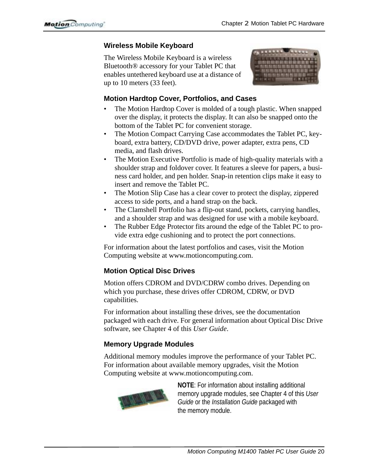#### **Wireless Mobile Keyboard**

The Wireless Mobile Keyboard is a wireless Bluetooth*®* accessory for your Tablet PC that enables untethered keyboard use at a distance of up to 10 meters (33 feet).



#### **Motion Hardtop Cover, Portfolios, and Cases**

- The Motion Hardtop Cover is molded of a tough plastic. When snapped over the display, it protects the display. It can also be snapped onto the bottom of the Tablet PC for convenient storage.
- The Motion Compact Carrying Case accommodates the Tablet PC, keyboard, extra battery, CD/DVD drive, power adapter, extra pens, CD media, and flash drives.
- The Motion Executive Portfolio is made of high-quality materials with a shoulder strap and foldover cover. It features a sleeve for papers, a business card holder, and pen holder. Snap-in retention clips make it easy to insert and remove the Tablet PC.
- The Motion Slip Case has a clear cover to protect the display, zippered access to side ports, and a hand strap on the back.
- The Clamshell Portfolio has a flip-out stand, pockets, carrying handles, and a shoulder strap and was designed for use with a mobile keyboard.
- The Rubber Edge Protector fits around the edge of the Tablet PC to provide extra edge cushioning and to protect the port connections.

For information about the latest portfolios and cases, visit the Motion Computing website at www.motioncomputing.com.

#### <span id="page-26-0"></span>**Motion Optical Disc Drives**

Motion offers CDROM and DVD/CDRW combo drives. Depending on which you purchase, these drives offer CDROM, CDRW, or DVD capabilities.

For information about installing these drives, see the documentation packaged with each drive. For general information about Optical Disc Drive software, see Chapter 4 of this *User Guide*.

#### **Memory Upgrade Modules**

Additional memory modules improve the performance of your Tablet PC. For information about available memory upgrades, visit the Motion Computing website at www.motioncomputing.com.



**NOTE**: For information about installing additional memory upgrade modules, see Chapter 4 of this *User Guide* or the *Installation Guide* packaged with the memory module.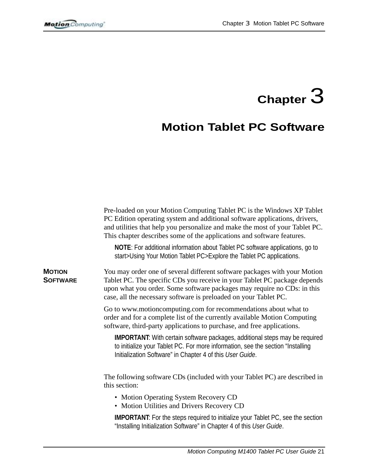# **Chapter**  $3$

# **Motion Tablet PC Software**

<span id="page-27-0"></span>

|                                  | Pre-loaded on your Motion Computing Tablet PC is the Windows XP Tablet<br>PC Edition operating system and additional software applications, drivers,<br>and utilities that help you personalize and make the most of your Tablet PC.<br>This chapter describes some of the applications and software features. |
|----------------------------------|----------------------------------------------------------------------------------------------------------------------------------------------------------------------------------------------------------------------------------------------------------------------------------------------------------------|
|                                  | NOTE: For additional information about Tablet PC software applications, go to<br>start>Using Your Motion Tablet PC>Explore the Tablet PC applications.                                                                                                                                                         |
| <b>MOTION</b><br><b>SOFTWARE</b> | You may order one of several different software packages with your Motion<br>Tablet PC. The specific CDs you receive in your Tablet PC package depends<br>upon what you order. Some software packages may require no CDs: in this<br>case, all the necessary software is preloaded on your Tablet PC.          |
|                                  | Go to www.motioncomputing.com for recommendations about what to<br>order and for a complete list of the currently available Motion Computing<br>software, third-party applications to purchase, and free applications.                                                                                         |
|                                  | <b>IMPORTANT:</b> With certain software packages, additional steps may be required<br>to initialize your Tablet PC. For more information, see the section "Installing<br>Initialization Software" in Chapter 4 of this User Guide.                                                                             |
|                                  | The following software CDs (included with your Tablet PC) are described in<br>this section:                                                                                                                                                                                                                    |
|                                  | • Motion Operating System Recovery CD<br>• Motion Utilities and Drivers Recovery CD                                                                                                                                                                                                                            |
|                                  | <b>IMPORTANT:</b> For the steps required to initialize your Tablet PC, see the section<br>"Installing Initialization Software" in Chapter 4 of this User Guide.                                                                                                                                                |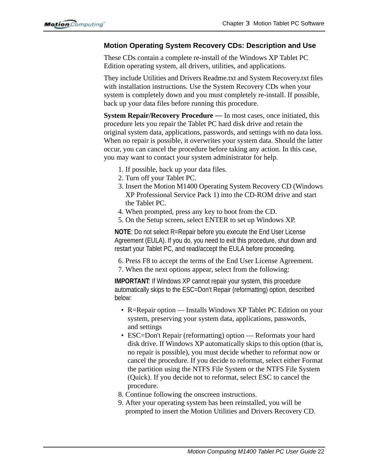#### <span id="page-28-0"></span>**Motion Operating System Recovery CDs: Description and Use**

These CDs contain a complete re-install of the Windows XP Tablet PC Edition operating system, all drivers, utilities, and applications.

They include Utilities and Drivers Readme.txt and System Recovery.txt files with installation instructions. Use the System Recovery CDs when your system is completely down and you must completely re-install. If possible, back up your data files before running this procedure.

**System Repair/Recovery Procedure** — In most cases, once initiated, this procedure lets you repair the Tablet PC hard disk drive and retain the original system data, applications, passwords, and settings with no data loss. When no repair is possible, it overwrites your system data. Should the latter occur, you can cancel the procedure before taking any action. In this case, you may want to contact your system administrator for help.

- 1. If possible, back up your data files.
- 2. Turn off your Tablet PC.
- 3. Insert the Motion M1400 Operating System Recovery CD (Windows XP Professional Service Pack 1) into the CD-ROM drive and start the Tablet PC.
- 4. When prompted, press any key to boot from the CD.
- 5. On the Setup screen, select ENTER to set up Windows XP.

**NOTE**: Do not select R=Repair before you execute the End User License Agreement (EULA). If you do, you need to exit this procedure, shut down and restart your Tablet PC, and read/accept the EULA before proceeding.

- 6. Press F8 to accept the terms of the End User License Agreement.
- 7. When the next options appear, select from the following:

**IMPORTANT:** If Windows XP cannot repair your system, this procedure automatically skips to the ESC=Don't Repair (reformatting) option, described below:

- R=Repair option Installs Windows XP Tablet PC Edition on your system, preserving your system data, applications, passwords, and settings
- ESC=Don't Repair (reformatting) option Reformats your hard disk drive. If Windows XP automatically skips to this option (that is, no repair is possible), you must decide whether to reformat now or cancel the procedure. If you decide to reformat, select either Format the partition using the NTFS File System or the NTFS File System (Quick). If you decide not to reformat, select ESC to cancel the procedure.
- 8. Continue following the onscreen instructions.
- 9. After your operating system has been reinstalled, you will be prompted to insert the Motion Utilities and Drivers Recovery CD.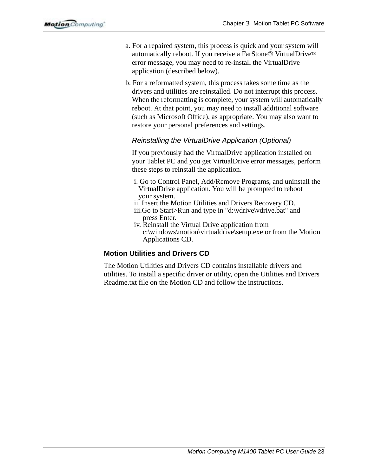- a. For a repaired system, this process is quick and your system will automatically reboot. If you receive a FarStone<sup>®</sup> VirtualDrive<sup>™</sup> error message, you may need to re-install the VirtualDrive application (described below).
- b. For a reformatted system, this process takes some time as the drivers and utilities are reinstalled. Do not interrupt this process. When the reformatting is complete, your system will automatically reboot. At that point, you may need to install additional software (such as Microsoft Office), as appropriate. You may also want to restore your personal preferences and settings.

#### <span id="page-29-0"></span>*Reinstalling the VirtualDrive Application (Optional)*

If you previously had the VirtualDrive application installed on your Tablet PC and you get VirtualDrive error messages, perform these steps to reinstall the application.

- i. Go to Control Panel, Add/Remove Programs, and uninstall the VirtualDrive application. You will be prompted to reboot your system.
- ii. Insert the Motion Utilities and Drivers Recovery CD.
- iii.Go to Start>Run and type in "d:\vdrive\vdrive.bat" and press Enter.
- iv. Reinstall the Virtual Drive application from c:\windows\motion\virtualdrive\setup.exe or from the Motion Applications CD.

#### <span id="page-29-1"></span>**Motion Utilities and Drivers CD**

The Motion Utilities and Drivers CD contains installable drivers and utilities. To install a specific driver or utility, open the Utilities and Drivers Readme.txt file on the Motion CD and follow the instructions.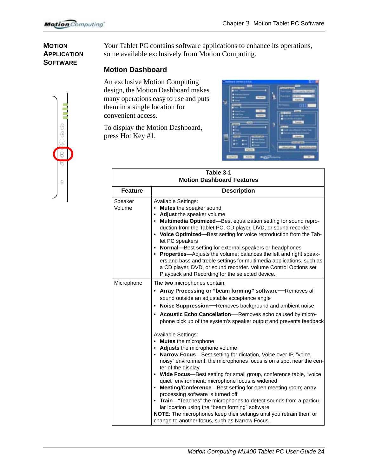#### <span id="page-30-0"></span>**MOTION APPLICATION SOFTWARE**

Your Tablet PC contains software applications to enhance its operations, some available exclusively from Motion Computing.

#### <span id="page-30-1"></span>**Motion Dashboard**

An exclusive Motion Computing design, the Motion Dashboard makes many operations easy to use and puts them in a single location for convenient access.

To display the Motion Dashboard, press Hot Key #1.

| <b>Technical Devise: (2019)</b><br>دعه<br><b>Address College</b><br><b>Bank</b><br>y | $\overline{a}$<br><b>Color</b><br>As looked 11<br>٠<br>$15 -$<br>ाम |
|--------------------------------------------------------------------------------------|---------------------------------------------------------------------|
| <b>Call</b>                                                                          |                                                                     |
| h an                                                                                 | लाम                                                                 |
| <b>Side</b>                                                                          | p                                                                   |
| and the party                                                                        | --                                                                  |
| ٠                                                                                    | ۰                                                                   |
| --                                                                                   | <b>STATISTICS</b>                                                   |
| <b>House</b>                                                                         | authorized before                                                   |
| carTeel                                                                              | <b>Table</b>                                                        |
| the <sup>a</sup>                                                                     | $\sim$                                                              |

|                   | Table 3-1<br><b>Motion Dashboard Features</b>                                                                                                                                                                                                                                                                                                                                                                                                                                                                                                                                                                                                    |
|-------------------|--------------------------------------------------------------------------------------------------------------------------------------------------------------------------------------------------------------------------------------------------------------------------------------------------------------------------------------------------------------------------------------------------------------------------------------------------------------------------------------------------------------------------------------------------------------------------------------------------------------------------------------------------|
| <b>Feature</b>    | <b>Description</b>                                                                                                                                                                                                                                                                                                                                                                                                                                                                                                                                                                                                                               |
| Speaker<br>Volume | Available Settings:<br>Mutes the speaker sound<br>• Adjust the speaker volume<br>• Multimedia Optimized-Best equalization setting for sound repro-<br>duction from the Tablet PC, CD player, DVD, or sound recorder<br>• Voice Optimized-Best setting for voice reproduction from the Tab-<br>let PC speakers<br>• Normal-Best setting for external speakers or headphones<br>• Properties-Adjusts the volume; balances the left and right speak-<br>ers and bass and treble settings for multimedia applications, such as<br>a CD player, DVD, or sound recorder. Volume Control Options set<br>Playback and Recording for the selected device. |
| Microphone        | The two microphones contain:<br>• Array Processing or "beam forming" software-Removes all<br>sound outside an adjustable acceptance angle<br>Noise Suppression-Removes background and ambient noise<br>Acoustic Echo Cancellation-Removes echo caused by micro-<br>phone pick up of the system's speaker output and prevents feedback<br>Available Settings:<br>• Mutes the microphone<br>• Adjusts the microphone volume                                                                                                                                                                                                                        |
|                   | • Narrow Focus-Best setting for dictation, Voice over IP, "voice<br>noisy" environment; the microphones focus is on a spot near the cen-<br>ter of the display<br>• Wide Focus-Best setting for small group, conference table, "voice<br>quiet" environment; microphone focus is widened<br>• Meeting/Conference-Best setting for open meeting room; array<br>processing software is turned off<br>• Train-"Teaches" the microphones to detect sounds from a particu-<br>lar location using the "beam forming" software<br>NOTE: The microphones keep their settings until you retrain them or<br>change to another focus, such as Narrow Focus. |

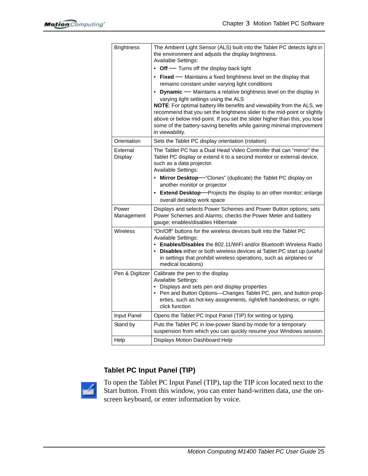| <b>Brightness</b>   | The Ambient Light Sensor (ALS) built into the Tablet PC detects light in<br>the environment and adjusts the display brightness.<br>Available Settings:                                                                                                                                                                                                                                                                                         |
|---------------------|------------------------------------------------------------------------------------------------------------------------------------------------------------------------------------------------------------------------------------------------------------------------------------------------------------------------------------------------------------------------------------------------------------------------------------------------|
|                     | Off - Turns off the display back light                                                                                                                                                                                                                                                                                                                                                                                                         |
|                     | • Fixed - Maintains a fixed brightness level on the display that<br>remains constant under varying light conditions                                                                                                                                                                                                                                                                                                                            |
|                     | • Dynamic - Maintains a relative brightness level on the display in<br>varying light settings using the ALS<br>NOTE: For optimal battery life benefits and viewability from the ALS, we<br>recommend that you set the brightness slider to the mid-point or slightly<br>above or below mid-point. If you set the slider higher than this, you lose<br>some of the battery-saving benefits while gaining minimal improvement<br>in viewability. |
| Orientation         | Sets the Tablet PC display orientation (rotation)                                                                                                                                                                                                                                                                                                                                                                                              |
| External<br>Display | The Tablet PC has a Dual Head Video Controller that can "mirror" the<br>Tablet PC display or extend it to a second monitor or external device,<br>such as a data projector.<br>Available Settings:                                                                                                                                                                                                                                             |
|                     | Mirror Desktop-"Clones" (duplicate) the Tablet PC display on                                                                                                                                                                                                                                                                                                                                                                                   |
|                     | another monitor or projector<br><b>Extend Desktop</b> —Projects the display to an other monitor; enlarge                                                                                                                                                                                                                                                                                                                                       |
|                     | overall desktop work space                                                                                                                                                                                                                                                                                                                                                                                                                     |
| Power<br>Management | Displays and selects Power Schemes and Power Button options; sets<br>Power Schemes and Alarms; checks the Power Meter and battery<br>gauge; enables/disables Hibernate                                                                                                                                                                                                                                                                         |
| Wireless            | "On/Off" buttons for the wireless devices built into the Tablet PC<br>Available Settings:<br>• Enables/Disables the 802.11/WiFi and/or Bluetooth Wireless Radio<br>• Disables either or both wireless devices at Tablet PC start up (useful<br>in settings that prohibit wireless operations, such as airplanes or<br>medical locations)                                                                                                       |
| Pen & Digitizer     | Calibrate the pen to the display.<br><b>Available Settings:</b><br>• Displays and sets pen and display properties<br>• Pen and Button Options-Changes Tablet PC, pen, and button prop-<br>erties, such as hot-key assignments, right/left handedness, or right-<br>click function                                                                                                                                                              |
| Input Panel         | Opens the Tablet PC Input Panel (TIP) for writing or typing                                                                                                                                                                                                                                                                                                                                                                                    |
| Stand by            | Puts the Tablet PC in low-power Stand by mode for a temporary<br>suspension from which you can quickly resume your Windows session.                                                                                                                                                                                                                                                                                                            |
| Help                | Displays Motion Dashboard Help                                                                                                                                                                                                                                                                                                                                                                                                                 |

#### <span id="page-31-0"></span>**Tablet PC Input Panel (TIP)**



To open the Tablet PC Input Panel (TIP), tap the TIP icon located next to the Start button. From this window, you can enter hand-written data, use the onscreen keyboard, or enter information by voice.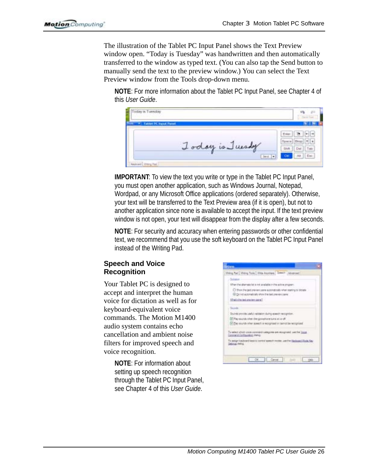The illustration of the Tablet PC Input Panel shows the Text Preview window open. "Today is Tuesday" was handwritten and then automatically transferred to the window as typed text. (You can also tap the Send button to manually send the text to the preview window.) You can select the Text Preview window from the Tools drop-down menu.

**NOTE**: For more information about the Tablet PC Input Panel, see Chapter 4 of this *User Guide*.



**IMPORTANT:** To view the text you write or type in the Tablet PC Input Panel, you must open another application, such as Windows Journal, Notepad, Wordpad, or any Microsoft Office applications (ordered separately). Otherwise, your text will be transferred to the Text Preview area (if it is open), but not to another application since none is available to accept the input. If the text preview window is not open, your text will disappear from the display after a few seconds.

**NOTE**: For security and accuracy when entering passwords or other confidential text, we recommend that you use the soft keyboard on the Tablet PC Input Panel instead of the Writing Pad.

#### <span id="page-32-0"></span>**Speech and Voice Recognition**

Your Tablet PC is designed to accept and interpret the human voice for dictation as well as for keyboard-equivalent voice commands. The Motion M1400 audio system contains echo cancellation and ambient noise filters for improved speech and voice recognition.

> **NOTE**: For information about setting up speech recognition through the Tablet PC Input Panel, see Chapter 4 of this *User Guide*.

|                                                  |                                         | Viens Fad   Viens Took   Wite Journals   Deech   Advanced                                                                                                                                                            |  |
|--------------------------------------------------|-----------------------------------------|----------------------------------------------------------------------------------------------------------------------------------------------------------------------------------------------------------------------|--|
| Dobabus                                          |                                         |                                                                                                                                                                                                                      |  |
|                                                  |                                         | When the absorption to the analytic milita soft a program.                                                                                                                                                           |  |
|                                                  |                                         | C) then the pet premier pane automaticals when starting to states<br>ED De not automatically where the fast preview parrel                                                                                           |  |
|                                                  | TChad to drep the durant program of a   |                                                                                                                                                                                                                      |  |
| <b>Smarshi</b>                                   |                                         |                                                                                                                                                                                                                      |  |
|                                                  |                                         | Sounds provide useful relideliats during epeech recognition.                                                                                                                                                         |  |
|                                                  | The track and the complete three of the |                                                                                                                                                                                                                      |  |
|                                                  |                                         | in the sounds when speech a recognised in carrick be recognised.                                                                                                                                                     |  |
| Connerd Configuration status<br>Delivery chelled |                                         | To select affair your contract categories are recognated batches (past -<br>To easign keybnard keys to torthal speech modes, just the Sindopad Made Key.<br>the complete state of the complete state of the complete |  |
|                                                  |                                         |                                                                                                                                                                                                                      |  |
|                                                  |                                         |                                                                                                                                                                                                                      |  |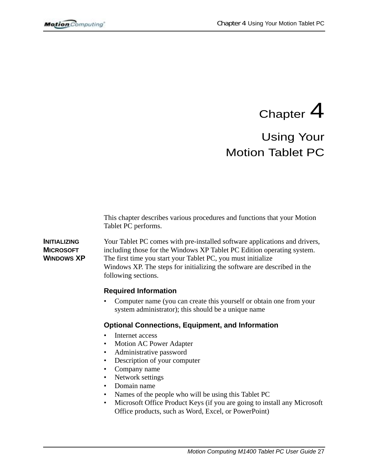

# Using Your Motion Tablet PC

This chapter describes various procedures and functions that your Motion Tablet PC performs.

<span id="page-33-0"></span>**INITIALIZING MICROSOFT WINDOWS XP** Your Tablet PC comes with pre-installed software applications and drivers, including those for the Windows XP Tablet PC Edition operating system. The first time you start your Tablet PC, you must initialize Windows XP. The steps for initializing the software are described in the following sections.

#### <span id="page-33-1"></span>**Required Information**

• Computer name (you can create this yourself or obtain one from your system administrator); this should be a unique name

#### <span id="page-33-2"></span>**Optional Connections, Equipment, and Information**

- Internet access
- Motion AC Power Adapter
- Administrative password
- Description of your computer
- Company name
- Network settings
- Domain name
- Names of the people who will be using this Tablet PC
- Microsoft Office Product Keys (if you are going to install any Microsoft Office products, such as Word, Excel, or PowerPoint)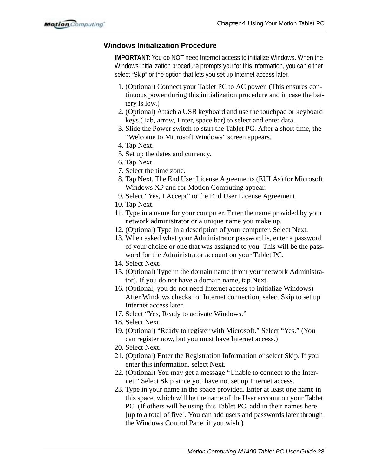#### <span id="page-34-0"></span>**Windows Initialization Procedure**

**IMPORTANT**: You do NOT need Internet access to initialize Windows. When the Windows initialization procedure prompts you for this information, you can either select "Skip" or the option that lets you set up Internet access later.

- 1. (Optional) Connect your Tablet PC to AC power. (This ensures continuous power during this initialization procedure and in case the battery is low.)
- 2. (Optional) Attach a USB keyboard and use the touchpad or keyboard keys (Tab, arrow, Enter, space bar) to select and enter data.
- 3. Slide the Power switch to start the Tablet PC. After a short time, the "Welcome to Microsoft Windows" screen appears.
- 4. Tap Next.
- 5. Set up the dates and currency.
- 6. Tap Next.
- 7. Select the time zone.
- 8. Tap Next. The End User License Agreements (EULAs) for Microsoft Windows XP and for Motion Computing appear.
- 9. Select "Yes, I Accept" to the End User License Agreement
- 10. Tap Next.
- 11. Type in a name for your computer. Enter the name provided by your network administrator or a unique name you make up.
- 12. (Optional) Type in a description of your computer. Select Next.
- 13. When asked what your Administrator password is, enter a password of your choice or one that was assigned to you. This will be the password for the Administrator account on your Tablet PC.
- 14. Select Next.
- 15. (Optional) Type in the domain name (from your network Administrator). If you do not have a domain name, tap Next.
- 16. (Optional; you do not need Internet access to initialize Windows) After Windows checks for Internet connection, select Skip to set up Internet access later.
- 17. Select "Yes, Ready to activate Windows."
- 18. Select Next.
- 19. (Optional) "Ready to register with Microsoft." Select "Yes." (You can register now, but you must have Internet access.)
- 20. Select Next.
- 21. (Optional) Enter the Registration Information or select Skip. If you enter this information, select Next.
- 22. (Optional) You may get a message "Unable to connect to the Internet." Select Skip since you have not set up Internet access.
- 23. Type in your name in the space provided. Enter at least one name in this space, which will be the name of the User account on your Tablet PC. (If others will be using this Tablet PC, add in their names here [up to a total of five]. You can add users and passwords later through the Windows Control Panel if you wish.)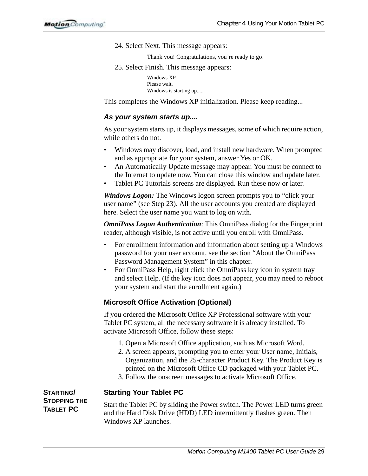24. Select Next. This message appears:

Thank you! Congratulations, you're ready to go!

25. Select Finish. This message appears:

Windows XP Please wait. Windows is starting up.....

This completes the Windows XP initialization. Please keep reading...

#### *As your system starts up....*

As your system starts up, it displays messages, some of which require action, while others do not.

- Windows may discover, load, and install new hardware. When prompted and as appropriate for your system, answer Yes or OK.
- An Automatically Update message may appear. You must be connect to the Internet to update now. You can close this window and update later.
- Tablet PC Tutorials screens are displayed. Run these now or later.

*Windows Logon:* The Windows logon screen prompts you to "click your user name" (see Step 23). All the user accounts you created are displayed here. Select the user name you want to log on with.

*OmniPass Logon Authentication*: This OmniPass dialog for the Fingerprint reader, although visible, is not active until you enroll with OmniPass.

- For enrollment information and information about setting up a Windows password for your user account, see the section "About the OmniPass Password Management System" in this chapter.
- For OmniPass Help, right click the OmniPass key icon in system tray and select Help. (If the key icon does not appear, you may need to reboot your system and start the enrollment again.)

#### <span id="page-35-0"></span>**Microsoft Office Activation (Optional)**

If you ordered the Microsoft Office XP Professional software with your Tablet PC system, all the necessary software it is already installed. To activate Microsoft Office, follow these steps:

- 1. Open a Microsoft Office application, such as Microsoft Word.
- 2. A screen appears, prompting you to enter your User name, Initials, Organization, and the 25-character Product Key. The Product Key is printed on the Microsoft Office CD packaged with your Tablet PC.
- 3. Follow the onscreen messages to activate Microsoft Office.

<span id="page-35-1"></span>**STARTING/ STOPPING THE TABLET PC**

#### <span id="page-35-2"></span>**Starting Your Tablet PC**

Start the Tablet PC by sliding the Power switch. The Power LED turns green and the Hard Disk Drive (HDD) LED intermittently flashes green. Then Windows XP launches.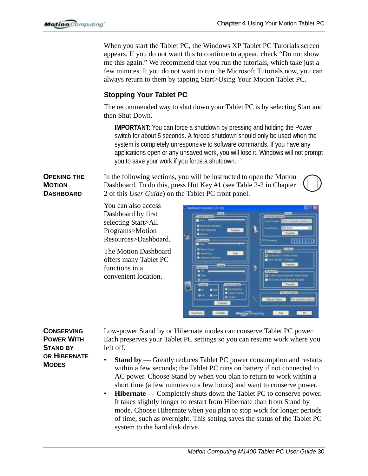When you start the Tablet PC, the Windows XP Tablet PC Tutorials screen appears. If you do not want this to continue to appear, check "Do not show me this again." We recommend that you run the tutorials, which take just a few minutes. It you do not want to run the Microsoft Tutorials now, you can always return to them by tapping Start>Using Your Motion Tablet PC.

# **Stopping Your Tablet PC**

The recommended way to shut down your Tablet PC is by selecting Start and then Shut Down.

**IMPORTANT**: You can force a shutdown by pressing and holding the Power switch for about 5 seconds. A forced shutdown should only be used when the system is completely unresponsive to software commands. If you have any applications open or any unsaved work, you will lose it. Windows will not prompt you to save your work if you force a shutdown.

**OPENING THE MOTION DASHBOARD** In the following sections, you will be instructed to open the Motion Dashboard. To do this, press Hot Key #1 (see Table 2-2 in Chapter 2 of this *User Guide*) on the Tablet PC front panel.



You can also access Dashboard by first selecting Start>All Programs>Motion Resources>Dashboard.

The Motion Dashboard offers many Tablet PC functions in a convenient location.



#### **CONSERVING POWER WITH STAND BY OR HIBERNATE MODES**

Low-power Stand by or Hibernate modes can conserve Tablet PC power. Each preserves your Tablet PC settings so you can resume work where you left off.

- Stand by Greatly reduces Tablet PC power consumption and restarts within a few seconds; the Tablet PC runs on battery if not connected to AC power. Choose Stand by when you plan to return to work within a short time (a few minutes to a few hours) and want to conserve power.
- **Hibernate** Completely shuts down the Tablet PC to conserve power. It takes slightly longer to restart from Hibernate than from Stand by mode. Choose Hibernate when you plan to stop work for longer periods of time, such as overnight. This setting saves the status of the Tablet PC system to the hard disk drive.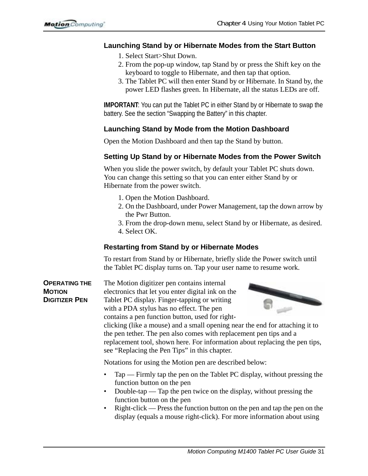#### **Launching Stand by or Hibernate Modes from the Start Button**

- 1. Select Start>Shut Down.
- 2. From the pop-up window, tap Stand by or press the Shift key on the keyboard to toggle to Hibernate, and then tap that option.
- 3. The Tablet PC will then enter Stand by or Hibernate. In Stand by, the power LED flashes green. In Hibernate, all the status LEDs are off.

**IMPORTANT**: You can put the Tablet PC in either Stand by or Hibernate to swap the battery. See the section "Swapping the Battery" in this chapter.

#### **Launching Stand by Mode from the Motion Dashboard**

Open the Motion Dashboard and then tap the Stand by button.

#### **Setting Up Stand by or Hibernate Modes from the Power Switch**

When you slide the power switch, by default your Tablet PC shuts down. You can change this setting so that you can enter either Stand by or Hibernate from the power switch.

- 1. Open the Motion Dashboard.
- 2. On the Dashboard, under Power Management, tap the down arrow by the Pwr Button.
- 3. From the drop-down menu, select Stand by or Hibernate, as desired. 4. Select OK.

#### **Restarting from Stand by or Hibernate Modes**

To restart from Stand by or Hibernate, briefly slide the Power switch until the Tablet PC display turns on. Tap your user name to resume work.

**OPERATING THE MOTION DIGITIZER PEN** The Motion digitizer pen contains internal electronics that let you enter digital ink on the Tablet PC display. Finger-tapping or writing with a PDA stylus has no effect. The pen



clicking (like a mouse) and a small opening near the end for attaching it to the pen tether. The pen also comes with replacement pen tips and a replacement tool, shown here. For information about replacing the pen tips, see "Replacing the Pen Tips" in this chapter.

Notations for using the Motion pen are described below:

contains a pen function button, used for right-

- Tap Firmly tap the pen on the Tablet PC display, without pressing the function button on the pen
- Double-tap Tap the pen twice on the display, without pressing the function button on the pen
- Right-click Press the function button on the pen and tap the pen on the display (equals a mouse right-click). For more information about using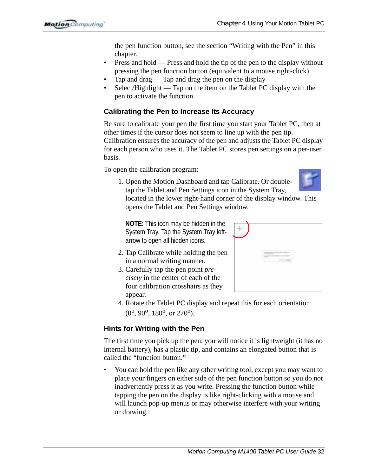the pen function button, see the section "Writing with the Pen" in this chapter.

- Press and hold Press and hold the tip of the pen to the display without pressing the pen function button (equivalent to a mouse right-click)
- Tap and drag Tap and drag the pen on the display
- Select/Highlight Tap on the item on the Tablet PC display with the pen to activate the function

## **Calibrating the Pen to Increase Its Accuracy**

Be sure to calibrate your pen the first time you start your Tablet PC, then at other times if the cursor does not seem to line up with the pen tip. Calibration ensures the accuracy of the pen and adjusts the Tablet PC display for each person who uses it. The Tablet PC stores pen settings on a per-user basis.

1. Open the Motion Dashboard and tap Calibrate. Or double-

To open the calibration program:



tap the Tablet and Pen Settings icon in the System Tray, located in the lower right-hand corner of the display window. This opens the Tablet and Pen Settings window.

**NOTE**: This icon may be hidden in the System Tray. Tap the System Tray leftarrow to open all hidden icons.

- 2. Tap Calibrate while holding the pen in a normal writing manner.
- 3. Carefully tap the pen point *precisely* in the center of each of the four calibration crosshairs as they appear.



4. Rotate the Tablet PC display and repeat this for each orientation  $(0^{\circ}, 90^{\circ}, 180^{\circ}, \text{ or } 270^{\circ}).$ 

## **Hints for Writing with the Pen**

The first time you pick up the pen, you will notice it is lightweight (it has no internal battery), has a plastic tip, and contains an elongated button that is called the "function button."

• You can hold the pen like any other writing tool, except you may want to place your fingers on either side of the pen function button so you do not inadvertently press it as you write. Pressing the function button while tapping the pen on the display is like right-clicking with a mouse and will launch pop-up menus or may otherwise interfere with your writing or drawing.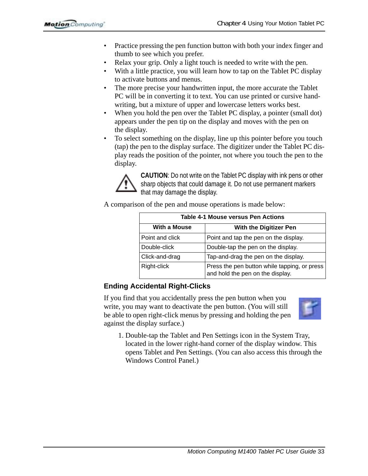- Practice pressing the pen function button with both your index finger and thumb to see which you prefer.
- Relax your grip. Only a light touch is needed to write with the pen.
- With a little practice, you will learn how to tap on the Tablet PC display to activate buttons and menus.
- The more precise your handwritten input, the more accurate the Tablet PC will be in converting it to text. You can use printed or cursive handwriting, but a mixture of upper and lowercase letters works best.
- When you hold the pen over the Tablet PC display, a pointer (small dot) appears under the pen tip on the display and moves with the pen on the display.
- To select something on the display, line up this pointer before you touch (tap) the pen to the display surface. The digitizer under the Tablet PC display reads the position of the pointer, not where you touch the pen to the display.



**CAUTION**: Do not write on the Tablet PC display with ink pens or other sharp objects that could damage it. Do not use permanent markers that may damage the display.

A comparison of the pen and mouse operations is made below:

| Table 4-1 Mouse versus Pen Actions |                                                                                  |  |
|------------------------------------|----------------------------------------------------------------------------------|--|
| With a Mouse                       | <b>With the Digitizer Pen</b>                                                    |  |
| Point and click                    | Point and tap the pen on the display.                                            |  |
| Double-click                       | Double-tap the pen on the display.                                               |  |
| Click-and-drag                     | Tap-and-drag the pen on the display.                                             |  |
| Right-click                        | Press the pen button while tapping, or press<br>and hold the pen on the display. |  |

#### **Ending Accidental Right-Clicks**

If you find that you accidentally press the pen button when you write, you may want to deactivate the pen button. (You will still be able to open right-click menus by pressing and holding the pen against the display surface.)



1. Double-tap the Tablet and Pen Settings icon in the System Tray, located in the lower right-hand corner of the display window. This opens Tablet and Pen Settings. (You can also access this through the Windows Control Panel.)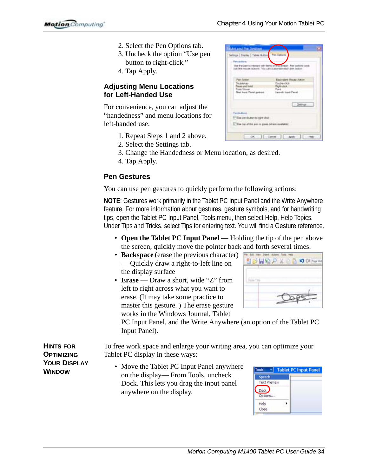- 2. Select the Pen Options tab.
- 3. Uncheck the option "Use pen button to right-click."
- 4. Tap Apply.

#### **Adjusting Menu Locations for Left-Handed Use**

For convenience, you can adjust the "handedness" and menu locations for left-handed use.

- 1. Repeat Steps 1 and 2 above.
- 2. Select the Settings tab.
- 3. Change the Handedness or Menu location, as desired.
- 4. Tap Apply.

#### **Pen Gestures**

You can use pen gestures to quickly perform the following actions:

**NOTE**: Gestures work primarily in the Tablet PC Input Panel and the Write Anywhere feature. For more information about gestures, gesture symbols, and for handwriting tips, open the Tablet PC Input Panel, Tools menu, then select Help, Help Topics. Under Tips and Tricks, select Tips for entering text. You will find a Gesture reference.

- **Open the Tablet PC Input Panel** Holding the tip of the pen above the screen, quickly move the pointer back and forth several times.
- **Backspace** (erase the previous character) — Quickly draw a right-to-left line on the display surface
- **Erase** Draw a short, wide "Z" from left to right across what you want to erase. (It may take some practice to master this gesture. ) The erase gesture works in the Windows Journal, Tablet



PC Input Panel, and the Write Anywhere (an option of the Tablet PC Input Panel).

To free work space and enlarge your writing area, you can optimize your Tablet PC display in these ways:

• Move the Tablet PC Input Panel anywhere on the display— From Tools, uncheck Dock. This lets you drag the input panel anywhere on the display.

| Tools               | <b>Tablet PC Input Panel</b> |  |
|---------------------|------------------------------|--|
| Speech              |                              |  |
| <b>Text Preview</b> |                              |  |
| Dock                |                              |  |
| Options             |                              |  |
|                     |                              |  |
|                     |                              |  |

**HINTS FOR OPTIMIZING YOUR DISPLAY WINDOW**

| Settings   Drapher   Tablet Button<br>Percentage             |                                              |
|--------------------------------------------------------------|----------------------------------------------|
| Use the part to History) with terms an the acream            | Pan autom work                               |
| just line mouse authors. You can customal electrices author. |                                              |
| Part Action                                                  | Equivalent Missou Action                     |
| The internation                                              | Drable cirk                                  |
| Preser good hotel<br>Ford House                              | <b>Right click</b><br>Fourte                 |
| <b>Bart Input Fanal gas</b>                                  | Leurch Irond Parel<br><b>HOLD INVESTIGAT</b> |
|                                                              | 1.509                                        |
| Peri bulbarak                                                |                                              |
| EPT Line per i Button to sight click                         |                                              |
| [7] Line top of the part to grass (of art acability)         |                                              |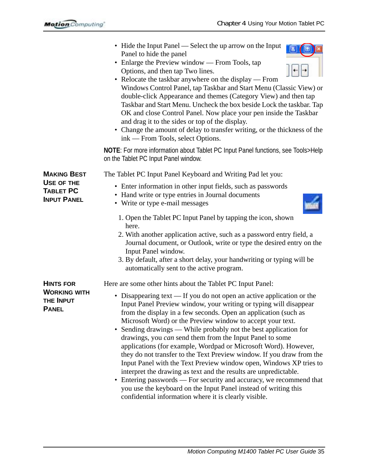|                                                                      | • Hide the Input Panel — Select the up arrow on the Input<br>Panel to hide the panel<br>• Enlarge the Preview window — From Tools, tap<br>Options, and then tap Two lines.<br>• Relocate the taskbar anywhere on the display — From<br>Windows Control Panel, tap Taskbar and Start Menu (Classic View) or<br>double-click Appearance and themes (Category View) and then tap<br>Taskbar and Start Menu. Uncheck the box beside Lock the taskbar. Tap<br>OK and close Control Panel. Now place your pen inside the Taskbar<br>and drag it to the sides or top of the display.<br>• Change the amount of delay to transfer writing, or the thickness of the<br>ink — From Tools, select Options.<br>NOTE: For more information about Tablet PC Input Panel functions, see Tools>Help<br>on the Tablet PC Input Panel window.                                                                                                                                              |
|----------------------------------------------------------------------|--------------------------------------------------------------------------------------------------------------------------------------------------------------------------------------------------------------------------------------------------------------------------------------------------------------------------------------------------------------------------------------------------------------------------------------------------------------------------------------------------------------------------------------------------------------------------------------------------------------------------------------------------------------------------------------------------------------------------------------------------------------------------------------------------------------------------------------------------------------------------------------------------------------------------------------------------------------------------|
| <b>MAKING BEST</b>                                                   | The Tablet PC Input Panel Keyboard and Writing Pad let you:                                                                                                                                                                                                                                                                                                                                                                                                                                                                                                                                                                                                                                                                                                                                                                                                                                                                                                              |
| <b>USE OF THE</b><br><b>TABLET PC</b><br><b>INPUT PANEL</b>          | • Enter information in other input fields, such as passwords<br>• Hand write or type entries in Journal documents<br>• Write or type e-mail messages                                                                                                                                                                                                                                                                                                                                                                                                                                                                                                                                                                                                                                                                                                                                                                                                                     |
|                                                                      | 1. Open the Tablet PC Input Panel by tapping the icon, shown<br>here.<br>2. With another application active, such as a password entry field, a<br>Journal document, or Outlook, write or type the desired entry on the<br>Input Panel window.<br>3. By default, after a short delay, your handwriting or typing will be<br>automatically sent to the active program.                                                                                                                                                                                                                                                                                                                                                                                                                                                                                                                                                                                                     |
| <b>HINTS FOR</b><br><b>WORKING WITH</b><br>THE INPUT<br><b>PANEL</b> | Here are some other hints about the Tablet PC Input Panel:<br>• Disappearing text — If you do not open an active application or the<br>Input Panel Preview window, your writing or typing will disappear<br>from the display in a few seconds. Open an application (such as<br>Microsoft Word) or the Preview window to accept your text.<br>Sending drawings — While probably not the best application for<br>٠<br>drawings, you can send them from the Input Panel to some<br>applications (for example, Wordpad or Microsoft Word). However,<br>they do not transfer to the Text Preview window. If you draw from the<br>Input Panel with the Text Preview window open, Windows XP tries to<br>interpret the drawing as text and the results are unpredictable.<br>Entering passwords — For security and accuracy, we recommend that<br>٠<br>you use the keyboard on the Input Panel instead of writing this<br>confidential information where it is clearly visible. |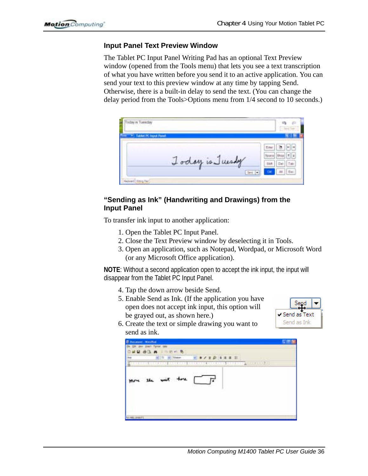#### **Input Panel Text Preview Window**

The Tablet PC Input Panel Writing Pad has an optional Text Preview window (opened from the Tools menu) that lets you see a text transcription of what you have written before you send it to an active application. You can send your text to this preview window at any time by tapping Send. Otherwise, there is a built-in delay to send the text. (You can change the delay period from the Tools>Options menu from 1/4 second to 10 seconds.)



#### **"Sending as Ink" (Handwriting and Drawings) from the Input Panel**

To transfer ink input to another application:

- 1. Open the Tablet PC Input Panel.
- 2. Close the Text Preview window by deselecting it in Tools.
- 3. Open an application, such as Notepad, Wordpad, or Microsoft Word (or any Microsoft Office application).

**NOTE**: Without a second application open to accept the ink input, the input will disappear from the Tablet PC Input Panel.

- 4. Tap the down arrow beside Send.
- 5. Enable Send as Ink. (If the application you have open does not accept ink input, this option will be grayed out, as shown here.)



6. Create the text or simple drawing you want to send as ink.

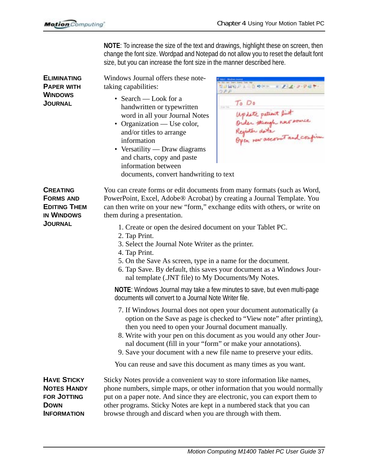**ELIMINATING PAPER WITH WINDOWS JOURNAL**

**CREATING**

**JOURNAL**

**NOTE**: To increase the size of the text and drawings, highlight these on screen, then change the font size. Wordpad and Notepad do not allow you to reset the default font size, but you can increase the font size in the manner described here.

Windows Journal offers these notetaking capabilities:

- Search Look for a handwritten or typewritten word in all your Journal Notes
- Organization Use color, and/or titles to arrange information
- Versatility Draw diagrams and charts, copy and paste information between documents, convert handwriting to text

**UDNORX SOR**  $-72.2981$ ウネギ To Do Up date patient first<br>Order stringh new source<br>Register date

**FORMS AND EDITING THEM IN WINDOWS** You can create forms or edit documents from many formats (such as Word, PowerPoint, Excel, Adobe® Acrobat) by creating a Journal Template. You can then write on your new "form," exchange edits with others, or write on them during a presentation.

- 1. Create or open the desired document on your Tablet PC.
- 2. Tap Print.
- 3. Select the Journal Note Writer as the printer.
- 4. Tap Print.
- 5. On the Save As screen, type in a name for the document.
- 6. Tap Save. By default, this saves your document as a Windows Journal template (.JNT file) to My Documents/My Notes.

**NOTE**: Windows Journal may take a few minutes to save, but even multi-page documents will convert to a Journal Note Writer file.

- 7. If Windows Journal does not open your document automatically (a option on the Save as page is checked to "View note" after printing), then you need to open your Journal document manually.
- 8. Write with your pen on this document as you would any other Journal document (fill in your "form" or make your annotations).
- 9. Save your document with a new file name to preserve your edits.

You can reuse and save this document as many times as you want.

**HAVE STICKY NOTES HANDY FOR JOTTING DOWN INFORMATION**

Sticky Notes provide a convenient way to store information like names, phone numbers, simple maps, or other information that you would normally put on a paper note. And since they are electronic, you can export them to other programs. Sticky Notes are kept in a numbered stack that you can browse through and discard when you are through with them.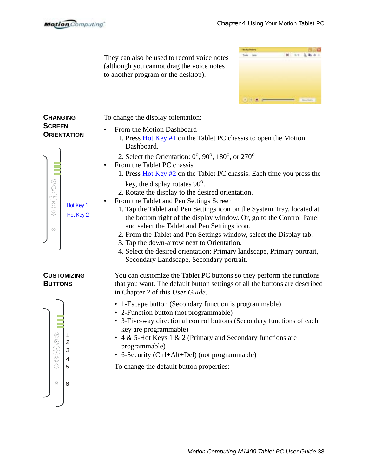They can also be used to record voice notes (although you cannot drag the voice notes to another program or the desktop).



#### **CHANGING SCREEN ORIENTATION**



To change the display orientation:

- From the Motion Dashboard
	- 1. Press Hot Key #1 on the Tablet PC chassis to open the Motion Dashboard.
	- 2. Select the Orientation:  $0^\text{o}$ ,  $90^\text{o}$ ,  $180^\text{o}$ , or  $270^\text{o}$
- From the Tablet PC chassis
	- 1. Press Hot Key #2 on the Tablet PC chassis. Each time you press the key, the display rotates  $90^\circ$ .
	- 2. Rotate the display to the desired orientation.
- From the Tablet and Pen Settings Screen
	- 1. Tap the Tablet and Pen Settings icon on the System Tray, located at the bottom right of the display window. Or, go to the Control Panel and select the Tablet and Pen Settings icon.
	- 2. From the Tablet and Pen Settings window, select the Display tab.
	- 3. Tap the down-arrow next to Orientation.
	- 4. Select the desired orientation: Primary landscape, Primary portrait, Secondary Landscape, Secondary portrait.

## **CUSTOMIZING BUTTONS**

You can customize the Tablet PC buttons so they perform the functions that you want. The default button settings of all the buttons are described in Chapter 2 of this *User Guide*.

- 1-Escape button (Secondary function is programmable)
- 2-Function button (not programmable)
- 3-Five-way directional control buttons (Secondary functions of each key are programmable)
- 4 & 5-Hot Keys 1 & 2 (Primary and Secondary functions are programmable)
- 6-Security (Ctrl+Alt+Del) (not programmable)

To change the default button properties: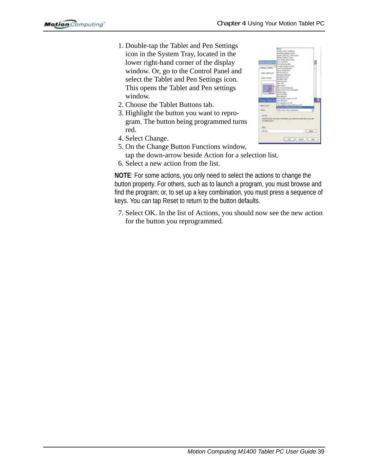- 1. Double-tap the Tablet and Pen Settings icon in the System Tray, located in the lower right-hand corner of the display window. Or, go to the Control Panel and select the Tablet and Pen Settings icon. This opens the Tablet and Pen settings window.
- 2. Choose the Tablet Buttons tab.
- 3. Highlight the button you want to reprogram. The button being programmed turns red.
- 4. Select Change.
- E. 754
- 5. On the Change Button Functions window,
	- tap the down-arrow beside Action for a selection list.
- 6. Select a new action from the list.

**NOTE**: For some actions, you only need to select the actions to change the button property. For others, such as to launch a program, you must browse and find the program; or, to set up a key combination, you must press a sequence of keys. You can tap Reset to return to the button defaults.

7. Select OK. In the list of Actions, you should now see the new action for the button you reprogrammed.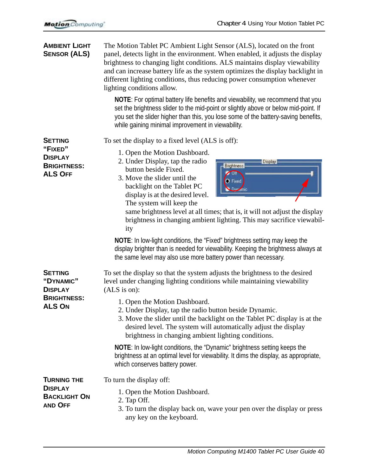| <b>AMBIENT LIGHT</b><br><b>SENSOR (ALS)</b>                       | The Motion Tablet PC Ambient Light Sensor (ALS), located on the front<br>panel, detects light in the environment. When enabled, it adjusts the display<br>brightness to changing light conditions. ALS maintains display viewability<br>and can increase battery life as the system optimizes the display backlight in<br>different lighting conditions, thus reducing power consumption whenever<br>lighting conditions allow.<br>NOTE: For optimal battery life benefits and viewability, we recommend that you<br>set the brightness slider to the mid-point or slightly above or below mid-point. If<br>you set the slider higher than this, you lose some of the battery-saving benefits, |
|-------------------------------------------------------------------|------------------------------------------------------------------------------------------------------------------------------------------------------------------------------------------------------------------------------------------------------------------------------------------------------------------------------------------------------------------------------------------------------------------------------------------------------------------------------------------------------------------------------------------------------------------------------------------------------------------------------------------------------------------------------------------------|
|                                                                   | while gaining minimal improvement in viewability.                                                                                                                                                                                                                                                                                                                                                                                                                                                                                                                                                                                                                                              |
| <b>SETTING</b>                                                    | To set the display to a fixed level (ALS is off):                                                                                                                                                                                                                                                                                                                                                                                                                                                                                                                                                                                                                                              |
| "FIXED"<br><b>DISPLAY</b><br><b>BRIGHTNESS:</b><br><b>ALS OFF</b> | 1. Open the Motion Dashboard.<br>2. Under Display, tap the radio<br><b>Display</b><br><b>Brightness</b><br>button beside Fixed.<br>3. Move the slider until the<br>$\bullet$ Fixed<br>backlight on the Tablet PC<br>Duranic<br>display is at the desired level.<br>The system will keep the<br>same brightness level at all times; that is, it will not adjust the display<br>brightness in changing ambient lighting. This may sacrifice viewabil-<br>ity                                                                                                                                                                                                                                     |
|                                                                   | NOTE: In low-light conditions, the "Fixed" brightness setting may keep the<br>display brighter than is needed for viewability. Keeping the brightness always at<br>the same level may also use more battery power than necessary.                                                                                                                                                                                                                                                                                                                                                                                                                                                              |
| <b>SETTING</b><br>"DYNAMIC"<br><b>DISPLAY</b>                     | To set the display so that the system adjusts the brightness to the desired<br>level under changing lighting conditions while maintaining viewability<br>(ALS is on):                                                                                                                                                                                                                                                                                                                                                                                                                                                                                                                          |
| <b>BRIGHTNESS:</b><br><b>ALS ON</b>                               | 1. Open the Motion Dashboard.<br>2. Under Display, tap the radio button beside Dynamic.<br>3. Move the slider until the backlight on the Tablet PC display is at the<br>desired level. The system will automatically adjust the display<br>brightness in changing ambient lighting conditions.                                                                                                                                                                                                                                                                                                                                                                                                 |
|                                                                   | <b>NOTE:</b> In low-light conditions, the "Dynamic" brightness setting keeps the<br>brightness at an optimal level for viewability. It dims the display, as appropriate,<br>which conserves battery power.                                                                                                                                                                                                                                                                                                                                                                                                                                                                                     |
| <b>TURNING THE</b>                                                | To turn the display off:                                                                                                                                                                                                                                                                                                                                                                                                                                                                                                                                                                                                                                                                       |
| <b>DISPLAY</b><br><b>BACKLIGHT ON</b><br><b>AND OFF</b>           | 1. Open the Motion Dashboard.<br>2. Tap Off.<br>3. To turn the display back on, wave your pen over the display or press<br>any key on the keyboard.                                                                                                                                                                                                                                                                                                                                                                                                                                                                                                                                            |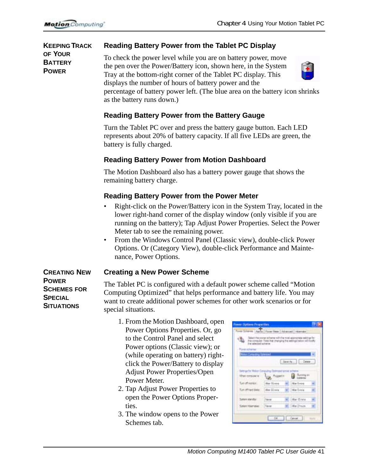**BATTERY POWER**

#### **KEEPING TRACK OF YOUR Reading Battery Power from the Tablet PC Display**

To check the power level while you are on battery power, move the pen over the Power/Battery icon, shown here, in the System Tray at the bottom-right corner of the Tablet PC display. This displays the number of hours of battery power and the



percentage of battery power left. (The blue area on the battery icon shrinks as the battery runs down.)

## **Reading Battery Power from the Battery Gauge**

Turn the Tablet PC over and press the battery gauge button. Each LED represents about 20% of battery capacity. If all five LEDs are green, the battery is fully charged.

## **Reading Battery Power from Motion Dashboard**

The Motion Dashboard also has a battery power gauge that shows the remaining battery charge.

## **Reading Battery Power from the Power Meter**

- Right-click on the Power/Battery icon in the System Tray, located in the lower right-hand corner of the display window (only visible if you are running on the battery); Tap Adjust Power Properties. Select the Power Meter tab to see the remaining power.
- From the Windows Control Panel (Classic view), double-click Power Options. Or (Category View), double-click Performance and Maintenance, Power Options.

**CREATING NEW POWER SCHEMES FOR SPECIAL SITUATIONS**

#### **Creating a New Power Scheme**

The Tablet PC is configured with a default power scheme called "Motion Computing Optimized" that helps performance and battery life. You may want to create additional power schemes for other work scenarios or for special situations.

- 1. From the Motion Dashboard, open Power Options Properties. Or, go to the Control Panel and select Power options (Classic view); or (while operating on battery) rightclick the Power/Battery to display Adjust Power Properties/Open Power Meter.
- 2. Tap Adjust Power Properties to open the Power Options Properties.
- 3. The window opens to the Power Schemes tab.

| <b>Power Options Properties.</b><br>From Scherm   Asia   Fore Sen   Abarrel   Hierake                |               |                   |   |
|------------------------------------------------------------------------------------------------------|---------------|-------------------|---|
| Select the power achieve with the most appropriate settings for<br>If we can be provided and started |               |                   |   |
| Toyota politiciana<br>Makers Consulting Cannonist                                                    |               |                   |   |
| <b>LETTING</b>                                                                                       |               | Save As  . Delete |   |
| Switzgeho Matun Conquiring Centressel pinner schen                                                   |               |                   |   |
|                                                                                                      | Priggett      |                   |   |
| Tun off Honkin                                                                                       | Ne Hore       | <b>Referred</b>   |   |
| Tun of hard dolor                                                                                    | Also 30 now   | all: War Louis    | ۰ |
| Tytten standig                                                                                       | <b>Taires</b> | W   Rei Sone      | ۰ |
|                                                                                                      |               |                   |   |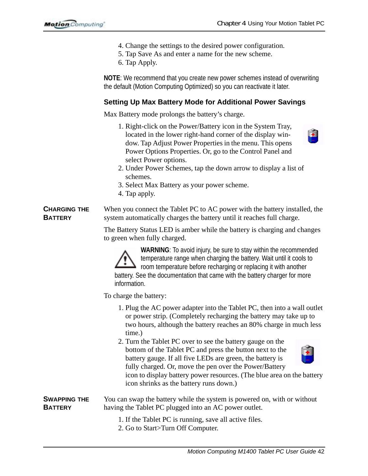- 4. Change the settings to the desired power configuration.
- 5. Tap Save As and enter a name for the new scheme.
- 6. Tap Apply.

**NOTE**: We recommend that you create new power schemes instead of overwriting the default (Motion Computing Optimized) so you can reactivate it later.

#### **Setting Up Max Battery Mode for Additional Power Savings**

Max Battery mode prolongs the battery's charge.

1. Right-click on the Power/Battery icon in the System Tray, located in the lower right-hand corner of the display window. Tap Adjust Power Properties in the menu. This opens Power Options Properties. Or, go to the Control Panel and select Power options.



- 3. Select Max Battery as your power scheme.
- 4. Tap apply.

#### **CHARGING THE BATTERY** When you connect the Tablet PC to AC power with the battery installed, the system automatically charges the battery until it reaches full charge.

The Battery Status LED is amber while the battery is charging and changes to green when fully charged.

**WARNING**: To avoid injury, be sure to stay within the recommended temperature range when charging the battery. Wait until it cools to room temperature before recharging or replacing it with another battery. See the documentation that came with the battery charger for more information.

To charge the battery:

|                                       | 1. Plug the AC power adapter into the Tablet PC, then into a wall outlet<br>or power strip. (Completely recharging the battery may take up to<br>two hours, although the battery reaches an 80% charge in much less<br>time.)<br>2. Turn the Tablet PC over to see the battery gauge on the<br>bottom of the Tablet PC and press the button next to the<br>쵠<br>battery gauge. If all five LEDs are green, the battery is<br>fully charged. Or, move the pen over the Power/Battery<br>icon to display battery power resources. (The blue area on the battery<br>icon shrinks as the battery runs down.) |
|---------------------------------------|----------------------------------------------------------------------------------------------------------------------------------------------------------------------------------------------------------------------------------------------------------------------------------------------------------------------------------------------------------------------------------------------------------------------------------------------------------------------------------------------------------------------------------------------------------------------------------------------------------|
| <b>SWAPPING THE</b><br><b>BATTERY</b> | You can swap the battery while the system is powered on, with or without<br>having the Tablet PC plugged into an AC power outlet.                                                                                                                                                                                                                                                                                                                                                                                                                                                                        |
|                                       | 1. If the Tablet PC is running, save all active files.                                                                                                                                                                                                                                                                                                                                                                                                                                                                                                                                                   |

2. Go to Start>Turn Off Computer.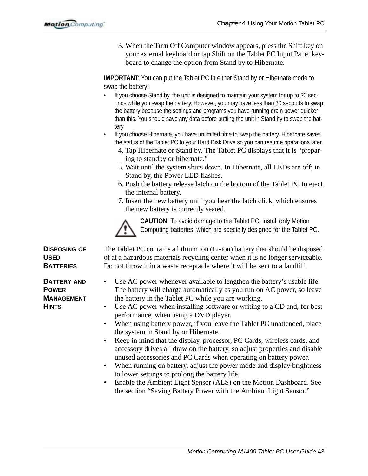3. When the Turn Off Computer window appears, press the Shift key on your external keyboard or tap Shift on the Tablet PC Input Panel keyboard to change the option from Stand by to Hibernate.

**IMPORTANT**: You can put the Tablet PC in either Stand by or Hibernate mode to swap the battery:

- If you choose Stand by, the unit is designed to maintain your system for up to 30 seconds while you swap the battery. However, you may have less than 30 seconds to swap the battery because the settings and programs you have running drain power quicker than this. You should save any data before putting the unit in Stand by to swap the battery.
- If you choose Hibernate, you have unlimited time to swap the battery. Hibernate saves the status of the Tablet PC to your Hard Disk Drive so you can resume operations later.
	- 4. Tap Hibernate or Stand by. The Tablet PC displays that it is "preparing to standby or hibernate."
	- 5. Wait until the system shuts down. In Hibernate, all LEDs are off; in Stand by, the Power LED flashes.
	- 6. Push the battery release latch on the bottom of the Tablet PC to eject the internal battery.
	- 7. Insert the new battery until you hear the latch click, which ensures the new battery is correctly seated.



**CAUTION**: To avoid damage to the Tablet PC, install only Motion Computing batteries, which are specially designed for the Tablet PC.

The Tablet PC contains a lithium ion (Li-ion) battery that should be disposed of at a hazardous materials recycling center when it is no longer serviceable. Do not throw it in a waste receptacle where it will be sent to a landfill.

**BATTERY AND POWER MANAGEMENT HINTS**

**DISPOSING OF**

**BATTERIES**

**USED**

- Use AC power whenever available to lengthen the battery's usable life. The battery will charge automatically as you run on AC power, so leave the battery in the Tablet PC while you are working.
- Use AC power when installing software or writing to a CD and, for best performance, when using a DVD player.
- When using battery power, if you leave the Tablet PC unattended, place the system in Stand by or Hibernate.
- Keep in mind that the display, processor, PC Cards, wireless cards, and accessory drives all draw on the battery, so adjust properties and disable unused accessories and PC Cards when operating on battery power.
- When running on battery, adjust the power mode and display brightness to lower settings to prolong the battery life.
- Enable the Ambient Light Sensor (ALS) on the Motion Dashboard. See the section "Saving Battery Power with the Ambient Light Sensor."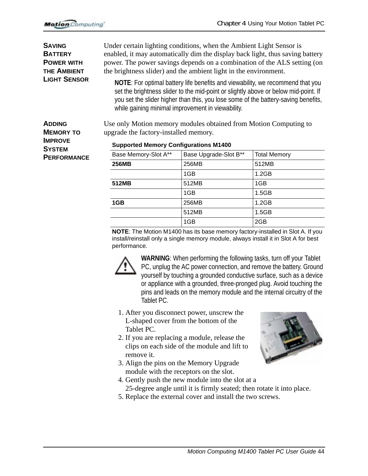**ADDING MEMORY TO IMPROVE SYSTEM**

**PERFORMANCE**

**SAVING BATTERY POWER WITH THE AMBIENT LIGHT SENSOR** Under certain lighting conditions, when the Ambient Light Sensor is enabled, it may automatically dim the display back light, thus saving battery power. The power savings depends on a combination of the ALS setting (on the brightness slider) and the ambient light in the environment. **NOTE**: For optimal battery life benefits and viewability, we recommend that you set the brightness slider to the mid-point or slightly above or below mid-point. If

you set the slider higher than this, you lose some of the battery-saving benefits, while gaining minimal improvement in viewability.

Use only Motion memory modules obtained from Motion Computing to upgrade the factory-installed memory.

| Base Memory-Slot A** | Base Upgrade-Slot B** | <b>Total Memory</b> |
|----------------------|-----------------------|---------------------|
|                      |                       |                     |
| <b>256MB</b>         | 256MB                 | 512MB               |
|                      | 1GB                   | 1.2GB               |
| 512MB                | 512MB                 | 1GB                 |
|                      | 1GB                   | 1.5GB               |
| 1GB                  | 256MB                 | 1.2GB               |
|                      | 512MB                 | 1.5GB               |
|                      | 1GB                   | 2GB                 |
| _ _ _ _ . _ _        |                       | .                   |

#### **Supported Memory Configurations M1400**

**NOTE**: The Motion M1400 has its base memory factory-installed in Slot A. If you install/reinstall only a single memory module, always install it in Slot A for best performance.



**WARNING**: When performing the following tasks, turn off your Tablet PC, unplug the AC power connection, and remove the battery. Ground yourself by touching a grounded conductive surface, such as a device or appliance with a grounded, three-pronged plug. Avoid touching the pins and leads on the memory module and the internal circuitry of the Tablet PC.

- 1. After you disconnect power, unscrew the L-shaped cover from the bottom of the Tablet PC.
- 2. If you are replacing a module, release the clips on each side of the module and lift to remove it.
- 3. Align the pins on the Memory Upgrade module with the receptors on the slot.



- 4. Gently push the new module into the slot at a 25-degree angle until it is firmly seated; then rotate it into place.
- 5. Replace the external cover and install the two screws.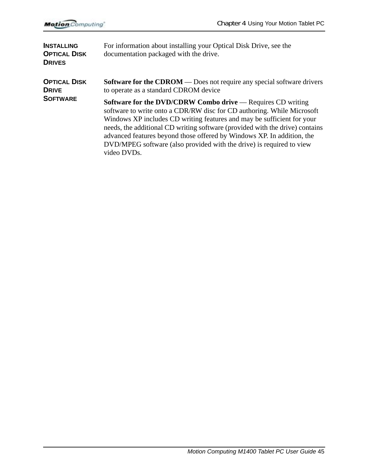| <b>INSTALLING</b><br><b>OPTICAL DISK</b><br><b>DRIVES</b> | For information about installing your Optical Disk Drive, see the<br>documentation packaged with the drive.                                                                                                                                                                                                                                                                                                                                                                                                                                                                                       |
|-----------------------------------------------------------|---------------------------------------------------------------------------------------------------------------------------------------------------------------------------------------------------------------------------------------------------------------------------------------------------------------------------------------------------------------------------------------------------------------------------------------------------------------------------------------------------------------------------------------------------------------------------------------------------|
| <b>OPTICAL DISK</b><br><b>DRIVE</b><br><b>SOFTWARE</b>    | <b>Software for the CDROM</b> — Does not require any special software drivers<br>to operate as a standard CDROM device<br><b>Software for the DVD/CDRW Combo drive</b> — Requires CD writing<br>software to write onto a CDR/RW disc for CD authoring. While Microsoft<br>Windows XP includes CD writing features and may be sufficient for your<br>needs, the additional CD writing software (provided with the drive) contains<br>advanced features beyond those offered by Windows XP. In addition, the<br>DVD/MPEG software (also provided with the drive) is required to view<br>video DVDs. |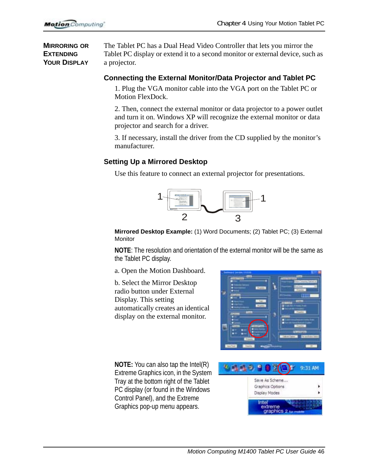**MIRRORING OR EXTENDING YOUR DISPLAY** The Tablet PC has a Dual Head Video Controller that lets you mirror the Tablet PC display or extend it to a second monitor or external device, such as a projector.

## **Connecting the External Monitor/Data Projector and Tablet PC**

1. Plug the VGA monitor cable into the VGA port on the Tablet PC or Motion FlexDock.

2. Then, connect the external monitor or data projector to a power outlet and turn it on. Windows XP will recognize the external monitor or data projector and search for a driver.

3. If necessary, install the driver from the CD supplied by the monitor's manufacturer.

#### **Setting Up a Mirrored Desktop**

Use this feature to connect an external projector for presentations.



**Mirrored Desktop Example:** (1) Word Documents; (2) Tablet PC; (3) External **Monitor** 

**NOTE**: The resolution and orientation of the external monitor will be the same as the Tablet PC display.

a. Open the Motion Dashboard.

b. Select the Mirror Desktop radio button under External Display. This setting automatically creates an identical display on the external monitor.



**NOTE:** You can also tap the Intel(R) Extreme Graphics icon, in the System Tray at the bottom right of the Tablet PC display (or found in the Windows Control Panel), and the Extreme Graphics pop-up menu appears.

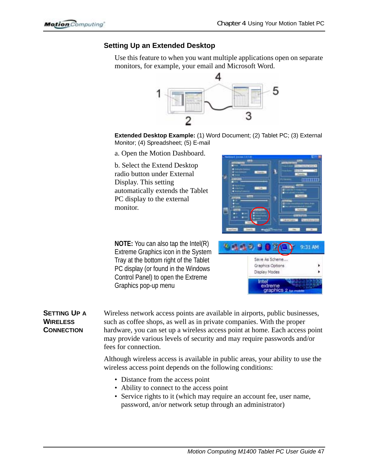## **Setting Up an Extended Desktop**

Use this feature to when you want multiple applications open on separate monitors, for example, your email and Microsoft Word.



**Extended Desktop Example:** (1) Word Document; (2) Tablet PC; (3) External Monitor; (4) Spreadsheet; (5) E-mail

a. Open the Motion Dashboard.

b. Select the Extend Desktop radio button under External Display. This setting automatically extends the Tablet PC display to the external monitor.

**NOTE:** You can also tap the Intel(R) Extreme Graphics icon in the System Tray at the bottom right of the Tablet PC display (or found in the Windows Control Panel) to open the Extreme Graphics pop-up menu



**SETTING UP A WIRELESS CONNECTION**

Wireless network access points are available in airports, public businesses, such as coffee shops, as well as in private companies. With the proper hardware, you can set up a wireless access point at home. Each access point may provide various levels of security and may require passwords and/or fees for connection.

Although wireless access is available in public areas, your ability to use the wireless access point depends on the following conditions:

- Distance from the access point
- Ability to connect to the access point
- Service rights to it (which may require an account fee, user name, password, an/or network setup through an administrator)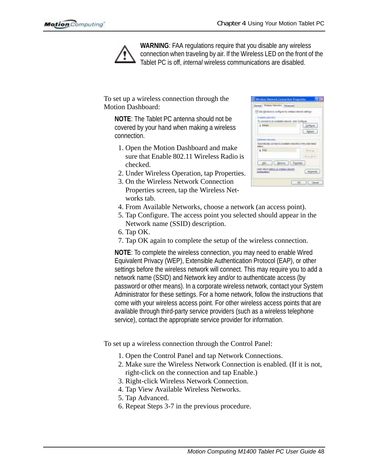

**WARNING**: FAA regulations require that you disable any wireless connection when traveling by air. If the Wireless LED on the front of the Tablet PC is off, *internal* wireless communications are disabled.

To set up a wireless connection through the Motion Dashboard:

**NOTE**: The Tablet PC antenna should not be covered by your hand when making a wireless connection.

- 1. Open the Motion Dashboard and make sure that Enable 802.11 Wireless Radio is checked.
- 2. Under Wireless Operation, tap Properties.
- 3. On the Wireless Network Connection Properties screen, tap the Wireless Networks tab.



- 4. From Available Networks, choose a network (an access point).
- 5. Tap Configure. The access point you selected should appear in the Network name (SSID) description.
- 6. Tap OK.
- 7. Tap OK again to complete the setup of the wireless connection.

**NOTE**: To complete the wireless connection, you may need to enable Wired Equivalent Privacy (WEP), Extensible Authentication Protocol (EAP), or other settings before the wireless network will connect. This may require you to add a network name (SSID) and Network key and/or to authenticate access (by password or other means). In a corporate wireless network, contact your System Administrator for these settings. For a home network, follow the instructions that come with your wireless access point. For other wireless access points that are available through third-party service providers (such as a wireless telephone service), contact the appropriate service provider for information.

To set up a wireless connection through the Control Panel:

- 1. Open the Control Panel and tap Network Connections.
- 2. Make sure the Wireless Network Connection is enabled. (If it is not, right-click on the connection and tap Enable.)
- 3. Right-click Wireless Network Connection.
- 4. Tap View Available Wireless Networks.
- 5. Tap Advanced.
- 6. Repeat Steps 3-7 in the previous procedure.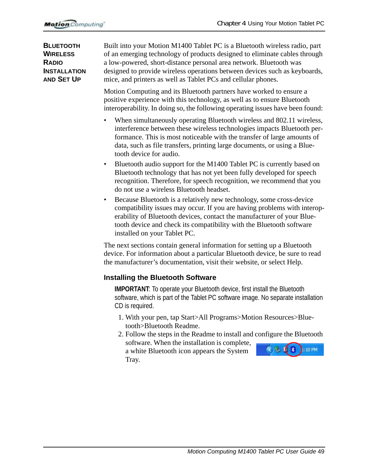**BLUETOOTH WIRELESS RADIO INSTALLATION AND SET UP** Built into your Motion M1400 Tablet PC is a Bluetooth wireless radio, part of an emerging technology of products designed to eliminate cables through a low-powered, short-distance personal area network. Bluetooth was designed to provide wireless operations between devices such as keyboards, mice, and printers as well as Tablet PCs and cellular phones.

Motion Computing and its Bluetooth partners have worked to ensure a positive experience with this technology, as well as to ensure Bluetooth interoperability. In doing so, the following operating issues have been found:

- When simultaneously operating Bluetooth wireless and 802.11 wireless, interference between these wireless technologies impacts Bluetooth performance. This is most noticeable with the transfer of large amounts of data, such as file transfers, printing large documents, or using a Bluetooth device for audio.
- Bluetooth audio support for the M1400 Tablet PC is currently based on Bluetooth technology that has not yet been fully developed for speech recognition. Therefore, for speech recognition, we recommend that you do not use a wireless Bluetooth headset.
- Because Bluetooth is a relatively new technology, some cross-device compatibility issues may occur. If you are having problems with interoperability of Bluetooth devices, contact the manufacturer of your Bluetooth device and check its compatibility with the Bluetooth software installed on your Tablet PC.

The next sections contain general information for setting up a Bluetooth device. For information about a particular Bluetooth device, be sure to read the manufacturer's documentation, visit their website, or select Help.

## **Installing the Bluetooth Software**

**IMPORTANT**: To operate your Bluetooth device, first install the Bluetooth software, which is part of the Tablet PC software image. No separate installation CD is required.

- 1. With your pen, tap Start>All Programs>Motion Resources>Bluetooth>Bluetooth Readme.
- 2. Follow the steps in the Readme to install and configure the Bluetooth software. When the installation is complete,  $(3)5 (3)$ :10 PM a white Bluetooth icon appears the System Tray.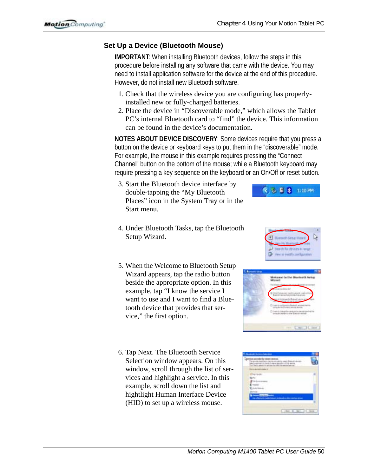## **Set Up a Device (Bluetooth Mouse)**

**IMPORTANT**: When installing Bluetooth devices, follow the steps in this procedure before installing any software that came with the device. You may need to install application software for the device at the end of this procedure. However, do not install new Bluetooth software.

- 1. Check that the wireless device you are configuring has properlyinstalled new or fully-charged batteries.
- 2. Place the device in "Discoverable mode," which allows the Tablet PC's internal Bluetooth card to "find" the device. This information can be found in the device's documentation.

**NOTES ABOUT DEVICE DISCOVERY**: Some devices require that you press a button on the device or keyboard keys to put them in the "discoverable" mode. For example, the mouse in this example requires pressing the "Connect Channel" button on the bottom of the mouse; while a Bluetooth keyboard may require pressing a key sequence on the keyboard or an On/Off or reset button.

3. Start the Bluetooth device interface by double-tapping the "My Bluetooth Places" icon in the System Tray or in the Start menu.



- 4. Under Bluetooth Tasks, tap the Bluetooth Setup Wizard.
- 5. When the Welcome to Bluetooth Setup Wizard appears, tap the radio button beside the appropriate option. In this example, tap "I know the service I want to use and I want to find a Bluetooth device that provides that service," the first option.





6. Tap Next. The Bluetooth Service Selection window appears. On this window, scroll through the list of services and highlight a service. In this example, scroll down the list and hightlight Human Interface Device (HID) to set up a wireless mouse.

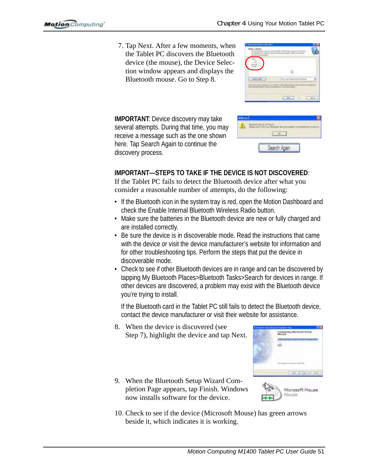7. Tap Next. After a few moments, when the Tablet PC discovers the Bluetooth device (the mouse), the Device Selection window appears and displays the Bluetooth mouse. Go to Step 8.

**IMPORTANT**: Device discovery may take several attempts. During that time, you may receive a message such as the one shown here. Tap Search Again to continue the discovery process.

#### **IMPORTANT—STEPS TO TAKE IF THE DEVICE IS NOT DISCOVERED**:

If the Tablet PC fails to detect the Bluetooth device after what you consider a reasonable number of attempts, do the following:

- If the Bluetooth icon in the system tray is red, open the Motion Dashboard and check the Enable Internal Bluetooth Wireless Radio button.
- Make sure the batteries in the Bluetooth device are new or fully charged and are installed correctly.
- Be sure the device is in discoverable mode. Read the instructions that came with the device or visit the device manufacturer's website for information and for other troubleshooting tips. Perform the steps that put the device in discoverable mode.
- Check to see if other Bluetooth devices are in range and can be discovered by tapping My Bluetooth Places>Bluetooth Tasks>Search for devices in range. If other devices are discovered, a problem may exist with the Bluetooth device you're trying to install.

If the Bluetooth card in the Tablet PC still fails to detect the Bluetooth device, contact the device manufacturer or visit their website for assistance.

- 8. When the device is discovered (see Step 7), highlight the device and tap Next.
- 9. When the Bluetooth Setup Wizard Completion Page appears, tap Finish. Windows now installs software for the device.

| 1444<br>- 1 |
|-------------|



10. Check to see if the device (Microsoft Mouse) has green arrows beside it, which indicates it is working.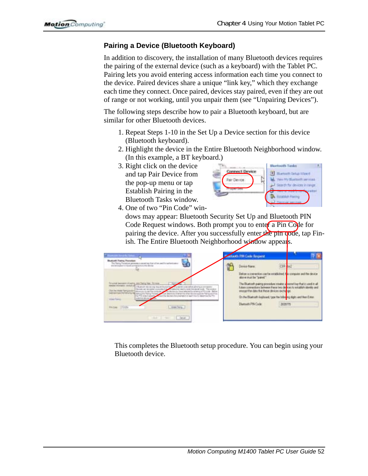## **Pairing a Device (Bluetooth Keyboard)**

In addition to discovery, the installation of many Bluetooth devices requires the pairing of the external device (such as a keyboard) with the Tablet PC. Pairing lets you avoid entering access information each time you connect to the device. Paired devices share a unique "link key," which they exchange each time they connect. Once paired, devices stay paired, even if they are out of range or not working, until you unpair them (see "Unpairing Devices").

The following steps describe how to pair a Bluetooth keyboard, but are similar for other Bluetooth devices.

- 1. Repeat Steps 1-10 in the Set Up a Device section for this device (Bluetooth keyboard).
- 2. Highlight the device in the Entire Bluetooth Neighborhood window. (In this example, a BT keyboard.)
- 3. Right click on the device and tap Pair Device from the pop-up menu or tap Establish Pairing in the Bluetooth Tasks window.



4. One of two "Pin Code" win-

dows may appear: Bluetooth Security Set Up and Bluetooth PIN Code Request windows. Both prompt you to enter a Pin Code for pairing the device. After you successfully enter the pin gode, tap Finish. The Entire Bluetooth Neighborhood window appears.

| <b>Service Service</b>                                                                                                                                                                                                                                                                                                                | <b>Carboth FIN Code Request</b>                                                                                                                                                                                                         |                         |                                                                                                                                                           |
|---------------------------------------------------------------------------------------------------------------------------------------------------------------------------------------------------------------------------------------------------------------------------------------------------------------------------------------|-----------------------------------------------------------------------------------------------------------------------------------------------------------------------------------------------------------------------------------------|-------------------------|-----------------------------------------------------------------------------------------------------------------------------------------------------------|
| <b>Hustod</b> Famy Rees<br>They Plasting Procedure generaties a concentrate that softed comet<br>Institutionalism of fully as some plaste for the dilension<br>The build with sales<br>The potent desiregates of country, case There y Ham, The more .<br>National information constant and<br>a carrette e non controla calimetra el | <b>Donor Name</b><br>above mat be "payed"<br>future connections between these two derivants establish identity.<br>encount fire data that these devices excluyes<br>On the Bluetosth kephned, type the following digits and then Exten. | CER-bel                 | Delton is convection can be employed. It is conquest and the device<br>The Bluetooth pierry promotive condent a <mark>nnovel hay that it used in a</mark> |
| <b>IRGAN</b><br>Like Art Trees<br><b>Detail</b>                                                                                                                                                                                                                                                                                       | <b>Summers PIN Code</b>                                                                                                                                                                                                                 | 加固符<br><b>TERRITORY</b> |                                                                                                                                                           |

This completes the Bluetooth setup procedure. You can begin using your Bluetooth device.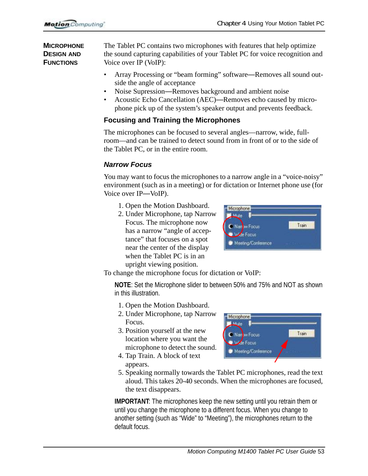**MICROPHONE DESIGN AND FUNCTIONS** The Tablet PC contains two microphones with features that help optimize the sound capturing capabilities of your Tablet PC for voice recognition and Voice over IP (VoIP):

- Array Processing or "beam forming" software—Removes all sound outside the angle of acceptance
- Noise Supression—Removes background and ambient noise
- Acoustic Echo Cancellation (AEC)—Removes echo caused by microphone pick up of the system's speaker output and prevents feedback.

#### **Focusing and Training the Microphones**

The microphones can be focused to several angles—narrow, wide, fullroom—and can be trained to detect sound from in front of or to the side of the Tablet PC, or in the entire room.

#### *Narrow Focus*

You may want to focus the microphones to a narrow angle in a "voice-noisy" environment (such as in a meeting) or for dictation or Internet phone use (for Voice over IP—VoIP).

- 1. Open the Motion Dashboard.
- 2. Under Microphone, tap Narrow Focus. The microphone now has a narrow "angle of acceptance" that focuses on a spot near the center of the display when the Tablet PC is in an upright viewing position.



To change the microphone focus for dictation or VoIP:

**NOTE**: Set the Microphone slider to between 50% and 75% and NOT as shown in this illustration.

- 1. Open the Motion Dashboard.
- 2. Under Microphone, tap Narrow Focus.
- 3. Position yourself at the new location where you want the microphone to detect the sound.



- 4. Tap Train. A block of text appears.
- 5. Speaking normally towards the Tablet PC microphones, read the text aloud. This takes 20-40 seconds. When the microphones are focused, the text disappears.

**IMPORTANT**: The microphones keep the new setting until you retrain them or until you change the microphone to a different focus. When you change to another setting (such as "Wide" to "Meeting"), the microphones return to the default focus.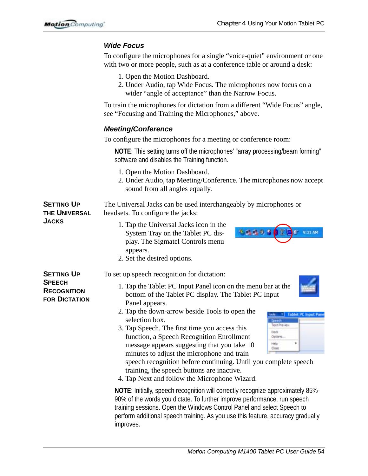**SETTING UP SPEECH**

**RECOGNITION FOR DICTATION**

# *Wide Focus*

To configure the microphones for a single "voice-quiet" environment or one with two or more people, such as at a conference table or around a desk:

- 1. Open the Motion Dashboard.
- 2. Under Audio, tap Wide Focus. The microphones now focus on a wider "angle of acceptance" than the Narrow Focus.

To train the microphones for dictation from a different "Wide Focus" angle, see "Focusing and Training the Microphones," above.

#### *Meeting/Conference*

To configure the microphones for a meeting or conference room:

**NOTE**: This setting turns off the microphones' "array processing/beam forming" software and disables the Training function.

- 1. Open the Motion Dashboard.
- 2. Under Audio, tap Meeting/Conference. The microphones now accept sound from all angles equally.

もあるの目

**SETTING UP THE UNIVERSAL JACKS** The Universal Jacks can be used interchangeably by microphones or headsets. To configure the jacks:

- 1. Tap the Universal Jacks icon in the System Tray on the Tablet PC display. The Sigmatel Controls menu appears.
- 2. Set the desired options.

To set up speech recognition for dictation:

- 1. Tap the Tablet PC Input Panel icon on the menu bar at the bottom of the Tablet PC display. The Tablet PC Input Panel appears.
- 2. Tap the down-arrow beside Tools to open the selection box.
- 3. Tap Speech. The first time you access this function, a Speech Recognition Enrollment message appears suggesting that you take 10 minutes to adjust the microphone and train

**Tablet PC** Dock Option **Island** Cines

speech recognition before continuing. Until you complete speech training, the speech buttons are inactive.

4. Tap Next and follow the Microphone Wizard.

**NOTE**: Initially, speech recognition will correctly recognize approximately 85%- 90% of the words you dictate. To further improve performance, run speech training sessions. Open the Windows Control Panel and select Speech to perform additional speech training. As you use this feature, accuracy gradually improves.







**5** 9:31 AM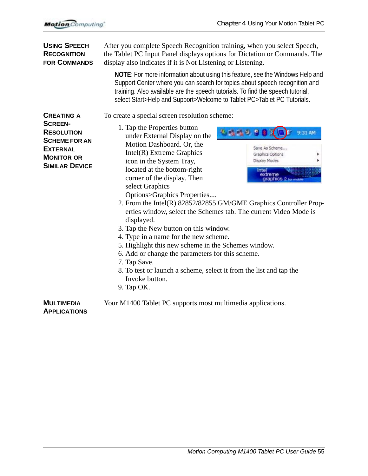**USING SPEECH RECOGNITION FOR COMMANDS** After you complete Speech Recognition training, when you select Speech, the Tablet PC Input Panel displays options for Dictation or Commands. The display also indicates if it is Not Listening or Listening.

> **NOTE**: For more information about using this feature, see the Windows Help and Support Center where you can search for topics about speech recognition and training. Also available are the speech tutorials. To find the speech tutorial, select Start>Help and Support>Welcome to Tablet PC>Tablet PC Tutorials.

**CREATING A SCREEN-RESOLUTION SCHEME FOR AN EXTERNAL MONITOR OR SIMILAR DEVICE**

- To create a special screen resolution scheme:
	- 1. Tap the Properties button under External Display on the Motion Dashboard. Or, the Intel(R) Extreme Graphics icon in the System Tray, located at the bottom-right corner of the display. Then select Graphics Options>Graphics Properties....



- 2. From the Intel(R) 82852/82855 GM/GME Graphics Controller Properties window, select the Schemes tab. The current Video Mode is displayed.
- 3. Tap the New button on this window.
- 4. Type in a name for the new scheme.
- 5. Highlight this new scheme in the Schemes window.
- 6. Add or change the parameters for this scheme.
- 7. Tap Save.
- 8. To test or launch a scheme, select it from the list and tap the Invoke button.
- 9. Tap OK.

**MULTIMEDIA APPLICATIONS** Your M1400 Tablet PC supports most multimedia applications.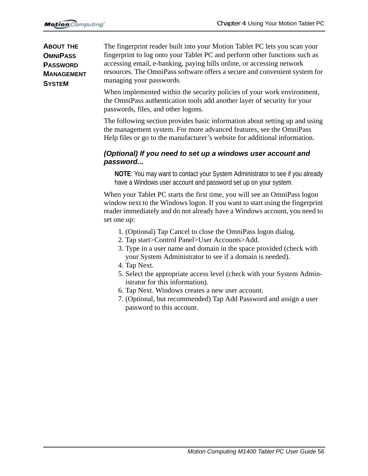**ABOUT THE OMNIPASS PASSWORD MANAGEMENT SYSTEM**

The fingerprint reader built into your Motion Tablet PC lets you scan your fingerprint to log onto your Tablet PC and perform other functions such as accessing email, e-banking, paying bills online, or accessing network resources. The OmniPass software offers a secure and convenient system for managing your passwords.

When implemented within the security policies of your work environment, the OmniPass authentication tools add another layer of security for your passwords, files, and other logons.

The following section provides basic information about setting up and using the management system. For more advanced features, see the OmniPass Help files or go to the manufacturer's website for additional information.

#### *(Optional) If you need to set up a windows user account and password...*

**NOTE**: You may want to contact your System Administrator to see if you already have a Windows user account and password set up on your system.

When your Tablet PC starts the first time, you will see an OmniPass logon window next to the Windows logon. If you want to start using the fingerprint reader immediately and do not already have a Windows account, you need to set one up:

- 1. (Optional) Tap Cancel to close the OmniPass logon dialog.
- 2. Tap start>Control Panel>User Accounts>Add.
- 3. Type in a user name and domain in the space provided (check with your System Administrator to see if a domain is needed).
- 4. Tap Next.
- 5. Select the appropriate access level (check with your System Administrator for this information).
- 6. Tap Next. Windows creates a new user account.
- 7. (Optional, but recommended) Tap Add Password and assign a user password to this account.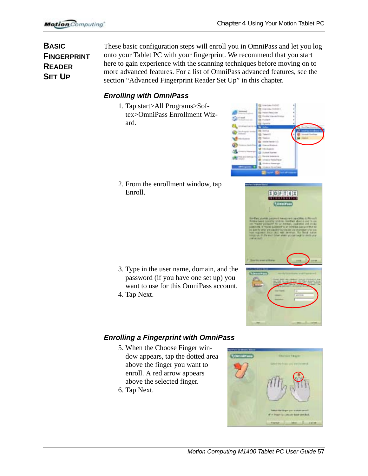# **BASIC FINGERPRINT READER SET UP**

These basic configuration steps will enroll you in OmniPass and let you log onto your Tablet PC with your fingerprint. We recommend that you start here to gain experience with the scanning techniques before moving on to more advanced features. For a list of OmniPass advanced features, see the section "Advanced Fingerprint Reader Set Up" in this chapter.

# *Enrolling with OmniPass*

1. Tap start>All Programs>Softex>OmniPass Enrollment Wizard.



 $50FT6$ 

2. From the enrollment window, tap Enroll.

- 3. Type in the user name, domain, and the password (if you have one set up) you want to use for this OmniPass account.
- 4. Tap Next.

# *Enrolling a Fingerprint with OmniPass*

- 5. When the Choose Finger window appears, tap the dotted area above the finger you want to enroll. A red arrow appears above the selected finger.
- 6. Tap Next.

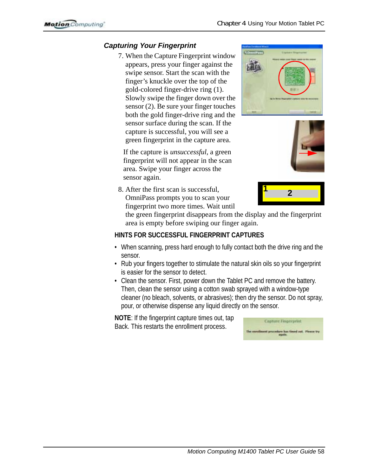# *Capturing Your Fingerprint*

7. When the Capture Fingerprint window appears, press your finger against the swipe sensor. Start the scan with the finger's knuckle over the top of the gold-colored finger-drive ring (1). Slowly swipe the finger down over the sensor (2). Be sure your finger touches both the gold finger-drive ring and the sensor surface during the scan. If the capture is successful, you will see a green fingerprint in the capture area.

If the capture is *unsuccessful*, a green fingerprint will not appear in the scan area. Swipe your finger across the sensor again.

8. After the first scan is successful, OmniPass prompts you to scan your fingerprint two more times. Wait until







the green fingerprint disappears from the display and the fingerprint area is empty before swiping our finger again.

## **HINTS FOR SUCCESSFUL FINGERPRINT CAPTURES**

- When scanning, press hard enough to fully contact both the drive ring and the sensor.
- Rub your fingers together to stimulate the natural skin oils so your fingerprint is easier for the sensor to detect.
- Clean the sensor. First, power down the Tablet PC and remove the battery. Then, clean the sensor using a cotton swab sprayed with a window-type cleaner (no bleach, solvents, or abrasives); then dry the sensor. Do not spray, pour, or otherwise dispense any liquid directly on the sensor.

**NOTE**: If the fingerprint capture times out, tap Back. This restarts the enrollment process.

| Capture Fingerprint                                                                         |  |
|---------------------------------------------------------------------------------------------|--|
| The enrollment procedure has timed out. Please try<br><b>The Committee of the Committee</b> |  |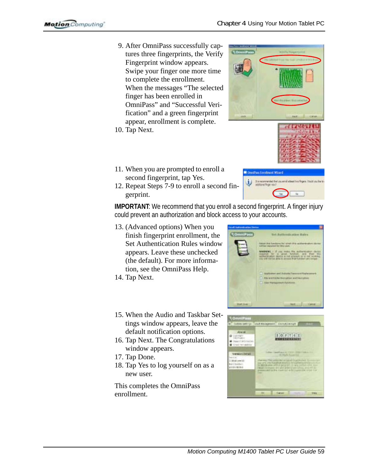- 9. After OmniPass successfully captures three fingerprints, the Verify Fingerprint window appears. Swipe your finger one more time to complete the enrollment. When the messages "The selected finger has been enrolled in OmniPass" and "Successful Verification" and a green fingerprint appear, enrollment is complete.
- 10. Tap Next.
- 11. When you are prompted to enroll a second fingerprint, tap Yes.
- 12. Repeat Steps 7-9 to enroll a second fingerprint.





**IMPORTANT:** We recommend that you enroll a second fingerprint. A finger injury could prevent an authorization and block access to your accounts.

- 13. (Advanced options) When you finish fingerprint enrollment, the Set Authentication Rules window appears. Leave these unchecked (the default). For more information, see the OmniPass Help.
- 14. Tap Next.
- 15. When the Audio and Taskbar Settings window appears, leave the default notification options.
- 16. Tap Next. The Congratulations window appears.
- 17. Tap Done.
- 18. Tap Yes to log yourself on as a new user.

This completes the OmniPass enrollment.



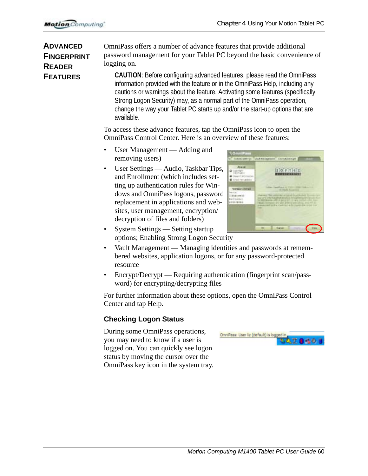# **ADVANCED FINGERPRINT READER FEATURES**

OmniPass offers a number of advance features that provide additional password management for your Tablet PC beyond the basic convenience of logging on.

**CAUTION**: Before configuring advanced features, please read the OmniPass information provided with the feature or in the OmniPass Help, including any cautions or warnings about the feature. Activating some features (specifically Strong Logon Security) may, as a normal part of the OmniPass operation, change the way your Tablet PC starts up and/or the start-up options that are available.

To access these advance features, tap the OmniPass icon to open the OmniPass Control Center. Here is an overview of these features:

- User Management Adding and removing users)
- User Settings Audio, Taskbar Tips, and Enrollment (which includes setting up authentication rules for Windows and OmniPass logons, password replacement in applications and websites, user management, encryption/ decryption of files and folders)



- System Settings Setting startup options; Enabling Strong Logon Security
- Vault Management Managing identities and passwords at remembered websites, application logons, or for any password-protected resource
- Encrypt/Decrypt Requiring authentication (fingerprint scan/password) for encrypting/decrypting files

For further information about these options, open the OmniPass Control Center and tap Help.

## **Checking Logon Status**

During some OmniPass operations, you may need to know if a user is logged on. You can quickly see logon status by moving the cursor over the OmniPass key icon in the system tray.

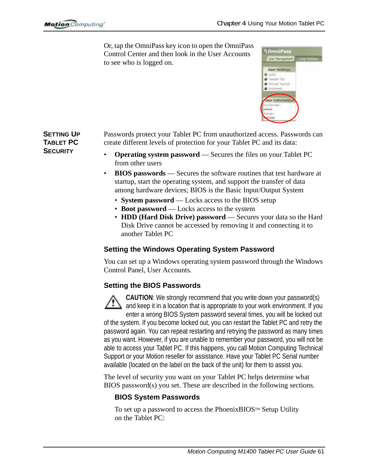Or, tap the OmniPass key icon to open the OmniPass Control Center and then look in the User Accounts to see who is logged on.



**SETTING UP TABLET PC SECURITY**

Passwords protect your Tablet PC from unauthorized access. Passwords can create different levels of protection for your Tablet PC and its data:

- **Operating system password** Secures the files on your Tablet PC from other users
- **BIOS passwords**  Secures the software routines that test hardware at startup, start the operating system, and support the transfer of data among hardware devices; BIOS is the Basic Input/Output System
	- **System password** Locks access to the BIOS setup
	- **Boot password** Locks access to the system
	- **HDD (Hard Disk Drive) password** Secures your data so the Hard Disk Drive cannot be accessed by removing it and connecting it to another Tablet PC

#### **Setting the Windows Operating System Password**

You can set up a Windows operating system password through the Windows Control Panel, User Accounts.

#### **Setting the BIOS Passwords**

**CAUTION**: We strongly recommend that you write down your password(s) and keep it in a location that is appropriate to your work environment. If you enter a wrong BIOS System password several times, you will be locked out of the system. If you become locked out, you can restart the Tablet PC and retry the password again. You can repeat restarting and retrying the password as many times as you want. However, if you are unable to remember your password, you will not be able to access your Tablet PC. If this happens, you call Motion Computing Technical Support or your Motion reseller for assistance. Have your Tablet PC Serial number available (located on the label on the back of the unit) for them to assist you.

The level of security you want on your Tablet PC helps determine what BIOS password(s) you set. These are described in the following sections.

#### **BIOS System Passwords**

To set up a password to access the PhoenixBIOS<sup>TM</sup> Setup Utility on the Tablet PC: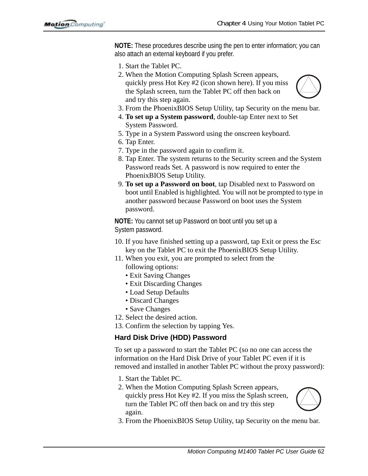**NOTE:** These procedures describe using the pen to enter information; you can also attach an external keyboard if you prefer.

- 1. Start the Tablet PC.
- 2. When the Motion Computing Splash Screen appears, quickly press Hot Key #2 (icon shown here). If you miss the Splash screen, turn the Tablet PC off then back on and try this step again.



- 3. From the PhoenixBIOS Setup Utility, tap Security on the menu bar.
- 4. **To set up a System password**, double-tap Enter next to Set System Password.
- 5. Type in a System Password using the onscreen keyboard.
- 6. Tap Enter.
- 7. Type in the password again to confirm it.
- 8. Tap Enter. The system returns to the Security screen and the System Password reads Set. A password is now required to enter the PhoenixBIOS Setup Utility.
- 9. **To set up a Password on boot**, tap Disabled next to Password on boot until Enabled is highlighted. You will not be prompted to type in another password because Password on boot uses the System password.

**NOTE:** You cannot set up Password on boot until you set up a System password.

- 10. If you have finished setting up a password, tap Exit or press the Esc key on the Tablet PC to exit the PhoenixBIOS Setup Utility.
- 11. When you exit, you are prompted to select from the following options:
	- Exit Saving Changes
	- Exit Discarding Changes
	- Load Setup Defaults
	- Discard Changes
	- Save Changes
- 12. Select the desired action.

13. Confirm the selection by tapping Yes.

#### **Hard Disk Drive (HDD) Password**

To set up a password to start the Tablet PC (so no one can access the information on the Hard Disk Drive of your Tablet PC even if it is removed and installed in another Tablet PC without the proxy password):

- 1. Start the Tablet PC.
- 2. When the Motion Computing Splash Screen appears, quickly press Hot Key #2. If you miss the Splash screen, turn the Tablet PC off then back on and try this step again.



3. From the PhoenixBIOS Setup Utility, tap Security on the menu bar.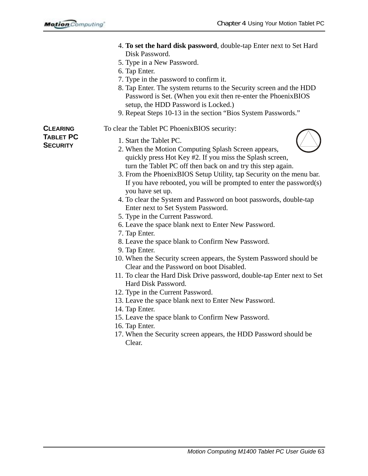|                                                 | 4. To set the hard disk password, double-tap Enter next to Set Hard<br>Disk Password.<br>5. Type in a New Password.<br>6. Tap Enter.<br>7. Type in the password to confirm it.<br>8. Tap Enter. The system returns to the Security screen and the HDD<br>Password is Set. (When you exit then re-enter the Phoenix BIOS<br>setup, the HDD Password is Locked.)<br>9. Repeat Steps 10-13 in the section "Bios System Passwords."                                                                                                                                                                                                                                                                                                                                                                                                                                                                                                                                                                                                                                                                                                                                                                                             |
|-------------------------------------------------|-----------------------------------------------------------------------------------------------------------------------------------------------------------------------------------------------------------------------------------------------------------------------------------------------------------------------------------------------------------------------------------------------------------------------------------------------------------------------------------------------------------------------------------------------------------------------------------------------------------------------------------------------------------------------------------------------------------------------------------------------------------------------------------------------------------------------------------------------------------------------------------------------------------------------------------------------------------------------------------------------------------------------------------------------------------------------------------------------------------------------------------------------------------------------------------------------------------------------------|
| <b>CLEARING</b><br>Tablet PC<br><b>SECURITY</b> | To clear the Tablet PC Phoenix BIOS security:<br>1. Start the Tablet PC.<br>2. When the Motion Computing Splash Screen appears,<br>quickly press Hot Key #2. If you miss the Splash screen,<br>turn the Tablet PC off then back on and try this step again.<br>3. From the Phoenix BIOS Setup Utility, tap Security on the menu bar.<br>If you have rebooted, you will be prompted to enter the password $(s)$<br>you have set up.<br>4. To clear the System and Password on boot passwords, double-tap<br>Enter next to Set System Password.<br>5. Type in the Current Password.<br>6. Leave the space blank next to Enter New Password.<br>7. Tap Enter.<br>8. Leave the space blank to Confirm New Password.<br>9. Tap Enter.<br>10. When the Security screen appears, the System Password should be<br>Clear and the Password on boot Disabled.<br>11. To clear the Hard Disk Drive password, double-tap Enter next to Set<br>Hard Disk Password.<br>12. Type in the Current Password.<br>13. Leave the space blank next to Enter New Password.<br>14. Tap Enter.<br>15. Leave the space blank to Confirm New Password.<br>16. Tap Enter.<br>17. When the Security screen appears, the HDD Password should be<br>Clear. |
|                                                 |                                                                                                                                                                                                                                                                                                                                                                                                                                                                                                                                                                                                                                                                                                                                                                                                                                                                                                                                                                                                                                                                                                                                                                                                                             |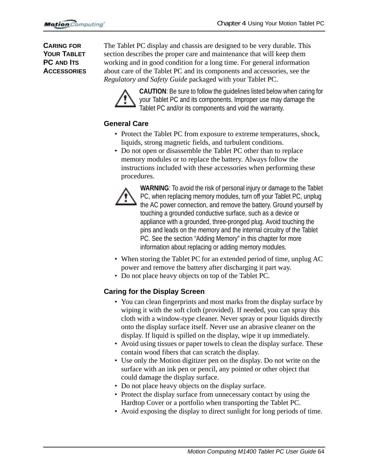**CARING FOR YOUR TABLET PC AND ITS ACCESSORIES** The Tablet PC display and chassis are designed to be very durable. This section describes the proper care and maintenance that will keep them working and in good condition for a long time. For general information about care of the Tablet PC and its components and accessories, see the *Regulatory and Safety Guide* packaged with your Tablet PC.



**CAUTION**: Be sure to follow the guidelines listed below when caring for your Tablet PC and its components. Improper use may damage the Tablet PC and/or its components and void the warranty.

## **General Care**

- Protect the Tablet PC from exposure to extreme temperatures, shock, liquids, strong magnetic fields, and turbulent conditions.
- Do not open or disassemble the Tablet PC other than to replace memory modules or to replace the battery. Always follow the instructions included with these accessories when performing these procedures.



**WARNING**: To avoid the risk of personal injury or damage to the Tablet PC, when replacing memory modules, turn off your Tablet PC, unplug the AC power connection, and remove the battery. Ground yourself by touching a grounded conductive surface, such as a device or appliance with a grounded, three-pronged plug. Avoid touching the pins and leads on the memory and the internal circuitry of the Tablet PC. See the section "Adding Memory" in this chapter for more information about replacing or adding memory modules.

- When storing the Tablet PC for an extended period of time, unplug AC power and remove the battery after discharging it part way.
- Do not place heavy objects on top of the Tablet PC.

## **Caring for the Display Screen**

- You can clean fingerprints and most marks from the display surface by wiping it with the soft cloth (provided). If needed, you can spray this cloth with a window-type cleaner. Never spray or pour liquids directly onto the display surface itself. Never use an abrasive cleaner on the display. If liquid is spilled on the display, wipe it up immediately.
- Avoid using tissues or paper towels to clean the display surface. These contain wood fibers that can scratch the display.
- Use only the Motion digitizer pen on the display. Do not write on the surface with an ink pen or pencil, any pointed or other object that could damage the display surface.
- Do not place heavy objects on the display surface.
- Protect the display surface from unnecessary contact by using the Hardtop Cover or a portfolio when transporting the Tablet PC.
- Avoid exposing the display to direct sunlight for long periods of time.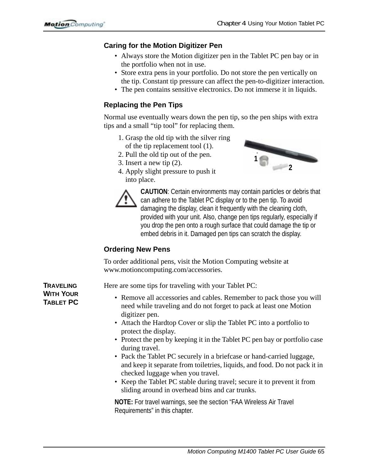#### **Caring for the Motion Digitizer Pen**

- Always store the Motion digitizer pen in the Tablet PC pen bay or in the portfolio when not in use.
- Store extra pens in your portfolio. Do not store the pen vertically on the tip. Constant tip pressure can affect the pen-to-digitizer interaction.
- The pen contains sensitive electronics. Do not immerse it in liquids.

## **Replacing the Pen Tips**

Normal use eventually wears down the pen tip, so the pen ships with extra tips and a small "tip tool" for replacing them.

- 1. Grasp the old tip with the silver ring of the tip replacement tool (1).
- 2. Pull the old tip out of the pen.
- 3. Insert a new tip (2).
- 4. Apply slight pressure to push it into place.





**CAUTION**: Certain environments may contain particles or debris that can adhere to the Tablet PC display or to the pen tip. To avoid damaging the display, clean it frequently with the cleaning cloth, provided with your unit. Also, change pen tips regularly, especially if you drop the pen onto a rough surface that could damage the tip or embed debris in it. Damaged pen tips can scratch the display.

## **Ordering New Pens**

To order additional pens, visit the Motion Computing website at www.motioncomputing.com/accessories.

**TRAVELING WITH YOUR TABLET PC**

Here are some tips for traveling with your Tablet PC:

- Remove all accessories and cables. Remember to pack those you will need while traveling and do not forget to pack at least one Motion digitizer pen.
- Attach the Hardtop Cover or slip the Tablet PC into a portfolio to protect the display.
- Protect the pen by keeping it in the Tablet PC pen bay or portfolio case during travel.
- Pack the Tablet PC securely in a briefcase or hand-carried luggage, and keep it separate from toiletries, liquids, and food. Do not pack it in checked luggage when you travel.
- Keep the Tablet PC stable during travel; secure it to prevent it from sliding around in overhead bins and car trunks.

**NOTE:** For travel warnings, see the section "FAA Wireless Air Travel Requirements" in this chapter.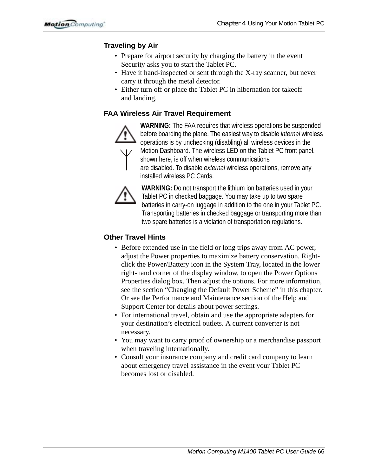# **Traveling by Air**

- Prepare for airport security by charging the battery in the event Security asks you to start the Tablet PC.
- Have it hand-inspected or sent through the X-ray scanner, but never carry it through the metal detector.
- Either turn off or place the Tablet PC in hibernation for takeoff and landing.

#### **FAA Wireless Air Travel Requirement**



<span id="page-72-3"></span>**WARNING:** The FAA requires that wireless operations be suspended before boarding the plane. The easiest way to disable *internal* wireless operations is by unchecking (disabling) all wireless devices in the

Motion Dashboard. The wireless LED on the Tablet PC front panel, shown here, is off when wireless communications

are disabled. To disable *external* wireless operations, remove any installed wireless PC Cards.



<span id="page-72-0"></span>**WARNING:** Do not transport the lithium ion batteries used in your Tablet PC in checked baggage. You may take up to two spare batteries in carry-on luggage in addition to the one in your Tablet PC. Transporting batteries in checked baggage or transporting more than two spare batteries is a violation of transportation regulations.

## **Other Travel Hints**

- <span id="page-72-1"></span>• Before extended use in the field or long trips away from AC power, adjust the Power properties to maximize battery conservation. Rightclick the Power/Battery icon in the System Tray, located in the lower right-hand corner of the display window, to open the Power Options Properties dialog box. Then adjust the options. For more information, see the section "Changing the Default Power Scheme" in this chapter. Or see the Performance and Maintenance section of the Help and Support Center for details about power settings.
- <span id="page-72-2"></span>• For international travel, obtain and use the appropriate adapters for your destination's electrical outlets. A current converter is not necessary.
- You may want to carry proof of ownership or a merchandise passport when traveling internationally.
- Consult your insurance company and credit card company to learn about emergency travel assistance in the event your Tablet PC becomes lost or disabled.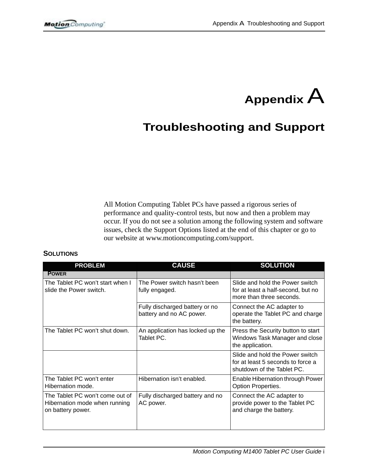# **Appendix**A

# **Troubleshooting and Support**

All Motion Computing Tablet PCs have passed a rigorous series of performance and quality-control tests, but now and then a problem may occur. If you do not see a solution among the following system and software issues, check the Support Options listed at the end of this chapter or go to our website at www.motioncomputing.com/support.

#### **SOLUTIONS**

| <b>PROBLEM</b>                                                                        | <b>CAUSE</b>                                               | <b>SOLUTION</b>                                                                                    |
|---------------------------------------------------------------------------------------|------------------------------------------------------------|----------------------------------------------------------------------------------------------------|
| <b>POWER</b>                                                                          |                                                            |                                                                                                    |
| The Tablet PC won't start when I<br>slide the Power switch.                           | The Power switch hasn't been<br>fully engaged.             | Slide and hold the Power switch<br>for at least a half-second, but no<br>more than three seconds.  |
|                                                                                       | Fully discharged battery or no<br>battery and no AC power. | Connect the AC adapter to<br>operate the Tablet PC and charge<br>the battery.                      |
| The Tablet PC won't shut down.                                                        | An application has locked up the<br>Tablet PC.             | Press the Security button to start<br>Windows Task Manager and close<br>the application.           |
|                                                                                       |                                                            | Slide and hold the Power switch<br>for at least 5 seconds to force a<br>shutdown of the Tablet PC. |
| The Tablet PC won't enter<br>Hibernation mode.                                        | Hibernation isn't enabled.                                 | Enable Hibernation through Power<br>Option Properties.                                             |
| The Tablet PC won't come out of<br>Hibernation mode when running<br>on battery power. | Fully discharged battery and no<br>AC power.               | Connect the AC adapter to<br>provide power to the Tablet PC<br>and charge the battery.             |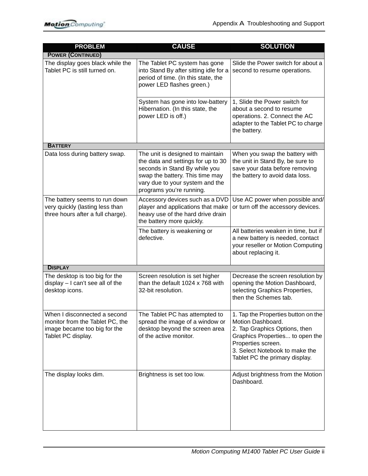<span id="page-74-0"></span>

| <b>PROBLEM</b>                                                                                                        | <b>CAUSE</b>                                                                                                                                                                                              | <b>SOLUTION</b>                                                                                                                                                                                                        |
|-----------------------------------------------------------------------------------------------------------------------|-----------------------------------------------------------------------------------------------------------------------------------------------------------------------------------------------------------|------------------------------------------------------------------------------------------------------------------------------------------------------------------------------------------------------------------------|
| <b>POWER (CONTINUED)</b>                                                                                              |                                                                                                                                                                                                           |                                                                                                                                                                                                                        |
| The display goes black while the<br>Tablet PC is still turned on.                                                     | The Tablet PC system has gone<br>into Stand By after sitting idle for a<br>period of time. (In this state, the<br>power LED flashes green.)                                                               | Slide the Power switch for about a<br>second to resume operations.                                                                                                                                                     |
|                                                                                                                       | System has gone into low-battery<br>Hibernation. (In this state, the<br>power LED is off.)                                                                                                                | 1, Slide the Power switch for<br>about a second to resume<br>operations. 2. Connect the AC<br>adapter to the Tablet PC to charge<br>the battery.                                                                       |
| <b>BATTERY</b>                                                                                                        |                                                                                                                                                                                                           |                                                                                                                                                                                                                        |
| Data loss during battery swap.                                                                                        | The unit is designed to maintain<br>the data and settings for up to 30<br>seconds in Stand By while you<br>swap the battery. This time may<br>vary due to your system and the<br>programs you're running. | When you swap the battery with<br>the unit in Stand By, be sure to<br>save your data before removing<br>the battery to avoid data loss.                                                                                |
| The battery seems to run down<br>very quickly (lasting less than<br>three hours after a full charge).                 | Accessory devices such as a DVD<br>player and applications that make<br>heavy use of the hard drive drain<br>the battery more quickly.                                                                    | Use AC power when possible and/<br>or turn off the accessory devices.                                                                                                                                                  |
|                                                                                                                       | The battery is weakening or<br>defective.                                                                                                                                                                 | All batteries weaken in time, but if<br>a new battery is needed, contact<br>your reseller or Motion Computing<br>about replacing it.                                                                                   |
| <b>DISPLAY</b>                                                                                                        |                                                                                                                                                                                                           |                                                                                                                                                                                                                        |
| The desktop is too big for the<br>display - I can't see all of the<br>desktop icons.                                  | Screen resolution is set higher<br>than the default 1024 x 768 with<br>32-bit resolution.                                                                                                                 | Decrease the screen resolution by<br>opening the Motion Dashboard,<br>selecting Graphics Properties,<br>then the Schemes tab.                                                                                          |
| When I disconnected a second<br>monitor from the Tablet PC, the<br>image became too big for the<br>Tablet PC display. | The Tablet PC has attempted to<br>spread the image of a window or<br>desktop beyond the screen area<br>of the active monitor.                                                                             | 1. Tap the Properties button on the<br>Motion Dashboard.<br>2. Tap Graphics Options, then<br>Graphics Properties to open the<br>Properties screen.<br>3. Select Notebook to make the<br>Tablet PC the primary display. |
| The display looks dim.                                                                                                | Brightness is set too low.                                                                                                                                                                                | Adjust brightness from the Motion<br>Dashboard.                                                                                                                                                                        |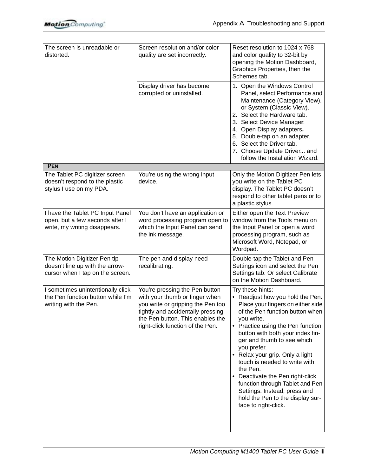| The screen is unreadable or<br>distorted.                                                            | Screen resolution and/or color<br>quality are set incorrectly.                                                                                                                                                     | Reset resolution to 1024 x 768<br>and color quality to 32-bit by<br>opening the Motion Dashboard,<br>Graphics Properties, then the<br>Schemes tab.                                                                                                                                                                                                                                                                                                                                                                  |
|------------------------------------------------------------------------------------------------------|--------------------------------------------------------------------------------------------------------------------------------------------------------------------------------------------------------------------|---------------------------------------------------------------------------------------------------------------------------------------------------------------------------------------------------------------------------------------------------------------------------------------------------------------------------------------------------------------------------------------------------------------------------------------------------------------------------------------------------------------------|
|                                                                                                      | Display driver has become<br>corrupted or uninstalled.                                                                                                                                                             | 1. Open the Windows Control<br>Panel, select Performance and<br>Maintenance (Category View).<br>or System (Classic View).<br>2. Select the Hardware tab.<br>3. Select Device Manager.<br>4. Open Display adapters.<br>5. Double-tap on an adapter.<br>6. Select the Driver tab.<br>7. Choose Update Driver and<br>follow the Installation Wizard.                                                                                                                                                                   |
| <b>PEN</b>                                                                                           |                                                                                                                                                                                                                    |                                                                                                                                                                                                                                                                                                                                                                                                                                                                                                                     |
| The Tablet PC digitizer screen<br>doesn't respond to the plastic<br>stylus I use on my PDA.          | You're using the wrong input<br>device.                                                                                                                                                                            | Only the Motion Digitizer Pen lets<br>you write on the Tablet PC<br>display. The Tablet PC doesn't<br>respond to other tablet pens or to<br>a plastic stylus.                                                                                                                                                                                                                                                                                                                                                       |
| I have the Tablet PC Input Panel<br>open, but a few seconds after I<br>write, my writing disappears. | You don't have an application or<br>word processing program open to<br>which the Input Panel can send<br>the ink message.                                                                                          | Either open the Text Preview<br>window from the Tools menu on<br>the Input Panel or open a word<br>processing program, such as<br>Microsoft Word, Notepad, or<br>Wordpad.                                                                                                                                                                                                                                                                                                                                           |
| The Motion Digitizer Pen tip<br>doesn't line up with the arrow-<br>cursor when I tap on the screen.  | The pen and display need<br>recalibrating.                                                                                                                                                                         | Double-tap the Tablet and Pen<br>Settings icon and select the Pen<br>Settings tab. Or select Calibrate<br>on the Motion Dashboard.                                                                                                                                                                                                                                                                                                                                                                                  |
| I sometimes unintentionally click<br>the Pen function button while I'm<br>writing with the Pen.      | You're pressing the Pen button<br>with your thumb or finger when<br>you write or gripping the Pen too<br>tightly and accidentally pressing<br>the Pen button. This enables the<br>right-click function of the Pen. | Try these hints:<br>• Readjust how you hold the Pen.<br>Place your fingers on either side<br>of the Pen function button when<br>you write.<br>• Practice using the Pen function<br>button with both your index fin-<br>ger and thumb to see which<br>you prefer.<br>• Relax your grip. Only a light<br>touch is needed to write with<br>the Pen.<br>• Deactivate the Pen right-click<br>function through Tablet and Pen<br>Settings. Instead, press and<br>hold the Pen to the display sur-<br>face to right-click. |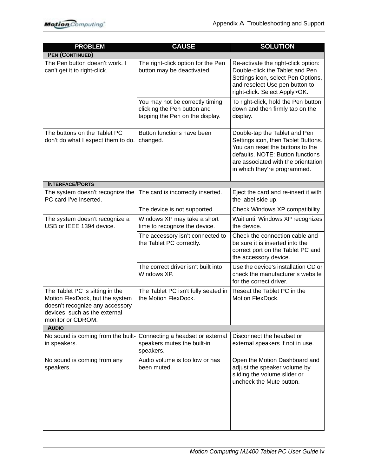<span id="page-76-0"></span>

| <b>PROBLEM</b>                                                                                                                                              | <b>CAUSE</b>                                                                                      | <b>SOLUTION</b>                                                                                                                                                                                                     |
|-------------------------------------------------------------------------------------------------------------------------------------------------------------|---------------------------------------------------------------------------------------------------|---------------------------------------------------------------------------------------------------------------------------------------------------------------------------------------------------------------------|
| <b>PEN (CONTINUED)</b>                                                                                                                                      |                                                                                                   |                                                                                                                                                                                                                     |
| The Pen button doesn't work. I<br>can't get it to right-click.                                                                                              | The right-click option for the Pen<br>button may be deactivated.                                  | Re-activate the right-click option:<br>Double-click the Tablet and Pen<br>Settings icon, select Pen Options,<br>and reselect Use pen button to<br>right-click. Select Apply>OK.                                     |
|                                                                                                                                                             | You may not be correctly timing<br>clicking the Pen button and<br>tapping the Pen on the display. | To right-click, hold the Pen button<br>down and then firmly tap on the<br>display.                                                                                                                                  |
| The buttons on the Tablet PC<br>don't do what I expect them to do.                                                                                          | Button functions have been<br>changed.                                                            | Double-tap the Tablet and Pen<br>Settings icon, then Tablet Buttons.<br>You can reset the buttons to the<br>defaults. NOTE: Button functions<br>are associated with the orientation<br>in which they're programmed. |
| <b>INTERFACE/PORTS</b>                                                                                                                                      |                                                                                                   |                                                                                                                                                                                                                     |
| The system doesn't recognize the<br>PC card I've inserted.                                                                                                  | The card is incorrectly inserted.                                                                 | Eject the card and re-insert it with<br>the label side up.                                                                                                                                                          |
|                                                                                                                                                             | The device is not supported.                                                                      | Check Windows XP compatibility.                                                                                                                                                                                     |
| The system doesn't recognize a<br>USB or IEEE 1394 device.                                                                                                  | Windows XP may take a short<br>time to recognize the device.                                      | Wait until Windows XP recognizes<br>the device.                                                                                                                                                                     |
|                                                                                                                                                             | The accessory isn't connected to<br>the Tablet PC correctly.                                      | Check the connection cable and<br>be sure it is inserted into the<br>correct port on the Tablet PC and<br>the accessory device.                                                                                     |
|                                                                                                                                                             | The correct driver isn't built into<br>Windows XP.                                                | Use the device's installation CD or<br>check the manufacturer's website<br>for the correct driver.                                                                                                                  |
| The Tablet PC is sitting in the<br>Motion FlexDock, but the system<br>doesn't recognize any accessory<br>devices, such as the external<br>monitor or CDROM. | The Tablet PC isn't fully seated in<br>the Motion FlexDock.                                       | Reseat the Tablet PC in the<br>Motion FlexDock.                                                                                                                                                                     |
| <b>AUDIO</b>                                                                                                                                                |                                                                                                   |                                                                                                                                                                                                                     |
| No sound is coming from the built-<br>in speakers.                                                                                                          | Connecting a headset or external<br>speakers mutes the built-in<br>speakers.                      | Disconnect the headset or<br>external speakers if not in use.                                                                                                                                                       |
| No sound is coming from any<br>speakers.                                                                                                                    | Audio volume is too low or has<br>been muted.                                                     | Open the Motion Dashboard and<br>adjust the speaker volume by<br>sliding the volume slider or<br>uncheck the Mute button.                                                                                           |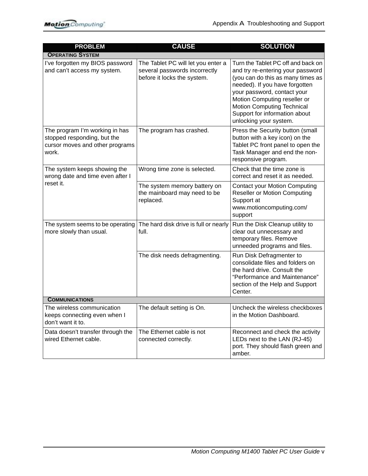| <b>PROBLEM</b>                                                                                            | <b>CAUSE</b>                                                                                       | <b>SOLUTION</b>                                                                                                                                                                                                                                                                                               |
|-----------------------------------------------------------------------------------------------------------|----------------------------------------------------------------------------------------------------|---------------------------------------------------------------------------------------------------------------------------------------------------------------------------------------------------------------------------------------------------------------------------------------------------------------|
| <b>OPERATING SYSTEM</b>                                                                                   |                                                                                                    |                                                                                                                                                                                                                                                                                                               |
| I've forgotten my BIOS password<br>and can't access my system.                                            | The Tablet PC will let you enter a<br>several passwords incorrectly<br>before it locks the system. | Turn the Tablet PC off and back on<br>and try re-entering your password<br>(you can do this as many times as<br>needed). If you have forgotten<br>your password, contact your<br>Motion Computing reseller or<br><b>Motion Computing Technical</b><br>Support for information about<br>unlocking your system. |
| The program I'm working in has<br>stopped responding, but the<br>cursor moves and other programs<br>work. | The program has crashed.                                                                           | Press the Security button (small<br>button with a key icon) on the<br>Tablet PC front panel to open the<br>Task Manager and end the non-<br>responsive program.                                                                                                                                               |
| The system keeps showing the<br>wrong date and time even after I<br>reset it.                             | Wrong time zone is selected.                                                                       | Check that the time zone is<br>correct and reset it as needed.                                                                                                                                                                                                                                                |
|                                                                                                           | The system memory battery on<br>the mainboard may need to be<br>replaced.                          | <b>Contact your Motion Computing</b><br><b>Reseller or Motion Computing</b><br>Support at<br>www.motioncomputing.com/<br>support                                                                                                                                                                              |
| The system seems to be operating<br>more slowly than usual.                                               | The hard disk drive is full or nearly<br>full.                                                     | Run the Disk Cleanup utility to<br>clear out unnecessary and<br>temporary files. Remove<br>unneeded programs and files.                                                                                                                                                                                       |
|                                                                                                           | The disk needs defragmenting.                                                                      | Run Disk Defragmenter to<br>consolidate files and folders on<br>the hard drive. Consult the<br>"Performance and Maintenance"<br>section of the Help and Support<br>Center.                                                                                                                                    |
| <b>COMMUNICATIONS</b>                                                                                     |                                                                                                    |                                                                                                                                                                                                                                                                                                               |
| The wireless communication<br>keeps connecting even when I<br>don't want it to.                           | The default setting is On.                                                                         | Uncheck the wireless checkboxes<br>in the Motion Dashboard.                                                                                                                                                                                                                                                   |
| Data doesn't transfer through the<br>wired Ethernet cable.                                                | The Ethernet cable is not<br>connected correctly.                                                  | Reconnect and check the activity<br>LEDs next to the LAN (RJ-45)<br>port. They should flash green and<br>amber.                                                                                                                                                                                               |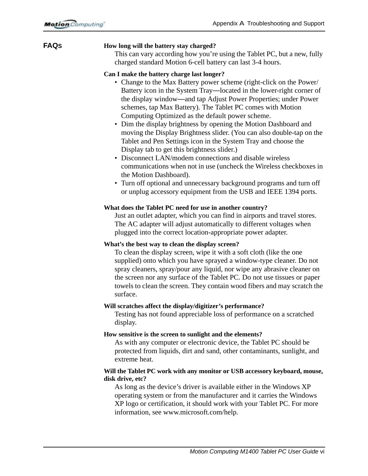#### **FAQS How long will the battery stay charged?**

This can vary according how you're using the Tablet PC, but a new, fully charged standard Motion 6-cell battery can last 3-4 hours.

#### **Can I make the battery charge last longer?**

- <span id="page-78-0"></span>• Change to the Max Battery power scheme (right-click on the Power/ Battery icon in the System Tray—located in the lower-right corner of the display window—and tap Adjust Power Properties; under Power schemes, tap Max Battery). The Tablet PC comes with Motion Computing Optimized as the default power scheme.
- Dim the display brightness by opening the Motion Dashboard and moving the Display Brightness slider. (You can also double-tap on the Tablet and Pen Settings icon in the System Tray and choose the Display tab to get this brightness slider.)
- <span id="page-78-2"></span>• Disconnect LAN/modem connections and disable wireless communications when not in use (uncheck the Wireless checkboxes in the Motion Dashboard).
- Turn off optional and unnecessary background programs and turn off or unplug accessory equipment from the USB and IEEE 1394 ports.

#### **What does the Tablet PC need for use in another country?**

<span id="page-78-1"></span>Just an outlet adapter, which you can find in airports and travel stores. The AC adapter will adjust automatically to different voltages when plugged into the correct location-appropriate power adapter.

#### **What's the best way to clean the display screen?**

To clean the display screen, wipe it with a soft cloth (like the one supplied) onto which you have sprayed a window-type cleaner. Do not spray cleaners, spray/pour any liquid, nor wipe any abrasive cleaner on the screen nor any surface of the Tablet PC. Do not use tissues or paper towels to clean the screen. They contain wood fibers and may scratch the surface.

#### **Will scratches affect the display/digitizer's performance?**

Testing has not found appreciable loss of performance on a scratched display.

#### **How sensitive is the screen to sunlight and the elements?**

As with any computer or electronic device, the Tablet PC should be protected from liquids, dirt and sand, other contaminants, sunlight, and extreme heat.

#### **Will the Tablet PC work with any monitor or USB accessory keyboard, mouse, disk drive, etc?**

As long as the device's driver is available either in the Windows XP operating system or from the manufacturer and it carries the Windows XP logo or certification, it should work with your Tablet PC. For more information, see www.microsoft.com/help.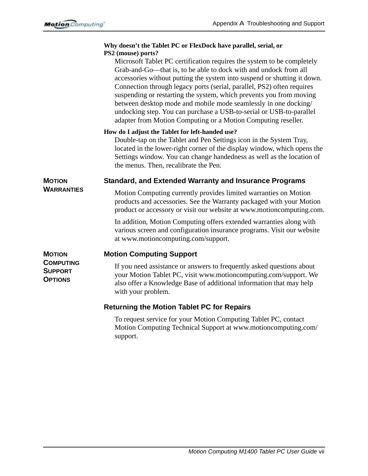**MOTION WARRANTIES**

| Why doesn't the Tablet PC or FlexDock have parallel, serial, or |  |
|-----------------------------------------------------------------|--|
| PS2 (mouse) ports?                                              |  |

Microsoft Tablet PC certification requires the system to be completely Grab-and-Go—that is, to be able to dock with and undock from all accessories without putting the system into suspend or shutting it down. Connection through legacy ports (serial, parallel, PS2) often requires suspending or restarting the system, which prevents you from moving between desktop mode and mobile mode seamlessly in one docking/ undocking step. You can purchase a USB-to-serial or USB-to-parallel adapter from Motion Computing or a Motion Computing reseller.

#### **How do I adjust the Tablet for left-handed use?**

Double-tap on the Tablet and Pen Settings icon in the System Tray, located in the lower-right corner of the display window, which opens the Settings window. You can change handedness as well as the location of the menus. Then, recalibrate the Pen.

#### **Standard, and Extended Warranty and Insurance Programs**

Motion Computing currently provides limited warranties on Motion products and accessories. See the Warranty packaged with your Motion product or accessory or visit our website at www.motioncomputing.com.

In addition, Motion Computing offers extended warranties along with various screen and configuration insurance programs. Visit our website at www.motioncomputing.com/support.

**MOTION COMPUTING SUPPORT OPTIONS Motion Computing Support** If you need assistance or answers to frequently asked questions about your Motion Tablet PC, visit www.motioncomputing.com/support. We also offer a Knowledge Base of additional information that may help with your problem.

#### **Returning the Motion Tablet PC for Repairs**

To request service for your Motion Computing Tablet PC, contact Motion Computing Technical Support at www.motioncomputing.com/ support.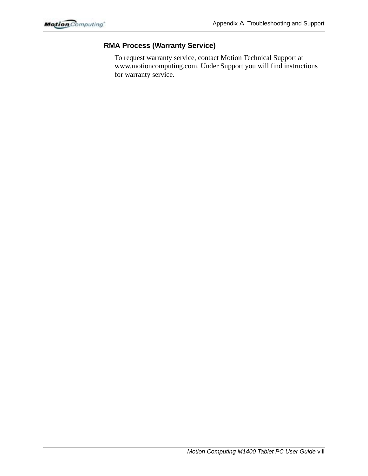#### **RMA Process (Warranty Service)**

To request warranty service, contact Motion Technical Support at www.motioncomputing.com. Under Support you will find instructions for warranty service.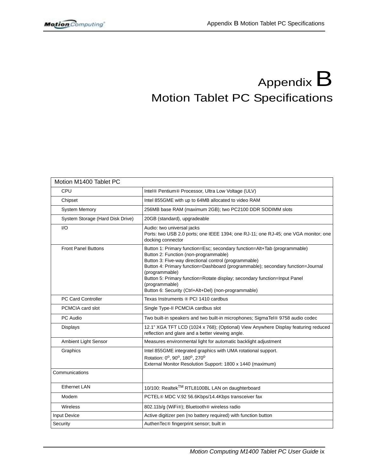# Appendix  $\mathsf B$ Motion Tablet PC Specifications

| Motion M1400 Tablet PC           |                                                                                                                                                                                                                                                                                                                                                                                                                                         |
|----------------------------------|-----------------------------------------------------------------------------------------------------------------------------------------------------------------------------------------------------------------------------------------------------------------------------------------------------------------------------------------------------------------------------------------------------------------------------------------|
| CPU                              | Intel <sup>®</sup> Pentium <sup>®</sup> Processor, Ultra Low Voltage (ULV)                                                                                                                                                                                                                                                                                                                                                              |
| Chipset                          | Intel 855GME with up to 64MB allocated to video RAM                                                                                                                                                                                                                                                                                                                                                                                     |
| <b>System Memory</b>             | 256MB base RAM (maximum 2GB); two PC2100 DDR SODIMM slots                                                                                                                                                                                                                                                                                                                                                                               |
| System Storage (Hard Disk Drive) | 20GB (standard), upgradeable                                                                                                                                                                                                                                                                                                                                                                                                            |
| 1/O                              | Audio: two universal jacks<br>Ports: two USB 2.0 ports; one IEEE 1394; one RJ-11; one RJ-45; one VGA monitor; one<br>docking connector                                                                                                                                                                                                                                                                                                  |
| <b>Front Panel Buttons</b>       | Button 1: Primary function=Esc; secondary function=Alt+Tab (programmable)<br>Button 2: Function (non-programmable)<br>Button 3: Five-way directional control (programmable)<br>Button 4: Primary function=Dashboard (programmable); secondary function=Journal<br>(programmable)<br>Button 5: Primary function=Rotate display; secondary function=Input Panel<br>(programmable)<br>Button 6: Security (Ctrl+Alt+Del) (non-programmable) |
| <b>PC Card Controller</b>        | Texas Instruments ® PCI 1410 cardbus                                                                                                                                                                                                                                                                                                                                                                                                    |
| PCMCIA card slot                 | Single Type-II PCMCIA cardbus slot                                                                                                                                                                                                                                                                                                                                                                                                      |
| PC Audio                         | Two built-in speakers and two built-in microphones; SigmaTel® 9758 audio codec                                                                                                                                                                                                                                                                                                                                                          |
| <b>Displays</b>                  | 12.1" XGA TFT LCD (1024 x 768); (Optional) View Anywhere Display featuring reduced<br>reflection and glare and a better viewing angle.                                                                                                                                                                                                                                                                                                  |
| Ambient Light Sensor             | Measures environmental light for automatic backlight adjustment                                                                                                                                                                                                                                                                                                                                                                         |
| Graphics                         | Intel 855GME integrated graphics with UMA rotational support.<br>Rotation: 0°, 90°, 180°, 270°<br>External Monitor Resolution Support: 1800 x 1440 (maximum)                                                                                                                                                                                                                                                                            |
| Communications                   |                                                                                                                                                                                                                                                                                                                                                                                                                                         |
| <b>Ethernet LAN</b>              | 10/100: Realtek <sup>TM</sup> RTL8100BL LAN on daughterboard                                                                                                                                                                                                                                                                                                                                                                            |
| Modem                            | PCTEL® MDC V.92 56.6Kbps/14.4Kbps transceiver fax                                                                                                                                                                                                                                                                                                                                                                                       |
| Wireless                         | 802.11b/g (WiFi®); Bluetooth® wireless radio                                                                                                                                                                                                                                                                                                                                                                                            |
| <b>Input Device</b>              | Active digitizer pen (no battery required) with function button                                                                                                                                                                                                                                                                                                                                                                         |
| Security                         | AuthenTec <sup>®</sup> fingerprint sensor; built in                                                                                                                                                                                                                                                                                                                                                                                     |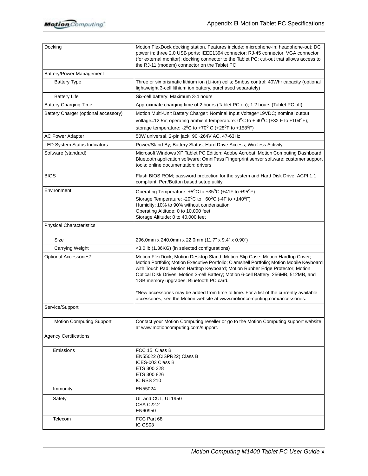| Docking                              | Motion FlexDock docking station. Features include: microphone-in; headphone-out; DC<br>power in; three 2.0 USB ports; IEEE1394 connector; RJ-45 connector; VGA connector<br>(for external monitor); docking connector to the Tablet PC; cut-out that allows access to<br>the RJ-11 (modem) connector on the Tablet PC                                                                                                                                                                                                                                                    |
|--------------------------------------|--------------------------------------------------------------------------------------------------------------------------------------------------------------------------------------------------------------------------------------------------------------------------------------------------------------------------------------------------------------------------------------------------------------------------------------------------------------------------------------------------------------------------------------------------------------------------|
| Battery/Power Management             |                                                                                                                                                                                                                                                                                                                                                                                                                                                                                                                                                                          |
| <b>Battery Type</b>                  | Three or six prismatic lithium ion (Li-ion) cells; Smbus control; 40Whr capacity (optional<br>lightweight 3-cell lithium ion battery, purchased separately)                                                                                                                                                                                                                                                                                                                                                                                                              |
| <b>Battery Life</b>                  | Six-cell battery: Maximum 3-4 hours                                                                                                                                                                                                                                                                                                                                                                                                                                                                                                                                      |
| <b>Battery Charging Time</b>         | Approximate charging time of 2 hours (Tablet PC on); 1.2 hours (Tablet PC off)                                                                                                                                                                                                                                                                                                                                                                                                                                                                                           |
| Battery Charger (optional accessory) | Motion Multi-Unit Battery Charger: Nominal Input Voltage=19VDC; nominal output                                                                                                                                                                                                                                                                                                                                                                                                                                                                                           |
|                                      | voltage=12.5V; operating ambient temperature: $0^{\circ}$ C to + 40°C (+32 F to +104°F);                                                                                                                                                                                                                                                                                                                                                                                                                                                                                 |
|                                      | storage temperature: -2 <sup>o</sup> C to +70 <sup>o</sup> C (+28 <sup>o</sup> F to +158 <sup>o</sup> F)                                                                                                                                                                                                                                                                                                                                                                                                                                                                 |
| <b>AC Power Adapter</b>              | 50W universal, 2-pin jack, 90~264V AC, 47-63Hz                                                                                                                                                                                                                                                                                                                                                                                                                                                                                                                           |
| <b>LED System Status Indicators</b>  | Power/Stand By; Battery Status; Hard Drive Access; Wireless Activity                                                                                                                                                                                                                                                                                                                                                                                                                                                                                                     |
| Software (standard)                  | Microsoft Windows XP Tablet PC Edition; Adobe Acrobat; Motion Computing Dashboard;<br>Bluetooth application software; OmniPass Fingerprint sensor software; customer support<br>tools; online documentation; drivers                                                                                                                                                                                                                                                                                                                                                     |
| <b>BIOS</b>                          | Flash BIOS ROM; password protection for the system and Hard Disk Drive; ACPI 1.1<br>compliant; Pen/Button based setup utility                                                                                                                                                                                                                                                                                                                                                                                                                                            |
| Environment                          | Operating Temperature: $+5^{\circ}$ C to $+35^{\circ}$ C (+41F to $+95^{\circ}$ F)<br>Storage Temperature: -20°C to +60°C (-4F to +140°F)<br>Humidity: 10% to 90% without condensation<br>Operating Altitude: 0 to 10,000 feet<br>Storage Altitude: 0 to 40,000 feet                                                                                                                                                                                                                                                                                                     |
| <b>Physical Characteristics</b>      |                                                                                                                                                                                                                                                                                                                                                                                                                                                                                                                                                                          |
| Size                                 | 296.0mm x 240.0mm x 22.0mm (11.7" x 9.4" x 0.90")                                                                                                                                                                                                                                                                                                                                                                                                                                                                                                                        |
| Carrying Weight                      | <3.0 lb (1.36KG) (in selected configurations)                                                                                                                                                                                                                                                                                                                                                                                                                                                                                                                            |
| Optional Accessories*                | Motion FlexDock; Motion Desktop Stand; Motion Slip Case; Motion Hardtop Cover;<br>Motion Portfolio; Motion Executive Portfolio; Clamshell Portfolio; Motion Mobile Keyboard<br>with Touch Pad; Motion Hardtop Keyboard; Motion Rubber Edge Protector; Motion<br>Optical Disk Drives; Motion 3-cell Battery; Motion 6-cell Battery; 256MB, 512MB, and<br>1GB memory upgrades; Bluetooth PC card.<br>*New accessories may be added from time to time. For a list of the currently available<br>accessories, see the Motion website at www.motioncomputing.com/accessories. |
| Service/Support                      |                                                                                                                                                                                                                                                                                                                                                                                                                                                                                                                                                                          |
| <b>Motion Computing Support</b>      | Contact your Motion Computing reseller or go to the Motion Computing support website<br>at www.motioncomputing.com/support.                                                                                                                                                                                                                                                                                                                                                                                                                                              |
| <b>Agency Certifications</b>         |                                                                                                                                                                                                                                                                                                                                                                                                                                                                                                                                                                          |
| Emissions                            | FCC 15, Class B<br>EN55022 (CISPR22) Class B<br>ICES-003 Class B<br>ETS 300 328<br>ETS 300 826<br><b>IC RSS 210</b>                                                                                                                                                                                                                                                                                                                                                                                                                                                      |
| Immunity                             | EN55024                                                                                                                                                                                                                                                                                                                                                                                                                                                                                                                                                                  |
| Safety                               | UL and CUL, UL1950<br>CSA C22.2<br>EN60950                                                                                                                                                                                                                                                                                                                                                                                                                                                                                                                               |
| Telecom                              | FCC Part 68<br>IC CS03                                                                                                                                                                                                                                                                                                                                                                                                                                                                                                                                                   |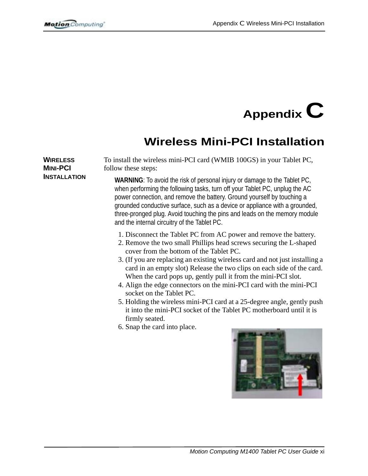# <span id="page-83-0"></span>**Appendix C**

# **Wireless Mini-PCI Installation**

**WIRELESS MINI-PCI INSTALLATION** To install the wireless mini-PCI card (WMIB 100GS) in your Tablet PC, follow these steps: **WARNING**: To avoid the risk of personal injury or damage to the Tablet PC, when performing the following tasks, turn off your Tablet PC, unplug the AC power connection, and remove the battery. Ground yourself by touching a grounded conductive surface, such as a device or appliance with a grounded, three-pronged plug. Avoid touching the pins and leads on the memory module and the internal circuitry of the Tablet PC. 1. Disconnect the Tablet PC from AC power and remove the battery. 2. Remove the two small Phillips head screws securing the L-shaped cover from the bottom of the Tablet PC. 3. (If you are replacing an existing wireless card and not just installing a card in an empty slot) Release the two clips on each side of the card. When the card pops up, gently pull it from the mini-PCI slot. 4. Align the edge connectors on the mini-PCI card with the mini-PCI socket on the Tablet PC. 5. Holding the wireless mini-PCI card at a 25-degree angle, gently push it into the mini-PCI socket of the Tablet PC motherboard until it is firmly seated. 6. Snap the card into place.

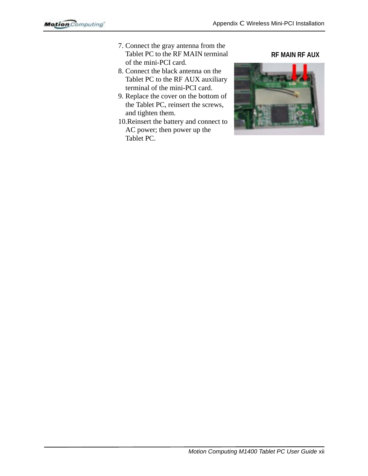- 7. Connect the gray antenna from the Tablet PC to the RF MAIN terminal of the mini-PCI card.
- 8. Connect the black antenna on the Tablet PC to the RF AUX auxiliary terminal of the mini-PCI card.
- 9. Replace the cover on the bottom of the Tablet PC, reinsert the screws, and tighten them.
- <span id="page-84-0"></span>10.Reinsert the battery and connect to AC power; then power up the Tablet PC.

#### **RF MAIN RF AUX**

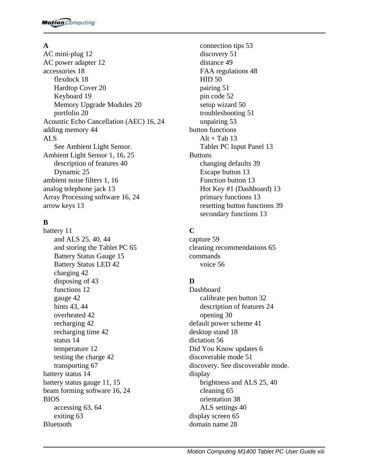#### **A**

[AC mini-plug 12](#page-18-0) [AC power adapter 12](#page-18-1) [accessories 18](#page-24-0) [flexdock 18](#page-24-1) [Hardtop Cover 20](#page-26-0) [Keyboard 19](#page-25-0) [Memory Upgrade Modules 20](#page-26-1) portfolio 20 Acoustic Echo Cancellation (AEC) 16, 24 [adding memory 44](#page-50-0) ALS See Ambient Light Sensor. Ambient Light Sensor 1, 16, 25 description of features 40 Dynamic 25 ambient noise filters 1, 16 [analog telephone jack 13](#page-19-1) Array Processing software 16, 24 [arrow keys 13](#page-19-2)

#### **B**

[battery 11](#page-17-0) and ALS 25, 40, 44 [and storing the Tablet PC 65](#page-70-0) [Battery Status Gauge 15](#page-21-0) [Battery Status LED 42](#page-48-0) [charging 42](#page-48-1) [disposing of 43](#page-49-0) [functions 12](#page-18-2) [gauge 42](#page-48-2) [hints 43,](#page-49-1) [44](#page-50-1) overheated 42 [recharging 42](#page-48-3) [recharging time 42](#page-48-4) [status 14](#page-20-0) [temperature 12](#page-18-3) [testing the charge 42](#page-48-5) [transporting 67](#page-72-0) [battery status 14](#page-20-1) [battery status gauge 11,](#page-17-1) [15](#page-21-1) beam forming software 16, 24 BIOS [accessing 63,](#page-68-0) [64](#page-69-0) [exiting 63](#page-68-1) Bluetooth

connection tips 53 discovery 51 distance 49 FAA regulations 48 [HID 50](#page-56-0) [pairing 51](#page-58-0) pin code 52 [setup wizard 50](#page-56-1) troubleshooting 51 unpairing 53 button functions  $Alt + Tab 13$ [Tablet PC Input Panel 13](#page-19-4) Buttons [changing defaults 39](#page-44-0) [Escape button 13](#page-19-0) [Function button 13](#page-19-5) [Hot Key #1 \(Dashboard\) 13](#page-19-6) [primary functions 13](#page-19-7) [resetting button functions 39](#page-45-0) [secondary functions 13](#page-19-8)

#### **C**

[capture 59](#page-64-0) [cleaning recommendations 65](#page-70-1) commands [voice 56](#page-61-0)

## **D**

[Dashboard](#page-30-0) [calibrate pen button 32](#page-38-0) description of features 24 opening 30 [default power scheme 41](#page-47-0) [desktop stand 18](#page-24-2) [dictation 56](#page-61-1) [Did You Know updates 6](#page-12-0) discoverable mode 51 discovery. See discoverable mode. display [brightness and ALS 25, 40](#page-74-0) [cleaning 65](#page-70-2) [orientation 38](#page-44-1) ALS settings 40 [display screen 65](#page-70-3) [domain name 28](#page-34-0)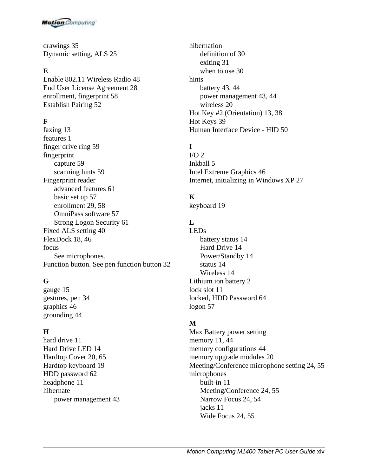[drawings 35](#page-41-0) Dynamic setting, ALS 25

#### **E**

[Enable 802.11 Wireless Radio 48](#page-54-0) [End User License Agreement 28](#page-34-1) [enrollment, fingerprint 58](#page-63-0) Establish Pairing 52

#### **F**

[faxing 13](#page-19-9) [features 1](#page-7-0) [finger drive ring 59](#page-64-1) fingerprint [capture 59](#page-64-2) [scanning hints 59](#page-64-3) Fingerprint reader [advanced features 61](#page-66-0) [basic set up 57](#page-63-1) [enrollment 29, 58](#page-63-0) [OmniPass software 57](#page-62-0) [Strong Logon Security 61](#page-66-0) Fixed ALS setting 40 [FlexDock 18,](#page-24-1) [46](#page-52-0) focus See microphones. [Function button. See pen function button 32](#page-38-1)

## **G**

[gauge 15](#page-21-2) [gestures, pen 34](#page-40-0) [graphics 46](#page-52-1) [grounding 44](#page-50-2)

#### **H**

[hard drive 11](#page-17-2) [Hard Drive LED 14](#page-20-2) [Hardtop Cover 20,](#page-26-0) [65](#page-70-4) Hardtop keyboard 19 [HDD password 62](#page-67-0) [headphone 11](#page-17-3) hibernate [power management 43](#page-49-2) hibernation [definition of 30](#page-36-0) [exiting 31](#page-37-0) [when to use 30](#page-36-0) hints [battery 43,](#page-49-1) [44](#page-50-1) [power management 43,](#page-49-3) [44](#page-50-3) [wireless 20](#page-26-2) [Hot Key #2 \(Orientation\) 13,](#page-19-10) [38](#page-44-2) [Hot Keys 39](#page-44-3) Human Interface Device - HID 50

# **I**

 $I/O$  2. [Inkball 5](#page-11-0) [Intel Extreme Graphics 46](#page-52-1) [Internet, initializing in Windows XP 27](#page-33-0)

#### **K**

[keyboard 19](#page-25-0)

# **L**

LEDs [battery status 14](#page-20-1) [Hard Drive 14](#page-20-2) [Power/Standby 14](#page-20-3) [status 14](#page-20-4) [Wireless 14](#page-20-5) [Lithium ion battery 2](#page-8-1) [lock slot 11](#page-17-4) [locked, HDD Password 64](#page-69-1) [logon 57](#page-62-1)

#### **M**

[Max Battery power setting](#page-78-0)  [memory 11,](#page-17-5) [44](#page-50-4) memory configurations 44 [memory upgrade modules 20](#page-26-3) Meeting/Conference microphone setting 24, 55 microphones [built-in 11](#page-17-6) Meeting/Conference 24, 55 Narrow Focus 24, 54 [jacks 11](#page-17-7) Wide Focus 24, 55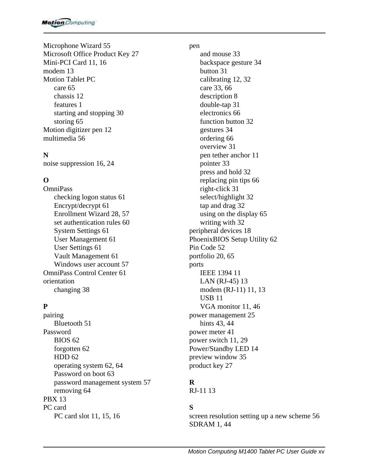[Microphone Wizard 55](#page-60-0) Microsoft Office Product Key 27 [Mini-PCI Card 11,](#page-17-8) [16](#page-22-0) [modem 13](#page-19-11) Motion Tablet PC [care 65](#page-70-5) [chassis 12](#page-18-4) [features 1](#page-7-1) [starting and stopping 30](#page-36-1) [storing 65](#page-70-6) [Motion digitizer pen 12](#page-18-5) [multimedia 56](#page-61-2)

## **N**

noise suppression 16, 24

# **O**

OmniPass checking logon status 61 [Encrypt/decrypt 61](#page-66-1) Enrollment Wizard 28, 57 [set authentication rules 60](#page-65-0) [System Settings 61](#page-66-2) [User Management 61](#page-66-3) [User Settings 61](#page-66-4) [Vault Management 61](#page-66-5) [Windows user account 57](#page-62-2) [OmniPass Control Center 61](#page-66-6) orientation [changing 38](#page-44-4)

## **P**

pairing [Bluetooth 51](#page-58-0) Password BIOS 62 [forgotten 62](#page-67-1) [HDD 62](#page-67-2) [operating system 62,](#page-67-3) [64](#page-69-2) [Password on boot 63](#page-68-2) password management system 57 [removing 64](#page-69-3) [PBX 13](#page-19-12) PC card [PC card slot 11,](#page-17-9) [15,](#page-21-3) [16](#page-22-1)

pen

[and mouse 33](#page-39-0) [backspace gesture 34](#page-40-1) [button 31](#page-37-1) [calibrating 12,](#page-18-6) [32](#page-38-2) [care 33,](#page-39-1) [66](#page-71-0) [description 8](#page-14-0) [double-tap 31](#page-37-2) [electronics 66](#page-71-1) [function button 32](#page-38-3) [gestures 34](#page-40-2) [ordering 66](#page-71-2) [overview 31](#page-37-3) [pen tether anchor 11](#page-17-10) [pointer 33](#page-39-2) [press and hold 32](#page-38-4) [replacing pin tips 66](#page-71-3) [right-click](#page-2-0) [31](#page-37-4) [select/highlight](#page-2-1) [32](#page-38-5) [tap and drag](#page-2-2) [32](#page-38-6) [using on the display 65](#page-70-7) [writing with 32](#page-38-7) [peripheral devices 18](#page-24-0) [PhoenixBIOS Setup Utility 62](#page-67-4) Pin Code 52 portfolio 20, [65](#page-70-8) ports [IEEE 1394 11](#page-17-11) [LAN \(RJ-45\) 13](#page-19-13) [modem \(RJ-11\) 11,](#page-17-12) [13](#page-19-13) [USB 11](#page-17-13) [VGA monitor 11,](#page-17-14) [46](#page-52-2) [power management 25](#page-31-0) [hints 43,](#page-49-3) [44](#page-50-3) [power meter 41](#page-47-1) [power switch 11,](#page-17-15) [29](#page-35-0) [Power/Standby LED 14](#page-20-3) [preview window 35](#page-41-1) product key 27

# **R**

[RJ-11 13](#page-19-14)

## **S**

[screen resolution setting up a new scheme 56](#page-61-3) SDRAM 1, 44